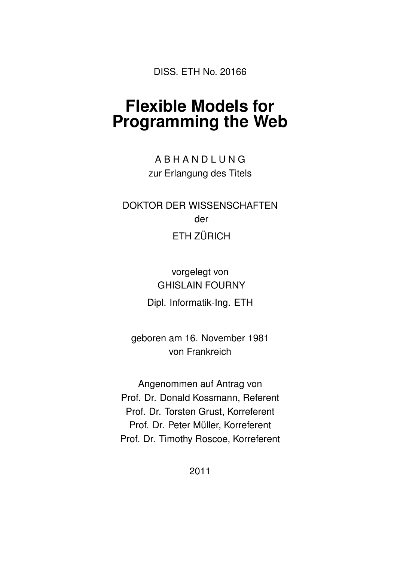DISS. ETH No. 20166

## **Flexible Models for Programming the Web**

A B H A N D L U N G zur Erlangung des Titels

DOKTOR DER WISSENSCHAFTEN der ETH ZÜRICH

> vorgelegt von GHISLAIN FOURNY Dipl. Informatik-Ing. ETH

geboren am 16. November 1981 von Frankreich

Angenommen auf Antrag von Prof. Dr. Donald Kossmann, Referent Prof. Dr. Torsten Grust, Korreferent Prof. Dr. Peter Müller, Korreferent Prof. Dr. Timothy Roscoe, Korreferent

2011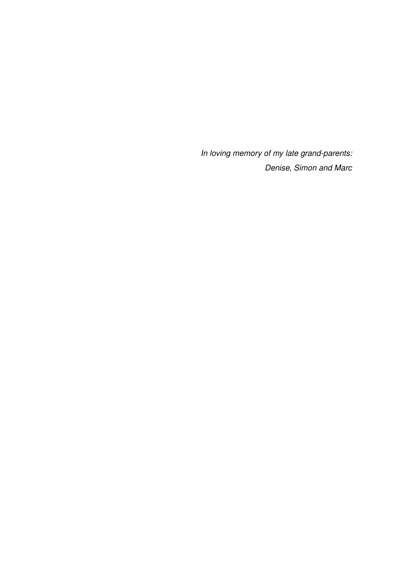*In loving memory of my late grand-parents: Denise, Simon and Marc*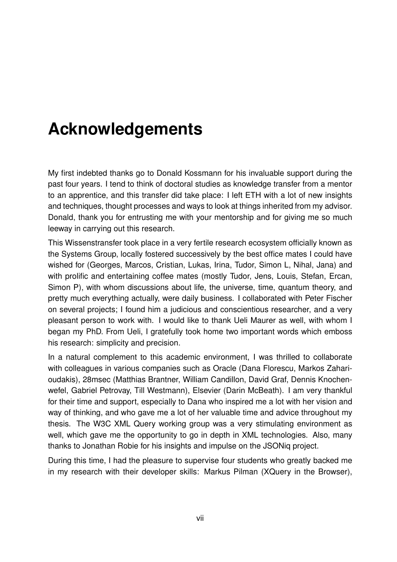## **Acknowledgements**

My first indebted thanks go to Donald Kossmann for his invaluable support during the past four years. I tend to think of doctoral studies as knowledge transfer from a mentor to an apprentice, and this transfer did take place: I left ETH with a lot of new insights and techniques, thought processes and ways to look at things inherited from my advisor. Donald, thank you for entrusting me with your mentorship and for giving me so much leeway in carrying out this research.

This Wissenstransfer took place in a very fertile research ecosystem officially known as the Systems Group, locally fostered successively by the best office mates I could have wished for (Georges, Marcos, Cristian, Lukas, Irina, Tudor, Simon L, Nihal, Jana) and with prolific and entertaining coffee mates (mostly Tudor, Jens, Louis, Stefan, Ercan, Simon P), with whom discussions about life, the universe, time, quantum theory, and pretty much everything actually, were daily business. I collaborated with Peter Fischer on several projects; I found him a judicious and conscientious researcher, and a very pleasant person to work with. I would like to thank Ueli Maurer as well, with whom I began my PhD. From Ueli, I gratefully took home two important words which emboss his research: simplicity and precision.

In a natural complement to this academic environment, I was thrilled to collaborate with colleagues in various companies such as Oracle (Dana Florescu, Markos Zaharioudakis), 28msec (Matthias Brantner, William Candillon, David Graf, Dennis Knochenwefel, Gabriel Petrovay, Till Westmann), Elsevier (Darin McBeath). I am very thankful for their time and support, especially to Dana who inspired me a lot with her vision and way of thinking, and who gave me a lot of her valuable time and advice throughout my thesis. The W3C XML Query working group was a very stimulating environment as well, which gave me the opportunity to go in depth in XML technologies. Also, many thanks to Jonathan Robie for his insights and impulse on the JSONiq project.

During this time, I had the pleasure to supervise four students who greatly backed me in my research with their developer skills: Markus Pilman (XQuery in the Browser),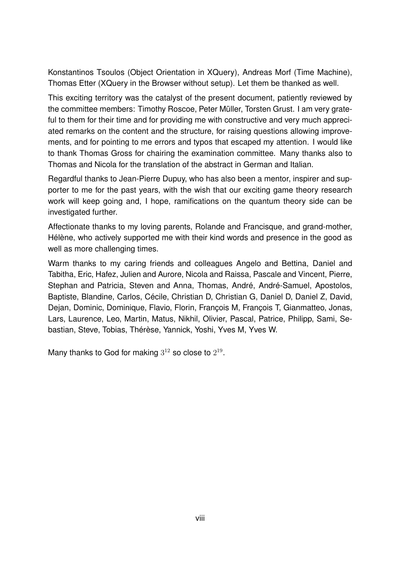Konstantinos Tsoulos (Object Orientation in XQuery), Andreas Morf (Time Machine), Thomas Etter (XQuery in the Browser without setup). Let them be thanked as well.

This exciting territory was the catalyst of the present document, patiently reviewed by the committee members: Timothy Roscoe, Peter Müller, Torsten Grust. I am very grateful to them for their time and for providing me with constructive and very much appreciated remarks on the content and the structure, for raising questions allowing improvements, and for pointing to me errors and typos that escaped my attention. I would like to thank Thomas Gross for chairing the examination committee. Many thanks also to Thomas and Nicola for the translation of the abstract in German and Italian.

Regardful thanks to Jean-Pierre Dupuy, who has also been a mentor, inspirer and supporter to me for the past years, with the wish that our exciting game theory research work will keep going and, I hope, ramifications on the quantum theory side can be investigated further.

Affectionate thanks to my loving parents, Rolande and Francisque, and grand-mother, Hélène, who actively supported me with their kind words and presence in the good as well as more challenging times.

Warm thanks to my caring friends and colleagues Angelo and Bettina, Daniel and Tabitha, Eric, Hafez, Julien and Aurore, Nicola and Raissa, Pascale and Vincent, Pierre, Stephan and Patricia, Steven and Anna, Thomas, André, André-Samuel, Apostolos, Baptiste, Blandine, Carlos, Cécile, Christian D, Christian G, Daniel D, Daniel Z, David, Dejan, Dominic, Dominique, Flavio, Florin, François M, François T, Gianmatteo, Jonas, Lars, Laurence, Leo, Martin, Matus, Nikhil, Olivier, Pascal, Patrice, Philipp, Sami, Sebastian, Steve, Tobias, Thérèse, Yannick, Yoshi, Yves M, Yves W.

Many thanks to God for making  $3^{12}$  so close to  $2^{19}$ .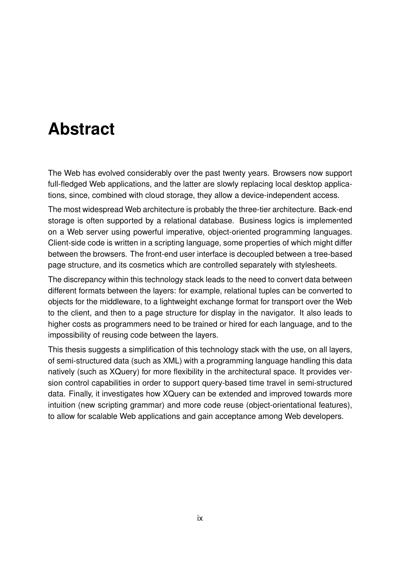## **Abstract**

The Web has evolved considerably over the past twenty years. Browsers now support full-fledged Web applications, and the latter are slowly replacing local desktop applications, since, combined with cloud storage, they allow a device-independent access.

The most widespread Web architecture is probably the three-tier architecture. Back-end storage is often supported by a relational database. Business logics is implemented on a Web server using powerful imperative, object-oriented programming languages. Client-side code is written in a scripting language, some properties of which might differ between the browsers. The front-end user interface is decoupled between a tree-based page structure, and its cosmetics which are controlled separately with stylesheets.

The discrepancy within this technology stack leads to the need to convert data between different formats between the layers: for example, relational tuples can be converted to objects for the middleware, to a lightweight exchange format for transport over the Web to the client, and then to a page structure for display in the navigator. It also leads to higher costs as programmers need to be trained or hired for each language, and to the impossibility of reusing code between the layers.

This thesis suggests a simplification of this technology stack with the use, on all layers, of semi-structured data (such as XML) with a programming language handling this data natively (such as XQuery) for more flexibility in the architectural space. It provides version control capabilities in order to support query-based time travel in semi-structured data. Finally, it investigates how XQuery can be extended and improved towards more intuition (new scripting grammar) and more code reuse (object-orientational features), to allow for scalable Web applications and gain acceptance among Web developers.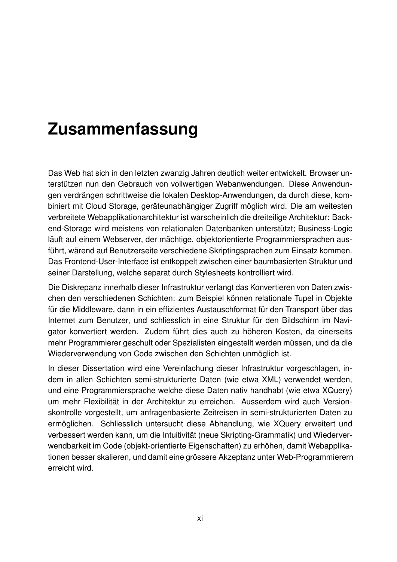## **Zusammenfassung**

Das Web hat sich in den letzten zwanzig Jahren deutlich weiter entwickelt. Browser unterstützen nun den Gebrauch von vollwertigen Webanwendungen. Diese Anwendungen verdrängen schrittweise die lokalen Desktop-Anwendungen, da durch diese, kombiniert mit Cloud Storage, geräteunabhängiger Zugriff möglich wird. Die am weitesten verbreitete Webapplikationarchitektur ist warscheinlich die dreiteilige Architektur: Backend-Storage wird meistens von relationalen Datenbanken unterstützt; Business-Logic läuft auf einem Webserver, der mächtige, objektorientierte Programmiersprachen ausführt, wärend auf Benutzerseite verschiedene Skriptingsprachen zum Einsatz kommen. Das Frontend-User-Interface ist entkoppelt zwischen einer baumbasierten Struktur und seiner Darstellung, welche separat durch Stylesheets kontrolliert wird.

Die Diskrepanz innerhalb dieser Infrastruktur verlangt das Konvertieren von Daten zwischen den verschiedenen Schichten: zum Beispiel können relationale Tupel in Objekte für die Middleware, dann in ein effizientes Austauschformat für den Transport über das Internet zum Benutzer, und schliesslich in eine Struktur für den Bildschirm im Navigator konvertiert werden. Zudem führt dies auch zu höheren Kosten, da einerseits mehr Programmierer geschult oder Spezialisten eingestellt werden müssen, und da die Wiederverwendung von Code zwischen den Schichten unmöglich ist.

In dieser Dissertation wird eine Vereinfachung dieser Infrastruktur vorgeschlagen, indem in allen Schichten semi-strukturierte Daten (wie etwa XML) verwendet werden, und eine Programmiersprache welche diese Daten nativ handhabt (wie etwa XQuery) um mehr Flexibilität in der Architektur zu erreichen. Ausserdem wird auch Versionskontrolle vorgestellt, um anfragenbasierte Zeitreisen in semi-strukturierten Daten zu ermöglichen. Schliesslich untersucht diese Abhandlung, wie XQuery erweitert und verbessert werden kann, um die Intuitivität (neue Skripting-Grammatik) und Wiederverwendbarkeit im Code (objekt-orientierte Eigenschaften) zu erhöhen, damit Webapplikationen besser skalieren, und damit eine grössere Akzeptanz unter Web-Programmierern erreicht wird.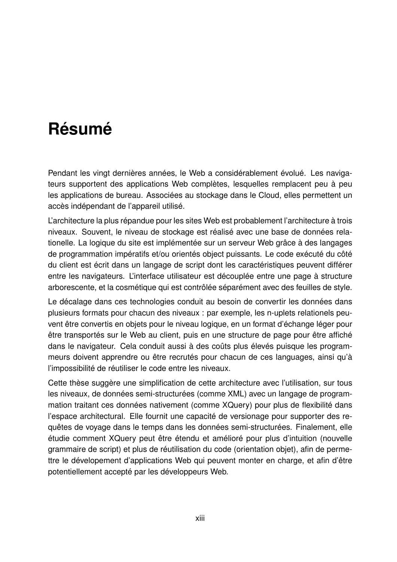## **Résumé**

Pendant les vingt dernières années, le Web a considérablement évolué. Les navigateurs supportent des applications Web complètes, lesquelles remplacent peu à peu les applications de bureau. Associées au stockage dans le Cloud, elles permettent un accès indépendant de l'appareil utilisé.

L'architecture la plus répandue pour les sites Web est probablement l'architecture à trois niveaux. Souvent, le niveau de stockage est réalisé avec une base de données relationelle. La logique du site est implémentée sur un serveur Web grâce à des langages de programmation impératifs et/ou orientés object puissants. Le code exécuté du côté du client est écrit dans un langage de script dont les caractéristiques peuvent différer entre les navigateurs. L'interface utilisateur est découplée entre une page à structure arborescente, et la cosmétique qui est contrôlée séparément avec des feuilles de style.

Le décalage dans ces technologies conduit au besoin de convertir les données dans plusieurs formats pour chacun des niveaux : par exemple, les n-uplets relationels peuvent être convertis en objets pour le niveau logique, en un format d'échange léger pour être transportés sur le Web au client, puis en une structure de page pour être affiché dans le navigateur. Cela conduit aussi à des coûts plus élevés puisque les programmeurs doivent apprendre ou être recrutés pour chacun de ces languages, ainsi qu'à l'impossibilité de réutiliser le code entre les niveaux.

Cette thèse suggère une simplification de cette architecture avec l'utilisation, sur tous les niveaux, de données semi-structurées (comme XML) avec un langage de programmation traitant ces données nativement (comme XQuery) pour plus de flexibilité dans l'espace architectural. Elle fournit une capacité de versionage pour supporter des requêtes de voyage dans le temps dans les données semi-structurées. Finalement, elle étudie comment XQuery peut être étendu et amélioré pour plus d'intuition (nouvelle grammaire de script) et plus de réutilisation du code (orientation objet), afin de permettre le dévelopement d'applications Web qui peuvent monter en charge, et afin d'être potentiellement accepté par les développeurs Web.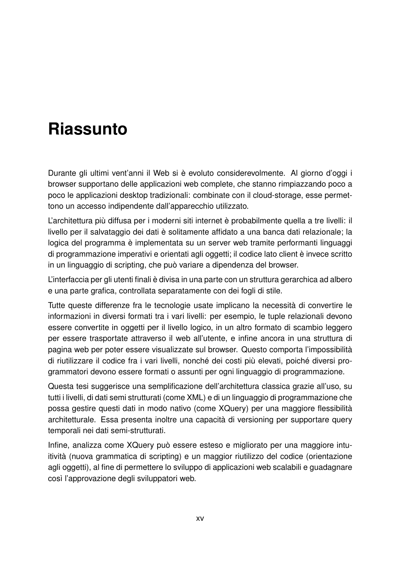## **Riassunto**

Durante gli ultimi vent'anni il Web si è evoluto considerevolmente. Al giorno d'oggi i browser supportano delle applicazioni web complete, che stanno rimpiazzando poco a poco le applicazioni desktop tradizionali: combinate con il cloud-storage, esse permettono un accesso indipendente dall'apparecchio utilizzato.

L'architettura più diffusa per i moderni siti internet è probabilmente quella a tre livelli: il livello per il salvataggio dei dati è solitamente affidato a una banca dati relazionale; la logica del programma è implementata su un server web tramite performanti linguaggi di programmazione imperativi e orientati agli oggetti; il codice lato client è invece scritto in un linguaggio di scripting, che può variare a dipendenza del browser.

L'interfaccia per gli utenti finali è divisa in una parte con un struttura gerarchica ad albero e una parte grafica, controllata separatamente con dei fogli di stile.

Tutte queste differenze fra le tecnologie usate implicano la necessità di convertire le informazioni in diversi formati tra i vari livelli: per esempio, le tuple relazionali devono essere convertite in oggetti per il livello logico, in un altro formato di scambio leggero per essere trasportate attraverso il web all'utente, e infine ancora in una struttura di pagina web per poter essere visualizzate sul browser. Questo comporta l'impossibilità di riutilizzare il codice fra i vari livelli, nonché dei costi più elevati, poiché diversi programmatori devono essere formati o assunti per ogni linguaggio di programmazione.

Questa tesi suggerisce una semplificazione dell'architettura classica grazie all'uso, su tutti i livelli, di dati semi strutturati (come XML) e di un linguaggio di programmazione che possa gestire questi dati in modo nativo (come XQuery) per una maggiore flessibilità architetturale. Essa presenta inoltre una capacità di versioning per supportare query temporali nei dati semi-strutturati.

Infine, analizza come XQuery può essere esteso e migliorato per una maggiore intuitività (nuova grammatica di scripting) e un maggior riutilizzo del codice (orientazione agli oggetti), al fine di permettere lo sviluppo di applicazioni web scalabili e guadagnare così l'approvazione degli sviluppatori web.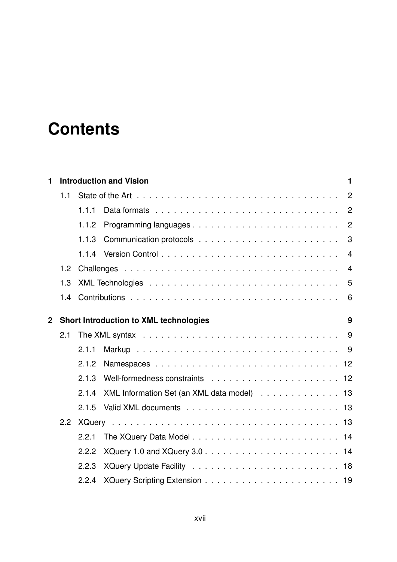## **Contents**

| 1              |     | <b>Introduction and Vision</b> |                                               |                |  |  |  |
|----------------|-----|--------------------------------|-----------------------------------------------|----------------|--|--|--|
|                | 1.1 |                                |                                               | $\overline{2}$ |  |  |  |
|                |     | 1.1.1                          |                                               | $\overline{2}$ |  |  |  |
|                |     | 1.1.2                          |                                               | $\overline{2}$ |  |  |  |
|                |     | 1.1.3                          |                                               | 3              |  |  |  |
|                |     | 1.1.4                          |                                               | $\overline{4}$ |  |  |  |
|                | 1.2 |                                |                                               | $\overline{4}$ |  |  |  |
|                | 1.3 |                                |                                               | 5              |  |  |  |
|                | 1.4 |                                |                                               | 6              |  |  |  |
| $\overline{2}$ |     |                                | <b>Short Introduction to XML technologies</b> | 9              |  |  |  |
|                | 2.1 |                                |                                               |                |  |  |  |
|                |     | 2.1.1                          |                                               |                |  |  |  |
|                |     | 2.1.2                          |                                               |                |  |  |  |
|                |     | 2.1.3                          |                                               |                |  |  |  |
|                |     | 2.1.4                          | XML Information Set (an XML data model) 13    |                |  |  |  |
|                |     | 2.1.5                          |                                               |                |  |  |  |
|                | 2.2 |                                |                                               |                |  |  |  |
|                |     | 2.2.1                          |                                               |                |  |  |  |
|                |     | 2.2.2                          |                                               |                |  |  |  |
|                |     | 2.2.3                          |                                               |                |  |  |  |
|                |     | 2.2.4                          |                                               |                |  |  |  |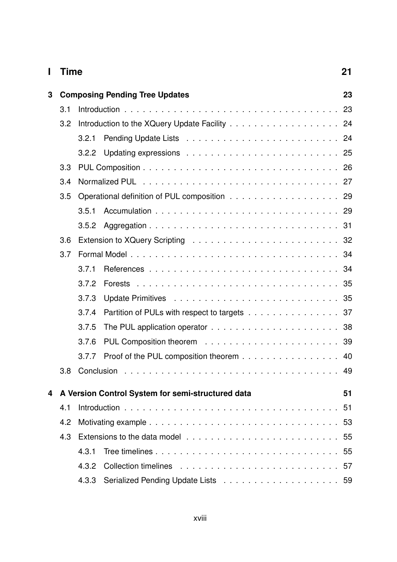| L | <b>Time</b>                           |       |                                                   |          |  |  |
|---|---------------------------------------|-------|---------------------------------------------------|----------|--|--|
| 3 | <b>Composing Pending Tree Updates</b> |       |                                                   |          |  |  |
|   | 3.1                                   |       |                                                   | 23       |  |  |
|   | 3.2                                   |       |                                                   |          |  |  |
|   |                                       | 3.2.1 |                                                   |          |  |  |
|   |                                       | 3.2.2 |                                                   |          |  |  |
|   | 3.3                                   |       |                                                   |          |  |  |
|   | 3.4                                   |       |                                                   |          |  |  |
|   | 3.5                                   |       | Operational definition of PUL composition 29      |          |  |  |
|   |                                       | 3.5.1 |                                                   |          |  |  |
|   |                                       | 3.5.2 |                                                   |          |  |  |
|   | 3.6                                   |       |                                                   |          |  |  |
|   | 3.7                                   |       |                                                   |          |  |  |
|   |                                       | 3.7.1 |                                                   |          |  |  |
|   |                                       | 3.7.2 | <b>Forests</b>                                    | 35       |  |  |
|   |                                       | 3.7.3 |                                                   |          |  |  |
|   |                                       | 3.7.4 | Partition of PULs with respect to targets 37      |          |  |  |
|   |                                       | 3.7.5 |                                                   |          |  |  |
|   |                                       | 3.7.6 |                                                   |          |  |  |
|   |                                       | 3.7.7 | Proof of the PUL composition theorem 40           |          |  |  |
|   | 3.8                                   |       |                                                   | 49       |  |  |
|   |                                       |       |                                                   |          |  |  |
| 4 |                                       |       | A Version Control System for semi-structured data | 51<br>51 |  |  |
|   | 4.1                                   |       |                                                   |          |  |  |
|   | 4.2                                   |       |                                                   |          |  |  |
|   | 4.3                                   |       |                                                   |          |  |  |
|   |                                       | 4.3.1 |                                                   |          |  |  |
|   |                                       | 4.3.2 |                                                   |          |  |  |
|   |                                       | 4.3.3 |                                                   |          |  |  |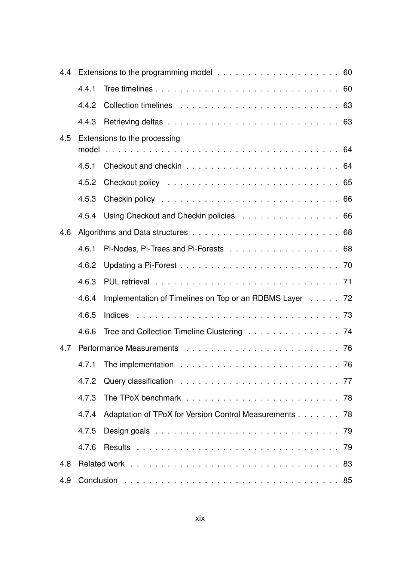| 4.4 |       |                                                         |    |  |
|-----|-------|---------------------------------------------------------|----|--|
|     | 4.4.1 |                                                         |    |  |
|     | 4.4.2 |                                                         |    |  |
|     | 4.4.3 |                                                         |    |  |
| 4.5 |       | Extensions to the processing                            |    |  |
|     |       |                                                         |    |  |
|     | 4.5.1 |                                                         |    |  |
|     |       |                                                         |    |  |
|     | 4.5.3 |                                                         |    |  |
|     |       | 4.5.4 Using Checkout and Checkin policies 66            |    |  |
| 4.6 |       |                                                         |    |  |
|     | 4.6.1 |                                                         |    |  |
|     | 4.6.2 |                                                         |    |  |
|     | 4.6.3 |                                                         |    |  |
|     | 4.6.4 | Implementation of Timelines on Top or an RDBMS Layer 72 |    |  |
|     | 4.6.5 |                                                         |    |  |
|     | 4.6.6 | Tree and Collection Timeline Clustering 74              |    |  |
| 4.7 |       |                                                         |    |  |
|     |       | 4.7.1 The implementation                                | 76 |  |
|     | 4.7.2 |                                                         |    |  |
|     | 4.7.3 |                                                         |    |  |
|     | 4.7.4 | Adaptation of TPoX for Version Control Measurements 78  |    |  |
|     | 4.7.5 |                                                         |    |  |
|     | 4.7.6 |                                                         |    |  |
| 4.8 |       |                                                         |    |  |
| 4.9 |       |                                                         |    |  |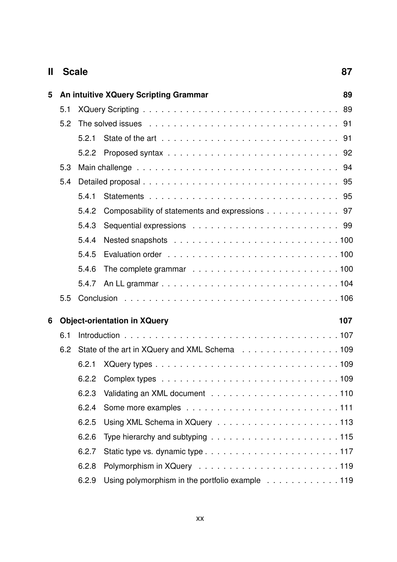| Ш | <b>Scale</b>                        |       |                                                                                                                                                                                                                                |    |  |
|---|-------------------------------------|-------|--------------------------------------------------------------------------------------------------------------------------------------------------------------------------------------------------------------------------------|----|--|
| 5 |                                     |       | An intuitive XQuery Scripting Grammar                                                                                                                                                                                          | 89 |  |
|   | 5.1                                 |       |                                                                                                                                                                                                                                |    |  |
|   | 5.2                                 |       | The solved issues enterpreteration of the solve of the solve of the set of the set of the solve of the solve of the solve of the solve of the solve of the solve of the solve of the solve of the solve of the solve of the so |    |  |
|   |                                     | 5.2.1 |                                                                                                                                                                                                                                |    |  |
|   |                                     | 5.2.2 |                                                                                                                                                                                                                                |    |  |
|   | 5.3                                 |       |                                                                                                                                                                                                                                |    |  |
|   | 5.4                                 |       |                                                                                                                                                                                                                                |    |  |
|   |                                     | 5.4.1 |                                                                                                                                                                                                                                |    |  |
|   |                                     | 5.4.2 | Composability of statements and expressions 97                                                                                                                                                                                 |    |  |
|   |                                     | 5.4.3 |                                                                                                                                                                                                                                |    |  |
|   |                                     | 5.4.4 |                                                                                                                                                                                                                                |    |  |
|   |                                     | 5.4.5 |                                                                                                                                                                                                                                |    |  |
|   |                                     | 5.4.6 |                                                                                                                                                                                                                                |    |  |
|   |                                     | 5.4.7 |                                                                                                                                                                                                                                |    |  |
|   | 5.5                                 |       |                                                                                                                                                                                                                                |    |  |
| 6 | <b>Object-orientation in XQuery</b> |       |                                                                                                                                                                                                                                |    |  |
|   | 6.1                                 |       |                                                                                                                                                                                                                                |    |  |
|   | 6.2                                 |       | State of the art in XQuery and XML Schema 109                                                                                                                                                                                  |    |  |
|   |                                     |       |                                                                                                                                                                                                                                |    |  |
|   |                                     | 6.2.2 |                                                                                                                                                                                                                                |    |  |
|   |                                     | 6.2.3 |                                                                                                                                                                                                                                |    |  |
|   |                                     | 6.2.4 |                                                                                                                                                                                                                                |    |  |
|   |                                     | 6.2.5 |                                                                                                                                                                                                                                |    |  |
|   |                                     | 6.2.6 | Type hierarchy and subtyping $\ldots \ldots \ldots \ldots \ldots \ldots \ldots \ldots \ldots$                                                                                                                                  |    |  |
|   |                                     | 6.2.7 |                                                                                                                                                                                                                                |    |  |
|   |                                     | 6.2.8 |                                                                                                                                                                                                                                |    |  |
|   |                                     | 6.2.9 | Using polymorphism in the portfolio example 119                                                                                                                                                                                |    |  |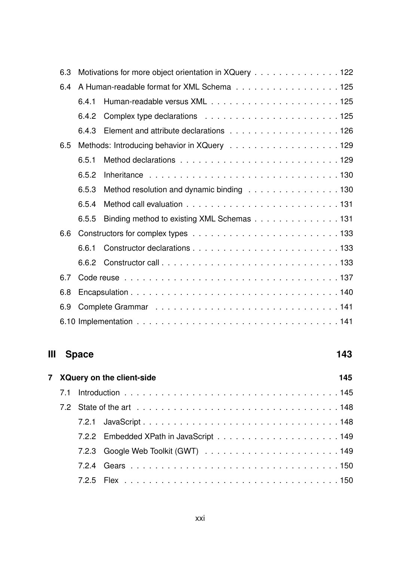| 6.3 |                                             | Motivations for more object orientation in XQuery 122 |  |  |
|-----|---------------------------------------------|-------------------------------------------------------|--|--|
| 6.4 | A Human-readable format for XML Schema 125  |                                                       |  |  |
|     | 6.4.1                                       |                                                       |  |  |
|     |                                             |                                                       |  |  |
|     | 6.4.3                                       |                                                       |  |  |
| 6.5 | Methods: Introducing behavior in XQuery 129 |                                                       |  |  |
|     | 6.5.1                                       |                                                       |  |  |
|     | 6.5.2                                       |                                                       |  |  |
|     | 6.5.3                                       | Method resolution and dynamic binding 130             |  |  |
|     | 6.5.4                                       |                                                       |  |  |
|     | 6.5.5                                       | Binding method to existing XML Schemas 131            |  |  |
| 6.6 |                                             |                                                       |  |  |
|     | 6.6.1                                       |                                                       |  |  |
|     |                                             |                                                       |  |  |
| 6.7 |                                             |                                                       |  |  |
| 6.8 |                                             |                                                       |  |  |
| 6.9 |                                             |                                                       |  |  |
|     |                                             |                                                       |  |  |

## **III** Space 143

| 7 XQuery on the client-side |  |  |  |  |  |  |
|-----------------------------|--|--|--|--|--|--|
|                             |  |  |  |  |  |  |
|                             |  |  |  |  |  |  |
|                             |  |  |  |  |  |  |
|                             |  |  |  |  |  |  |
|                             |  |  |  |  |  |  |
|                             |  |  |  |  |  |  |
|                             |  |  |  |  |  |  |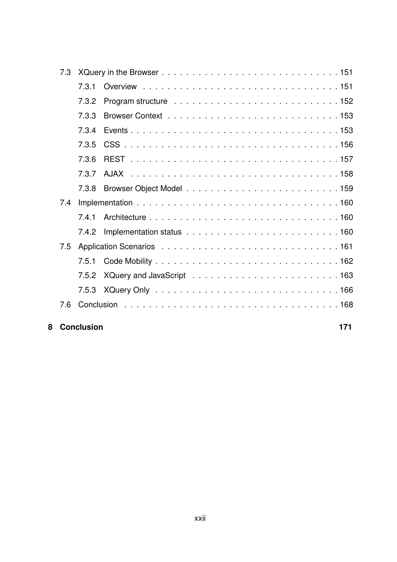| 8 |     | <b>Conclusion</b> | 171 |
|---|-----|-------------------|-----|
|   | 7.6 |                   |     |
|   |     |                   |     |
|   |     | 7.5.2             |     |
|   |     | 7.5.1             |     |
|   | 7.5 |                   |     |
|   |     | 7.4.2             |     |
|   |     | 7.4.1             |     |
|   | 7.4 |                   |     |
|   |     | 7.3.8             |     |
|   |     | 7.3.7             |     |
|   |     | 7.3.6             |     |
|   |     | 7.3.5             |     |
|   |     | 7.3.4             |     |
|   |     | 7.3.3             |     |
|   |     | 7.3.2             |     |
|   |     | 7.3.1             |     |
|   | 7.3 |                   |     |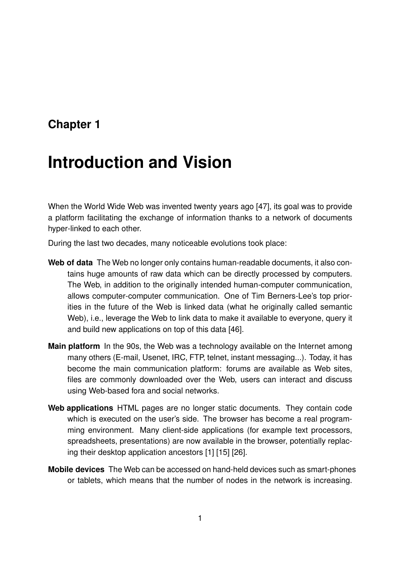## **Chapter 1**

## **Introduction and Vision**

When the World Wide Web was invented twenty years ago [47], its goal was to provide a platform facilitating the exchange of information thanks to a network of documents hyper-linked to each other.

During the last two decades, many noticeable evolutions took place:

- **Web of data** The Web no longer only contains human-readable documents, it also contains huge amounts of raw data which can be directly processed by computers. The Web, in addition to the originally intended human-computer communication, allows computer-computer communication. One of Tim Berners-Lee's top priorities in the future of the Web is linked data (what he originally called semantic Web), i.e., leverage the Web to link data to make it available to everyone, query it and build new applications on top of this data [46].
- **Main platform** In the 90s, the Web was a technology available on the Internet among many others (E-mail, Usenet, IRC, FTP, telnet, instant messaging...). Today, it has become the main communication platform: forums are available as Web sites, files are commonly downloaded over the Web, users can interact and discuss using Web-based fora and social networks.
- **Web applications** HTML pages are no longer static documents. They contain code which is executed on the user's side. The browser has become a real programming environment. Many client-side applications (for example text processors, spreadsheets, presentations) are now available in the browser, potentially replacing their desktop application ancestors [1] [15] [26].
- **Mobile devices** The Web can be accessed on hand-held devices such as smart-phones or tablets, which means that the number of nodes in the network is increasing.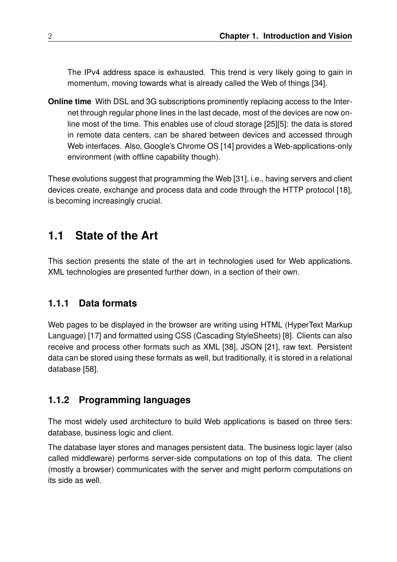The IPv4 address space is exhausted. This trend is very likely going to gain in momentum, moving towards what is already called the Web of things [34].

**Online time** With DSL and 3G subscriptions prominently replacing access to the Internet through regular phone lines in the last decade, most of the devices are now online most of the time. This enables use of cloud storage [25][5]: the data is stored in remote data centers, can be shared between devices and accessed through Web interfaces. Also, Google's Chrome OS [14] provides a Web-applications-only environment (with offline capability though).

These evolutions suggest that programming the Web [31], i.e., having servers and client devices create, exchange and process data and code through the HTTP protocol [18], is becoming increasingly crucial.

## **1.1 State of the Art**

This section presents the state of the art in technologies used for Web applications. XML technologies are presented further down, in a section of their own.

### **1.1.1 Data formats**

Web pages to be displayed in the browser are writing using HTML (HyperText Markup Language) [17] and formatted using CSS (Cascading StyleSheets) [8]. Clients can also receive and process other formats such as XML [38], JSON [21], raw text. Persistent data can be stored using these formats as well, but traditionally, it is stored in a relational database [58].

### **1.1.2 Programming languages**

The most widely used architecture to build Web applications is based on three tiers: database, business logic and client.

The database layer stores and manages persistent data. The business logic layer (also called middleware) performs server-side computations on top of this data. The client (mostly a browser) communicates with the server and might perform computations on its side as well.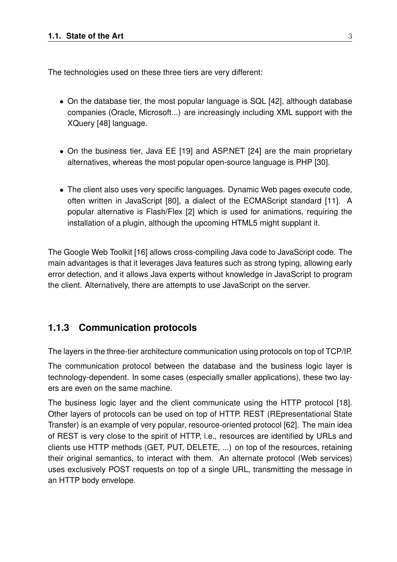The technologies used on these three tiers are very different:

- On the database tier, the most popular language is SQL [42], although database companies (Oracle, Microsoft...) are increasingly including XML support with the XQuery [48] language.
- On the business tier, Java EE [19] and ASP.NET [24] are the main proprietary alternatives, whereas the most popular open-source language is PHP [30].
- The client also uses very specific languages. Dynamic Web pages execute code, often written in JavaScript [80], a dialect of the ECMAScript standard [11]. A popular alternative is Flash/Flex [2] which is used for animations, requiring the installation of a plugin, although the upcoming HTML5 might supplant it.

The Google Web Toolkit [16] allows cross-compiling Java code to JavaScript code. The main advantages is that it leverages Java features such as strong typing, allowing early error detection, and it allows Java experts without knowledge in JavaScript to program the client. Alternatively, there are attempts to use JavaScript on the server.

#### **1.1.3 Communication protocols**

The layers in the three-tier architecture communication using protocols on top of TCP/IP.

The communication protocol between the database and the business logic layer is technology-dependent. In some cases (especially smaller applications), these two layers are even on the same machine.

The business logic layer and the client communicate using the HTTP protocol [18]. Other layers of protocols can be used on top of HTTP. REST (REpresentational State Transfer) is an example of very popular, resource-oriented protocol [62]. The main idea of REST is very close to the spirit of HTTP, i.e., resources are identified by URLs and clients use HTTP methods (GET, PUT, DELETE, ...) on top of the resources, retaining their original semantics, to interact with them. An alternate protocol (Web services) uses exclusively POST requests on top of a single URL, transmitting the message in an HTTP body envelope.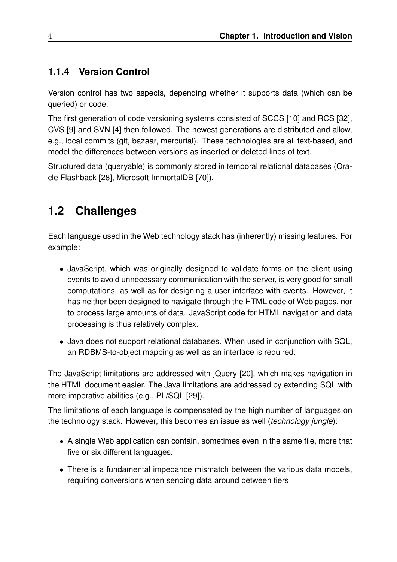### **1.1.4 Version Control**

Version control has two aspects, depending whether it supports data (which can be queried) or code.

The first generation of code versioning systems consisted of SCCS [10] and RCS [32], CVS [9] and SVN [4] then followed. The newest generations are distributed and allow, e.g., local commits (git, bazaar, mercurial). These technologies are all text-based, and model the differences between versions as inserted or deleted lines of text.

Structured data (queryable) is commonly stored in temporal relational databases (Oracle Flashback [28], Microsoft ImmortalDB [70]).

## **1.2 Challenges**

Each language used in the Web technology stack has (inherently) missing features. For example:

- JavaScript, which was originally designed to validate forms on the client using events to avoid unnecessary communication with the server, is very good for small computations, as well as for designing a user interface with events. However, it has neither been designed to navigate through the HTML code of Web pages, nor to process large amounts of data. JavaScript code for HTML navigation and data processing is thus relatively complex.
- Java does not support relational databases. When used in conjunction with SQL, an RDBMS-to-object mapping as well as an interface is required.

The JavaScript limitations are addressed with jQuery [20], which makes navigation in the HTML document easier. The Java limitations are addressed by extending SQL with more imperative abilities (e.g., PL/SQL [29]).

The limitations of each language is compensated by the high number of languages on the technology stack. However, this becomes an issue as well (*technology jungle*):

- A single Web application can contain, sometimes even in the same file, more that five or six different languages.
- There is a fundamental impedance mismatch between the various data models, requiring conversions when sending data around between tiers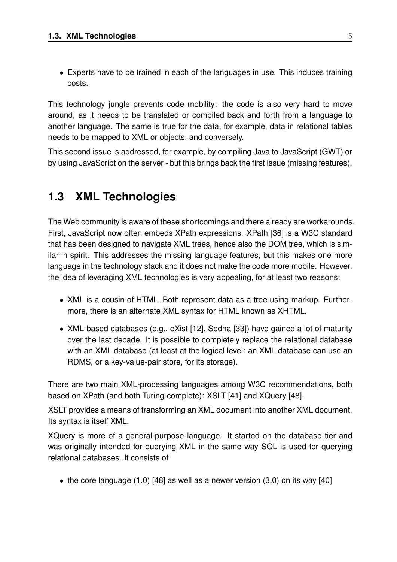• Experts have to be trained in each of the languages in use. This induces training costs.

This technology jungle prevents code mobility: the code is also very hard to move around, as it needs to be translated or compiled back and forth from a language to another language. The same is true for the data, for example, data in relational tables needs to be mapped to XML or objects, and conversely.

This second issue is addressed, for example, by compiling Java to JavaScript (GWT) or by using JavaScript on the server - but this brings back the first issue (missing features).

## **1.3 XML Technologies**

The Web community is aware of these shortcomings and there already are workarounds. First, JavaScript now often embeds XPath expressions. XPath [36] is a W3C standard that has been designed to navigate XML trees, hence also the DOM tree, which is similar in spirit. This addresses the missing language features, but this makes one more language in the technology stack and it does not make the code more mobile. However, the idea of leveraging XML technologies is very appealing, for at least two reasons:

- XML is a cousin of HTML. Both represent data as a tree using markup. Furthermore, there is an alternate XML syntax for HTML known as XHTML.
- XML-based databases (e.g., eXist [12], Sedna [33]) have gained a lot of maturity over the last decade. It is possible to completely replace the relational database with an XML database (at least at the logical level: an XML database can use an RDMS, or a key-value-pair store, for its storage).

There are two main XML-processing languages among W3C recommendations, both based on XPath (and both Turing-complete): XSLT [41] and XQuery [48].

XSLT provides a means of transforming an XML document into another XML document. Its syntax is itself XML.

XQuery is more of a general-purpose language. It started on the database tier and was originally intended for querying XML in the same way SQL is used for querying relational databases. It consists of

• the core language  $(1.0)$  [48] as well as a newer version  $(3.0)$  on its way [40]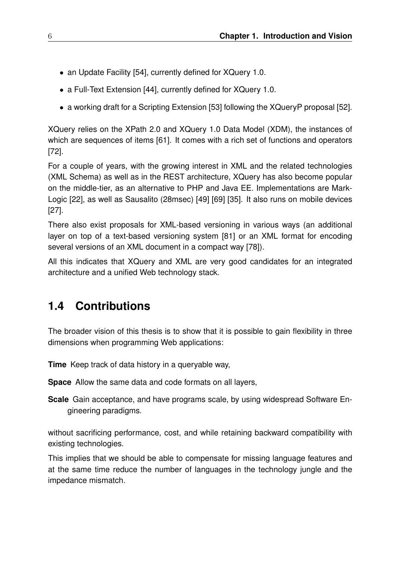- an Update Facility [54], currently defined for XQuery 1.0.
- a Full-Text Extension [44], currently defined for XQuery 1.0.
- a working draft for a Scripting Extension [53] following the XQueryP proposal [52].

XQuery relies on the XPath 2.0 and XQuery 1.0 Data Model (XDM), the instances of which are sequences of items [61]. It comes with a rich set of functions and operators [72].

For a couple of years, with the growing interest in XML and the related technologies (XML Schema) as well as in the REST architecture, XQuery has also become popular on the middle-tier, as an alternative to PHP and Java EE. Implementations are Mark-Logic [22], as well as Sausalito (28msec) [49] [69] [35]. It also runs on mobile devices [27].

There also exist proposals for XML-based versioning in various ways (an additional layer on top of a text-based versioning system [81] or an XML format for encoding several versions of an XML document in a compact way [78]).

All this indicates that XQuery and XML are very good candidates for an integrated architecture and a unified Web technology stack.

### **1.4 Contributions**

The broader vision of this thesis is to show that it is possible to gain flexibility in three dimensions when programming Web applications:

**Time** Keep track of data history in a queryable way,

**Space** Allow the same data and code formats on all layers,

**Scale** Gain acceptance, and have programs scale, by using widespread Software Engineering paradigms.

without sacrificing performance, cost, and while retaining backward compatibility with existing technologies.

This implies that we should be able to compensate for missing language features and at the same time reduce the number of languages in the technology jungle and the impedance mismatch.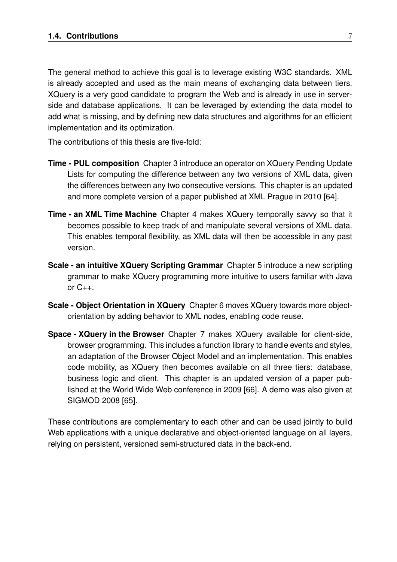The general method to achieve this goal is to leverage existing W3C standards. XML is already accepted and used as the main means of exchanging data between tiers. XQuery is a very good candidate to program the Web and is already in use in serverside and database applications. It can be leveraged by extending the data model to add what is missing, and by defining new data structures and algorithms for an efficient implementation and its optimization.

The contributions of this thesis are five-fold:

- **Time PUL composition** Chapter 3 introduce an operator on XQuery Pending Update Lists for computing the difference between any two versions of XML data, given the differences between any two consecutive versions. This chapter is an updated and more complete version of a paper published at XML Prague in 2010 [64].
- **Time an XML Time Machine** Chapter 4 makes XQuery temporally savvy so that it becomes possible to keep track of and manipulate several versions of XML data. This enables temporal flexibility, as XML data will then be accessible in any past version.
- **Scale an intuitive XQuery Scripting Grammar** Chapter 5 introduce a new scripting grammar to make XQuery programming more intuitive to users familiar with Java or  $C_{++}$ .
- **Scale Object Orientation in XQuery** Chapter 6 moves XQuery towards more objectorientation by adding behavior to XML nodes, enabling code reuse.
- **Space XQuery in the Browser** Chapter 7 makes XQuery available for client-side, browser programming. This includes a function library to handle events and styles, an adaptation of the Browser Object Model and an implementation. This enables code mobility, as XQuery then becomes available on all three tiers: database, business logic and client. This chapter is an updated version of a paper published at the World Wide Web conference in 2009 [66]. A demo was also given at SIGMOD 2008 [65].

These contributions are complementary to each other and can be used jointly to build Web applications with a unique declarative and object-oriented language on all layers, relying on persistent, versioned semi-structured data in the back-end.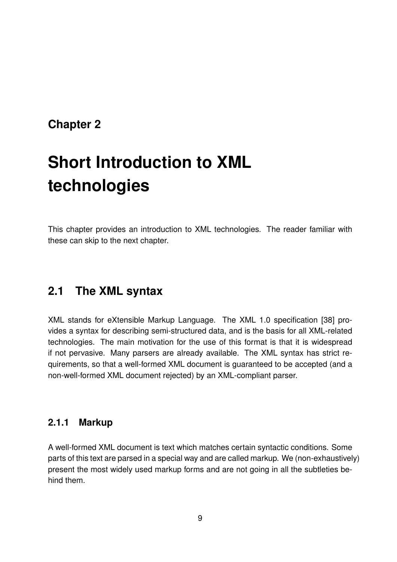## **Chapter 2**

# **Short Introduction to XML technologies**

This chapter provides an introduction to XML technologies. The reader familiar with these can skip to the next chapter.

### **2.1 The XML syntax**

XML stands for eXtensible Markup Language. The XML 1.0 specification [38] provides a syntax for describing semi-structured data, and is the basis for all XML-related technologies. The main motivation for the use of this format is that it is widespread if not pervasive. Many parsers are already available. The XML syntax has strict requirements, so that a well-formed XML document is guaranteed to be accepted (and a non-well-formed XML document rejected) by an XML-compliant parser.

### **2.1.1 Markup**

A well-formed XML document is text which matches certain syntactic conditions. Some parts of this text are parsed in a special way and are called markup. We (non-exhaustively) present the most widely used markup forms and are not going in all the subtleties behind them.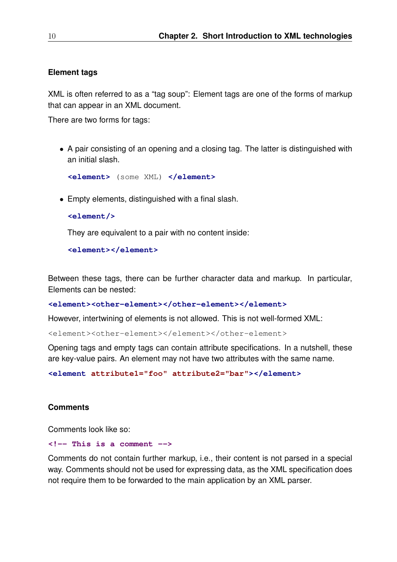#### **Element tags**

XML is often referred to as a "tag soup": Element tags are one of the forms of markup that can appear in an XML document.

There are two forms for tags:

• A pair consisting of an opening and a closing tag. The latter is distinguished with an initial slash.

```
<element> (some XML) </element>
```
• Empty elements, distinguished with a final slash.

```
<element/>
```
They are equivalent to a pair with no content inside:

**<element></element>**

Between these tags, there can be further character data and markup. In particular, Elements can be nested:

**<element><other-element></other-element></element>**

However, intertwining of elements is not allowed. This is not well-formed XML:

<element><other-element></element></other-element>

Opening tags and empty tags can contain attribute specifications. In a nutshell, these are key-value pairs. An element may not have two attributes with the same name.

**<element attribute1="foo" attribute2="bar"></element>**

#### **Comments**

Comments look like so:

#### **<!-- This is a comment -->**

Comments do not contain further markup, i.e., their content is not parsed in a special way. Comments should not be used for expressing data, as the XML specification does not require them to be forwarded to the main application by an XML parser.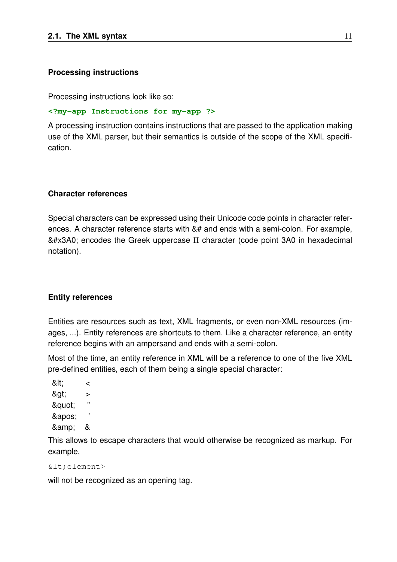#### **Processing instructions**

Processing instructions look like so:

#### **<?my-app Instructions for my-app ?>**

A processing instruction contains instructions that are passed to the application making use of the XML parser, but their semantics is outside of the scope of the XML specification.

#### **Character references**

Special characters can be expressed using their Unicode code points in character references. A character reference starts with &# and ends with a semi-colon. For example,  $& #x3A0$ ; encodes the Greek uppercase  $\Pi$  character (code point 3A0 in hexadecimal notation).

#### **Entity references**

Entities are resources such as text, XML fragments, or even non-XML resources (images, ...). Entity references are shortcuts to them. Like a character reference, an entity reference begins with an ampersand and ends with a semi-colon.

Most of the time, an entity reference in XML will be a reference to one of the five XML pre-defined entities, each of them being a single special character:

< < & at: > " & auot: ' ' & amp: &

This allows to escape characters that would otherwise be recognized as markup. For example,

```
\&lt; element>
```
will not be recognized as an opening tag.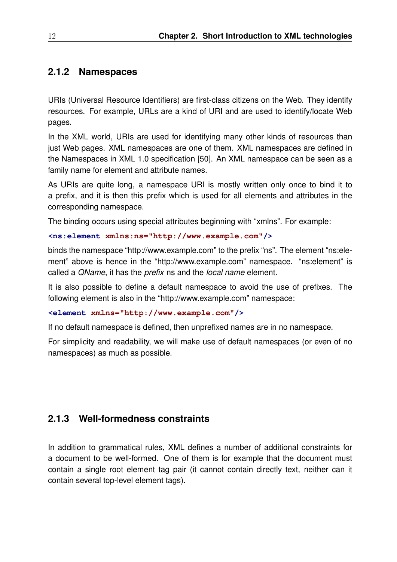### **2.1.2 Namespaces**

URIs (Universal Resource Identifiers) are first-class citizens on the Web. They identify resources. For example, URLs are a kind of URI and are used to identify/locate Web pages.

In the XML world, URIs are used for identifying many other kinds of resources than just Web pages. XML namespaces are one of them. XML namespaces are defined in the Namespaces in XML 1.0 specification [50]. An XML namespace can be seen as a family name for element and attribute names.

As URIs are quite long, a namespace URI is mostly written only once to bind it to a prefix, and it is then this prefix which is used for all elements and attributes in the corresponding namespace.

The binding occurs using special attributes beginning with "xmlns". For example:

#### **<ns:element xmlns:ns="http://www.example.com"/>**

binds the namespace "http://www.example.com" to the prefix "ns". The element "ns:element" above is hence in the "http://www.example.com" namespace. "ns:element" is called a *QName*, it has the *prefix* ns and the *local name* element.

It is also possible to define a default namespace to avoid the use of prefixes. The following element is also in the "http://www.example.com" namespace:

#### **<element xmlns="http://www.example.com"/>**

If no default namespace is defined, then unprefixed names are in no namespace.

For simplicity and readability, we will make use of default namespaces (or even of no namespaces) as much as possible.

#### **2.1.3 Well-formedness constraints**

In addition to grammatical rules, XML defines a number of additional constraints for a document to be well-formed. One of them is for example that the document must contain a single root element tag pair (it cannot contain directly text, neither can it contain several top-level element tags).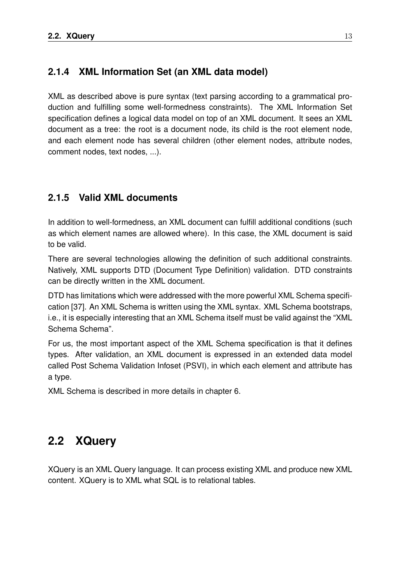#### **2.1.4 XML Information Set (an XML data model)**

XML as described above is pure syntax (text parsing according to a grammatical production and fulfilling some well-formedness constraints). The XML Information Set specification defines a logical data model on top of an XML document. It sees an XML document as a tree: the root is a document node, its child is the root element node, and each element node has several children (other element nodes, attribute nodes, comment nodes, text nodes, ...).

### **2.1.5 Valid XML documents**

In addition to well-formedness, an XML document can fulfill additional conditions (such as which element names are allowed where). In this case, the XML document is said to be valid.

There are several technologies allowing the definition of such additional constraints. Natively, XML supports DTD (Document Type Definition) validation. DTD constraints can be directly written in the XML document.

DTD has limitations which were addressed with the more powerful XML Schema specification [37]. An XML Schema is written using the XML syntax. XML Schema bootstraps, i.e., it is especially interesting that an XML Schema itself must be valid against the "XML Schema Schema".

For us, the most important aspect of the XML Schema specification is that it defines types. After validation, an XML document is expressed in an extended data model called Post Schema Validation Infoset (PSVI), in which each element and attribute has a type.

XML Schema is described in more details in chapter 6.

## **2.2 XQuery**

XQuery is an XML Query language. It can process existing XML and produce new XML content. XQuery is to XML what SQL is to relational tables.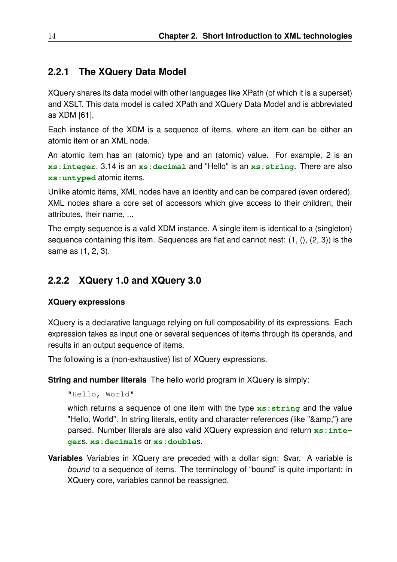#### **2.2.1 The XQuery Data Model**

XQuery shares its data model with other languages like XPath (of which it is a superset) and XSLT. This data model is called XPath and XQuery Data Model and is abbreviated as XDM [61].

Each instance of the XDM is a sequence of items, where an item can be either an atomic item or an XML node.

An atomic item has an (atomic) type and an (atomic) value. For example, 2 is an **xs:integer**, 3.14 is an **xs:decimal** and "Hello" is an **xs:string**. There are also **xs:untyped** atomic items.

Unlike atomic items, XML nodes have an identity and can be compared (even ordered). XML nodes share a core set of accessors which give access to their children, their attributes, their name, ...

The empty sequence is a valid XDM instance. A single item is identical to a (singleton) sequence containing this item. Sequences are flat and cannot nest: (1, (), (2, 3)) is the same as (1, 2, 3).

### **2.2.2 XQuery 1.0 and XQuery 3.0**

#### **XQuery expressions**

XQuery is a declarative language relying on full composability of its expressions. Each expression takes as input one or several sequences of items through its operands, and results in an output sequence of items.

The following is a (non-exhaustive) list of XQuery expressions.

**String and number literals** The hello world program in XQuery is simply:

"Hello, World"

which returns a sequence of one item with the type **xs:string** and the value "Hello, World". In string literals, entity and character references (like "&") are parsed. Number literals are also valid XQuery expression and return **xs:integer**s, **xs:decimal**s or **xs:double**s.

**Variables** Variables in XQuery are preceded with a dollar sign: \$var. A variable is *bound* to a sequence of items. The terminology of "bound" is quite important: in XQuery core, variables cannot be reassigned.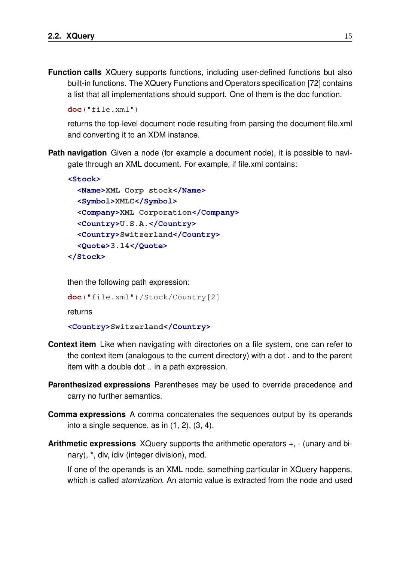**Function calls** XQuery supports functions, including user-defined functions but also built-in functions. The XQuery Functions and Operators specification [72] contains a list that all implementations should support. One of them is the doc function.

```
doc("file.xml")
```
returns the top-level document node resulting from parsing the document file.xml and converting it to an XDM instance.

**Path navigation** Given a node (for example a document node), it is possible to navigate through an XML document. For example, if file.xml contains:

```
<Stock>
 <Name>XML Corp stock</Name>
 <Symbol>XMLC</Symbol>
 <Company>XML Corporation</Company>
 <Country>U.S.A.</Country>
 <Country>Switzerland</Country>
 <Quote>3.14</Quote>
</Stock>
```
then the following path expression:

```
doc("file.xml")/Stock/Country[2]
```
returns

**<Country>Switzerland</Country>**

- **Context item** Like when navigating with directories on a file system, one can refer to the context item (analogous to the current directory) with a dot . and to the parent item with a double dot .. in a path expression.
- **Parenthesized expressions** Parentheses may be used to override precedence and carry no further semantics.
- **Comma expressions** A comma concatenates the sequences output by its operands into a single sequence, as in (1, 2), (3, 4).
- **Arithmetic expressions** XQuery supports the arithmetic operators +, (unary and binary), \*, div, idiv (integer division), mod.

If one of the operands is an XML node, something particular in XQuery happens, which is called *atomization*. An atomic value is extracted from the node and used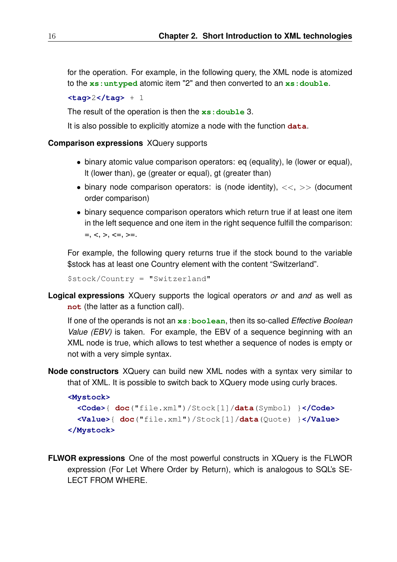for the operation. For example, in the following query, the XML node is atomized to the **xs:untyped** atomic item "2" and then converted to an **xs:double**.

**<tag>**2**</tag>** + 1

The result of the operation is then the **xs:double** 3.

It is also possible to explicitly atomize a node with the function **data**.

#### **Comparison expressions** XQuery supports

- binary atomic value comparison operators: eq (equality), le (lower or equal), lt (lower than), ge (greater or equal), gt (greater than)
- binary node comparison operators: is (node identity),  $\langle \langle \rangle \rangle$  (document order comparison)
- binary sequence comparison operators which return true if at least one item in the left sequence and one item in the right sequence fulfill the comparison:  $=, <, >, <=, >=.$

For example, the following query returns true if the stock bound to the variable \$stock has at least one Country element with the content "Switzerland".

\$stock/Country = "Switzerland"

**Logical expressions** XQuery supports the logical operators *or* and *and* as well as **not** (the latter as a function call).

If one of the operands is not an **xs:boolean**, then its so-called *Effective Boolean Value (EBV)* is taken. For example, the EBV of a sequence beginning with an XML node is true, which allows to test whether a sequence of nodes is empty or not with a very simple syntax.

**Node constructors** XQuery can build new XML nodes with a syntax very similar to that of XML. It is possible to switch back to XQuery mode using curly braces.

```
<Mystock>
 <Code>{ doc("file.xml")/Stock[1]/data(Symbol) }</Code>
  <Value>{ doc("file.xml")/Stock[1]/data(Quote) }</Value>
</Mystock>
```
**FLWOR expressions** One of the most powerful constructs in XQuery is the FLWOR expression (For Let Where Order by Return), which is analogous to SQL's SE-LECT FROM WHERE.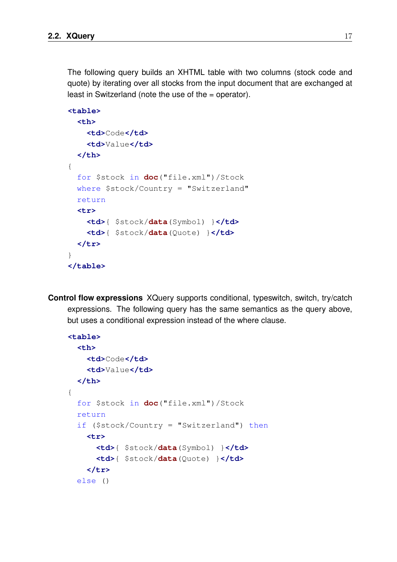The following query builds an XHTML table with two columns (stock code and quote) by iterating over all stocks from the input document that are exchanged at least in Switzerland (note the use of the = operator).

```
<table>
 <th>
    <td>Code</td>
    <td>Value</td>
 </th>
{
 for $stock in doc("file.xml")/Stock
 where $stock/Country = "Switzerland"
 return
 <tr>
    <td>{ $stock/data(Symbol) }</td>
    <td>{ $stock/data(Quote) }</td>
 </tr>
}
</table>
```
**Control flow expressions** XQuery supports conditional, typeswitch, switch, try/catch expressions. The following query has the same semantics as the query above, but uses a conditional expression instead of the where clause.

```
<table>
 <th>
    <td>Code</td>
    <td>Value</td>
 </th>
{
 for $stock in doc("file.xml")/Stock
 return
 if ($stock/Country = "Switzerland") then
    <tr>
      <td>{ $stock/data(Symbol) }</td>
      <td>{ $stock/data(Quote) }</td>
    </tr>
 else ()
```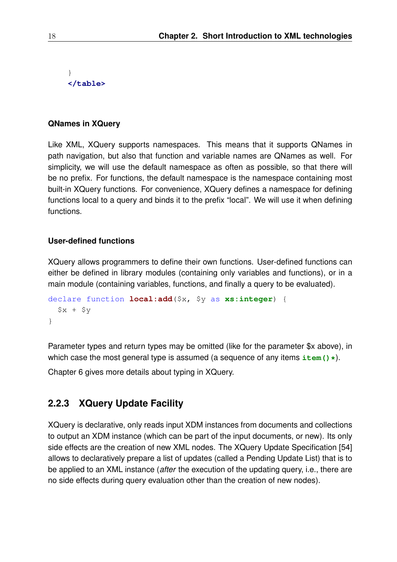```
}
</table>
```
#### **QNames in XQuery**

Like XML, XQuery supports namespaces. This means that it supports QNames in path navigation, but also that function and variable names are QNames as well. For simplicity, we will use the default namespace as often as possible, so that there will be no prefix. For functions, the default namespace is the namespace containing most built-in XQuery functions. For convenience, XQuery defines a namespace for defining functions local to a query and binds it to the prefix "local". We will use it when defining functions.

#### **User-defined functions**

XQuery allows programmers to define their own functions. User-defined functions can either be defined in library modules (containing only variables and functions), or in a main module (containing variables, functions, and finally a query to be evaluated).

```
declare function local:add($x, $y as xs:integer) {
  $x + $y}
```
Parameter types and return types may be omitted (like for the parameter \$x above), in which case the most general type is assumed (a sequence of any items  $item() \star)$ .

Chapter 6 gives more details about typing in XQuery.

## **2.2.3 XQuery Update Facility**

XQuery is declarative, only reads input XDM instances from documents and collections to output an XDM instance (which can be part of the input documents, or new). Its only side effects are the creation of new XML nodes. The XQuery Update Specification [54] allows to declaratively prepare a list of updates (called a Pending Update List) that is to be applied to an XML instance (*after* the execution of the updating query, i.e., there are no side effects during query evaluation other than the creation of new nodes).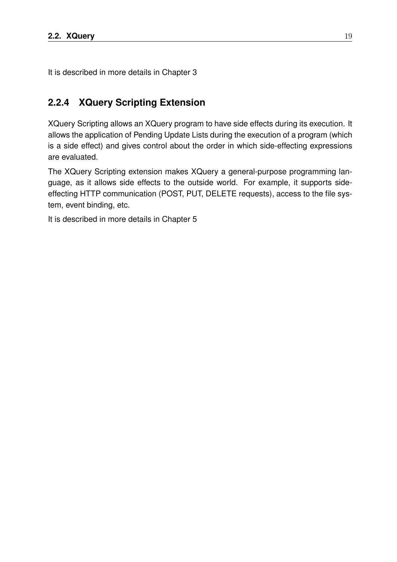It is described in more details in Chapter 3

## **2.2.4 XQuery Scripting Extension**

XQuery Scripting allows an XQuery program to have side effects during its execution. It allows the application of Pending Update Lists during the execution of a program (which is a side effect) and gives control about the order in which side-effecting expressions are evaluated.

The XQuery Scripting extension makes XQuery a general-purpose programming language, as it allows side effects to the outside world. For example, it supports sideeffecting HTTP communication (POST, PUT, DELETE requests), access to the file system, event binding, etc.

It is described in more details in Chapter 5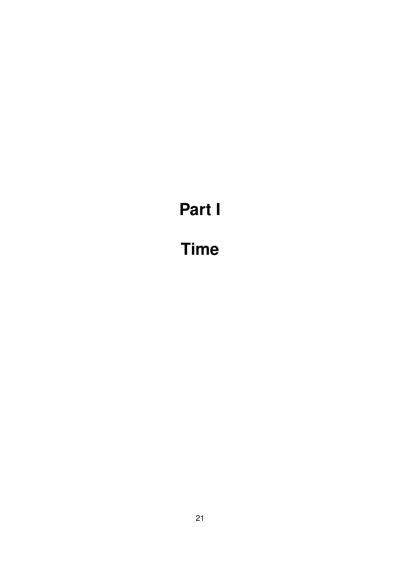# **Part I**

# **Time**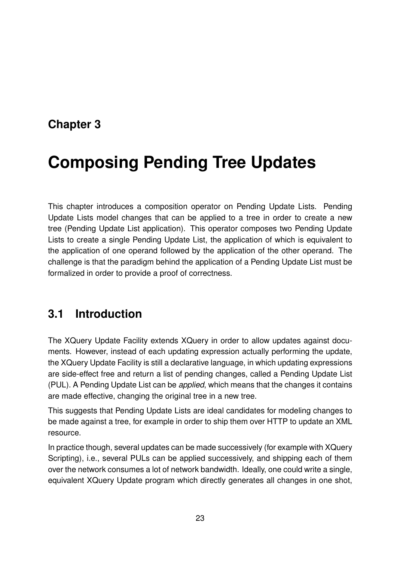# **Chapter 3**

# **Composing Pending Tree Updates**

This chapter introduces a composition operator on Pending Update Lists. Pending Update Lists model changes that can be applied to a tree in order to create a new tree (Pending Update List application). This operator composes two Pending Update Lists to create a single Pending Update List, the application of which is equivalent to the application of one operand followed by the application of the other operand. The challenge is that the paradigm behind the application of a Pending Update List must be formalized in order to provide a proof of correctness.

# **3.1 Introduction**

The XQuery Update Facility extends XQuery in order to allow updates against documents. However, instead of each updating expression actually performing the update, the XQuery Update Facility is still a declarative language, in which updating expressions are side-effect free and return a list of pending changes, called a Pending Update List (PUL). A Pending Update List can be *applied*, which means that the changes it contains are made effective, changing the original tree in a new tree.

This suggests that Pending Update Lists are ideal candidates for modeling changes to be made against a tree, for example in order to ship them over HTTP to update an XML resource.

In practice though, several updates can be made successively (for example with XQuery Scripting), i.e., several PULs can be applied successively, and shipping each of them over the network consumes a lot of network bandwidth. Ideally, one could write a single, equivalent XQuery Update program which directly generates all changes in one shot,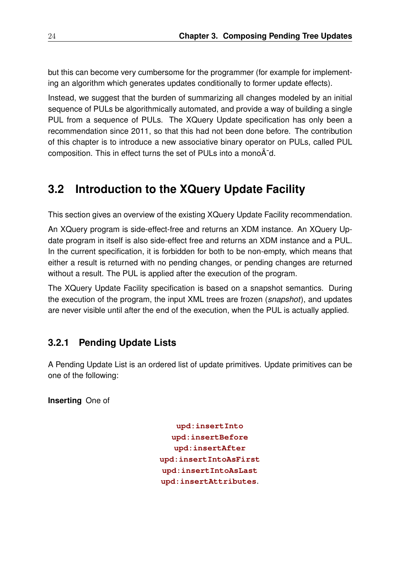but this can become very cumbersome for the programmer (for example for implementing an algorithm which generates updates conditionally to former update effects).

Instead, we suggest that the burden of summarizing all changes modeled by an initial sequence of PULs be algorithmically automated, and provide a way of building a single PUL from a sequence of PULs. The XQuery Update specification has only been a recommendation since 2011, so that this had not been done before. The contribution of this chapter is to introduce a new associative binary operator on PULs, called PUL composition. This in effect turns the set of PULs into a mono $A^-d$ .

# **3.2 Introduction to the XQuery Update Facility**

This section gives an overview of the existing XQuery Update Facility recommendation.

An XQuery program is side-effect-free and returns an XDM instance. An XQuery Update program in itself is also side-effect free and returns an XDM instance and a PUL. In the current specification, it is forbidden for both to be non-empty, which means that either a result is returned with no pending changes, or pending changes are returned without a result. The PUL is applied after the execution of the program.

The XQuery Update Facility specification is based on a snapshot semantics. During the execution of the program, the input XML trees are frozen (*snapshot*), and updates are never visible until after the end of the execution, when the PUL is actually applied.

## **3.2.1 Pending Update Lists**

A Pending Update List is an ordered list of update primitives. Update primitives can be one of the following:

**Inserting** One of

**upd:insertInto upd:insertBefore upd:insertAfter upd:insertIntoAsFirst upd:insertIntoAsLast upd:insertAttributes**.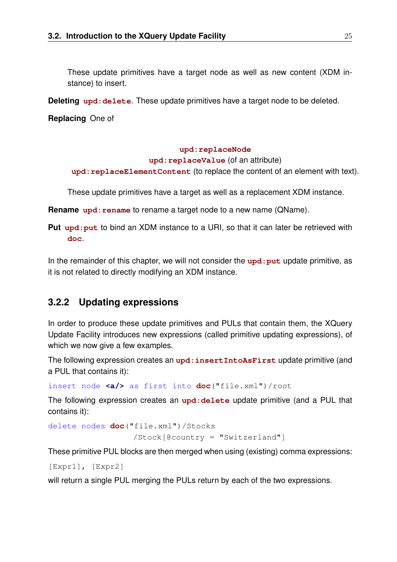These update primitives have a target node as well as new content (XDM instance) to insert.

**Deleting** upd: delete. These update primitives have a target node to be deleted.

**Replacing** One of

#### **upd:replaceNode**

#### **upd:replaceValue** (of an attribute)

**upd:replaceElementContent** (to replace the content of an element with text).

These update primitives have a target as well as a replacement XDM instance.

**Rename** upd: rename to rename a target node to a new name (QName).

**Put** upd: put to bind an XDM instance to a URI, so that it can later be retrieved with **doc**.

In the remainder of this chapter, we will not consider the upd: put update primitive, as it is not related to directly modifying an XDM instance.

## **3.2.2 Updating expressions**

In order to produce these update primitives and PULs that contain them, the XQuery Update Facility introduces new expressions (called primitive updating expressions), of which we now give a few examples.

The following expression creates an **upd:insertIntoAsFirst** update primitive (and a PUL that contains it):

insert node **<a/>** as first into **doc**("file.xml")/root

The following expression creates an **upd:delete** update primitive (and a PUL that contains it):

```
delete nodes doc("file.xml")/Stocks
                  /Stock[@country = "Switzerland"]
```
These primitive PUL blocks are then merged when using (existing) comma expressions:

```
[Expr1], [Expr2]
```
will return a single PUL merging the PULs return by each of the two expressions.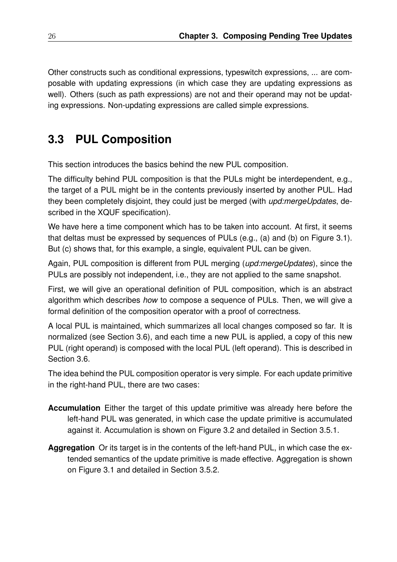Other constructs such as conditional expressions, typeswitch expressions, ... are composable with updating expressions (in which case they are updating expressions as well). Others (such as path expressions) are not and their operand may not be updating expressions. Non-updating expressions are called simple expressions.

# **3.3 PUL Composition**

This section introduces the basics behind the new PUL composition.

The difficulty behind PUL composition is that the PULs might be interdependent, e.g., the target of a PUL might be in the contents previously inserted by another PUL. Had they been completely disjoint, they could just be merged (with *upd:mergeUpdates*, described in the XQUF specification).

We have here a time component which has to be taken into account. At first, it seems that deltas must be expressed by sequences of PULs (e.g., (a) and (b) on Figure 3.1). But (c) shows that, for this example, a single, equivalent PUL can be given.

Again, PUL composition is different from PUL merging (*upd:mergeUpdates*), since the PULs are possibly not independent, i.e., they are not applied to the same snapshot.

First, we will give an operational definition of PUL composition, which is an abstract algorithm which describes *how* to compose a sequence of PULs. Then, we will give a formal definition of the composition operator with a proof of correctness.

A local PUL is maintained, which summarizes all local changes composed so far. It is normalized (see Section 3.6), and each time a new PUL is applied, a copy of this new PUL (right operand) is composed with the local PUL (left operand). This is described in Section 3.6.

The idea behind the PUL composition operator is very simple. For each update primitive in the right-hand PUL, there are two cases:

- **Accumulation** Either the target of this update primitive was already here before the left-hand PUL was generated, in which case the update primitive is accumulated against it. Accumulation is shown on Figure 3.2 and detailed in Section 3.5.1.
- **Aggregation** Or its target is in the contents of the left-hand PUL, in which case the extended semantics of the update primitive is made effective. Aggregation is shown on Figure 3.1 and detailed in Section 3.5.2.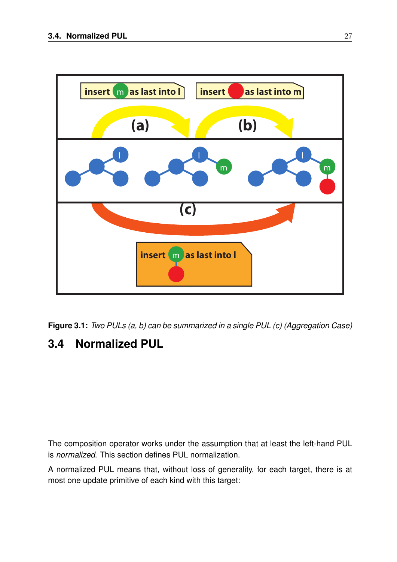

**Figure 3.1:** *Two PULs (a, b) can be summarized in a single PUL (c) (Aggregation Case)*

# **3.4 Normalized PUL**

The composition operator works under the assumption that at least the left-hand PUL is *normalized*. This section defines PUL normalization.

A normalized PUL means that, without loss of generality, for each target, there is at most one update primitive of each kind with this target: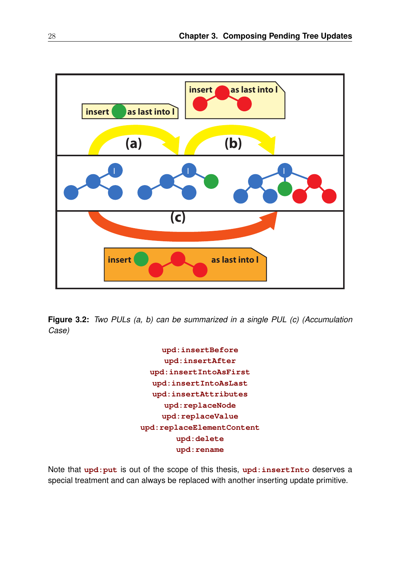

**Figure 3.2:** *Two PULs (a, b) can be summarized in a single PUL (c) (Accumulation Case)*

> **upd:insertBefore upd:insertAfter upd:insertIntoAsFirst upd:insertIntoAsLast upd:insertAttributes upd:replaceNode upd:replaceValue upd:replaceElementContent upd:delete upd:rename**

Note that **upd:put** is out of the scope of this thesis, **upd:insertInto** deserves a special treatment and can always be replaced with another inserting update primitive.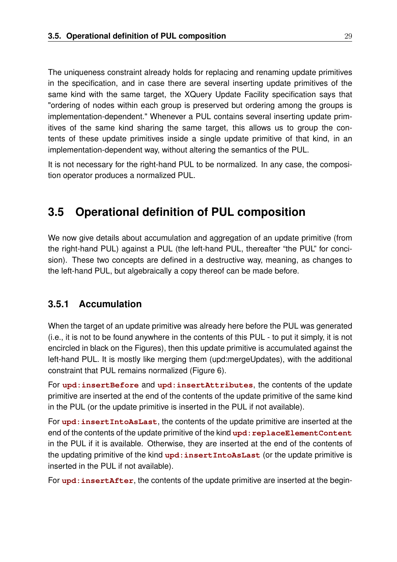The uniqueness constraint already holds for replacing and renaming update primitives in the specification, and in case there are several inserting update primitives of the same kind with the same target, the XQuery Update Facility specification says that "ordering of nodes within each group is preserved but ordering among the groups is implementation-dependent." Whenever a PUL contains several inserting update primitives of the same kind sharing the same target, this allows us to group the contents of these update primitives inside a single update primitive of that kind, in an implementation-dependent way, without altering the semantics of the PUL.

It is not necessary for the right-hand PUL to be normalized. In any case, the composition operator produces a normalized PUL.

# **3.5 Operational definition of PUL composition**

We now give details about accumulation and aggregation of an update primitive (from the right-hand PUL) against a PUL (the left-hand PUL, thereafter "the PUL" for concision). These two concepts are defined in a destructive way, meaning, as changes to the left-hand PUL, but algebraically a copy thereof can be made before.

## **3.5.1 Accumulation**

When the target of an update primitive was already here before the PUL was generated (i.e., it is not to be found anywhere in the contents of this PUL - to put it simply, it is not encircled in black on the Figures), then this update primitive is accumulated against the left-hand PUL. It is mostly like merging them (upd:mergeUpdates), with the additional constraint that PUL remains normalized (Figure 6).

For **upd:insertBefore** and **upd:insertAttributes**, the contents of the update primitive are inserted at the end of the contents of the update primitive of the same kind in the PUL (or the update primitive is inserted in the PUL if not available).

For **upd:insertIntoAsLast**, the contents of the update primitive are inserted at the end of the contents of the update primitive of the kind upd: replaceElementContent in the PUL if it is available. Otherwise, they are inserted at the end of the contents of the updating primitive of the kind **upd:insertIntoAsLast** (or the update primitive is inserted in the PUL if not available).

For upd: insertAfter, the contents of the update primitive are inserted at the begin-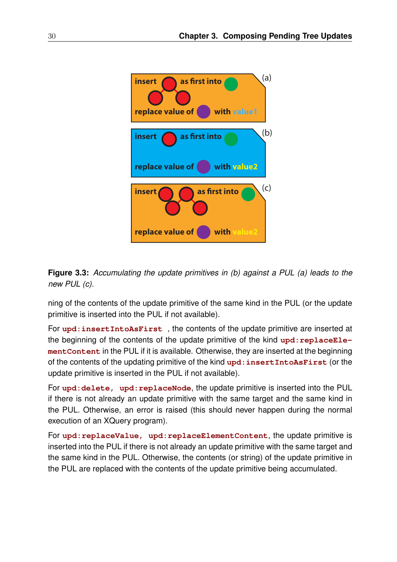

**Figure 3.3:** *Accumulating the update primitives in (b) against a PUL (a) leads to the new PUL (c).*

ning of the contents of the update primitive of the same kind in the PUL (or the update primitive is inserted into the PUL if not available).

For **upd:insertIntoAsFirst** , the contents of the update primitive are inserted at the beginning of the contents of the update primitive of the kind upd: replaceEle**mentContent** in the PUL if it is available. Otherwise, they are inserted at the beginning of the contents of the updating primitive of the kind **upd:insertIntoAsFirst** (or the update primitive is inserted in the PUL if not available).

For **upd: delete,** upd: replaceNode, the update primitive is inserted into the PUL if there is not already an update primitive with the same target and the same kind in the PUL. Otherwise, an error is raised (this should never happen during the normal execution of an XQuery program).

For **upd:replaceValue, upd:replaceElementContent**, the update primitive is inserted into the PUL if there is not already an update primitive with the same target and the same kind in the PUL. Otherwise, the contents (or string) of the update primitive in the PUL are replaced with the contents of the update primitive being accumulated.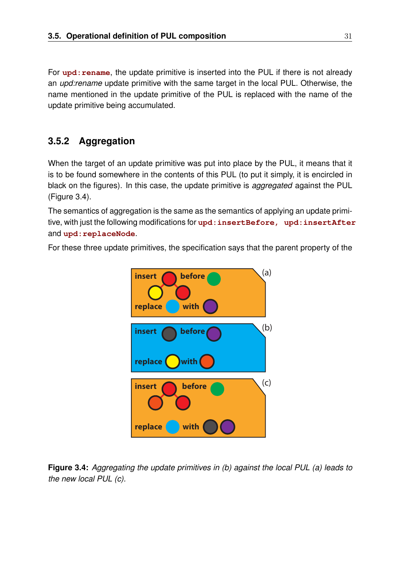For upd: rename, the update primitive is inserted into the PUL if there is not already an *upd:rename* update primitive with the same target in the local PUL. Otherwise, the name mentioned in the update primitive of the PUL is replaced with the name of the update primitive being accumulated.

## **3.5.2 Aggregation**

When the target of an update primitive was put into place by the PUL, it means that it is to be found somewhere in the contents of this PUL (to put it simply, it is encircled in black on the figures). In this case, the update primitive is *aggregated* against the PUL (Figure 3.4).

The semantics of aggregation is the same as the semantics of applying an update primitive, with just the following modifications for **upd:insertBefore, upd:insertAfter** and **upd:replaceNode**.

For these three update primitives, the specification says that the parent property of the



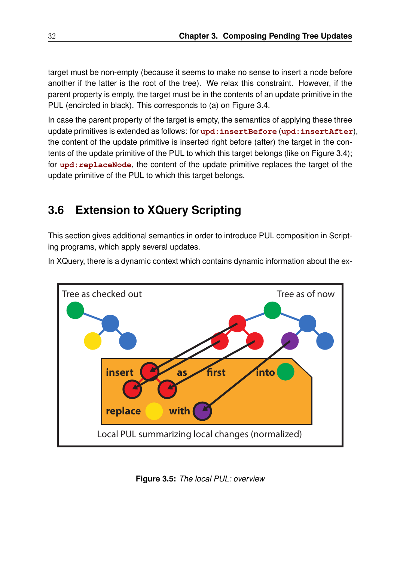target must be non-empty (because it seems to make no sense to insert a node before another if the latter is the root of the tree). We relax this constraint. However, if the parent property is empty, the target must be in the contents of an update primitive in the PUL (encircled in black). This corresponds to (a) on Figure 3.4.

In case the parent property of the target is empty, the semantics of applying these three update primitives is extended as follows: for **upd:insertBefore** (**upd:insertAfter**), the content of the update primitive is inserted right before (after) the target in the contents of the update primitive of the PUL to which this target belongs (like on Figure 3.4); for **upd:** replaceNode, the content of the update primitive replaces the target of the update primitive of the PUL to which this target belongs.

# **3.6 Extension to XQuery Scripting**

This section gives additional semantics in order to introduce PUL composition in Scripting programs, which apply several updates.

In XQuery, there is a dynamic context which contains dynamic information about the ex-



**Figure 3.5:** *The local PUL: overview*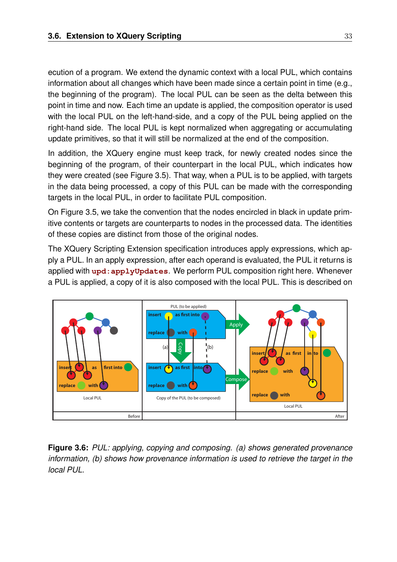ecution of a program. We extend the dynamic context with a local PUL, which contains information about all changes which have been made since a certain point in time (e.g., the beginning of the program). The local PUL can be seen as the delta between this point in time and now. Each time an update is applied, the composition operator is used with the local PUL on the left-hand-side, and a copy of the PUL being applied on the right-hand side. The local PUL is kept normalized when aggregating or accumulating update primitives, so that it will still be normalized at the end of the composition.

In addition, the XQuery engine must keep track, for newly created nodes since the beginning of the program, of their counterpart in the local PUL, which indicates how they were created (see Figure 3.5). That way, when a PUL is to be applied, with targets in the data being processed, a copy of this PUL can be made with the corresponding targets in the local PUL, in order to facilitate PUL composition.

On Figure 3.5, we take the convention that the nodes encircled in black in update primitive contents or targets are counterparts to nodes in the processed data. The identities of these copies are distinct from those of the original nodes.

The XQuery Scripting Extension specification introduces apply expressions, which apply a PUL. In an apply expression, after each operand is evaluated, the PUL it returns is applied with **upd:applyUpdates**. We perform PUL composition right here. Whenever a PUL is applied, a copy of it is also composed with the local PUL. This is described on



**Figure 3.6:** *PUL: applying, copying and composing. (a) shows generated provenance information, (b) shows how provenance information is used to retrieve the target in the local PUL.*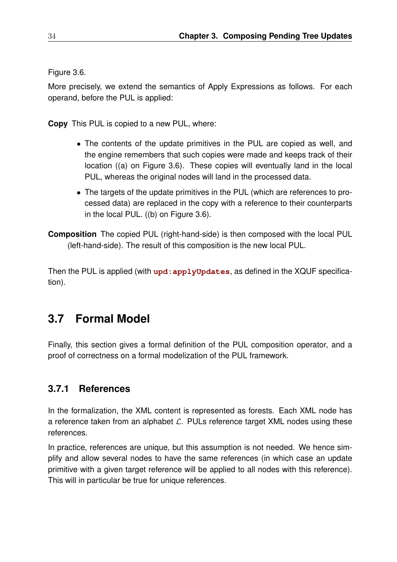Figure 3.6.

More precisely, we extend the semantics of Apply Expressions as follows. For each operand, before the PUL is applied:

**Copy** This PUL is copied to a new PUL, where:

- The contents of the update primitives in the PUL are copied as well, and the engine remembers that such copies were made and keeps track of their location ((a) on Figure 3.6). These copies will eventually land in the local PUL, whereas the original nodes will land in the processed data.
- The targets of the update primitives in the PUL (which are references to processed data) are replaced in the copy with a reference to their counterparts in the local PUL. ((b) on Figure 3.6).

**Composition** The copied PUL (right-hand-side) is then composed with the local PUL (left-hand-side). The result of this composition is the new local PUL.

Then the PUL is applied (with upd: applyUpdates, as defined in the XQUF specification).

# **3.7 Formal Model**

Finally, this section gives a formal definition of the PUL composition operator, and a proof of correctness on a formal modelization of the PUL framework.

## **3.7.1 References**

In the formalization, the XML content is represented as forests. Each XML node has a reference taken from an alphabet  $\mathcal{L}$ . PULs reference target XML nodes using these references.

In practice, references are unique, but this assumption is not needed. We hence simplify and allow several nodes to have the same references (in which case an update primitive with a given target reference will be applied to all nodes with this reference). This will in particular be true for unique references.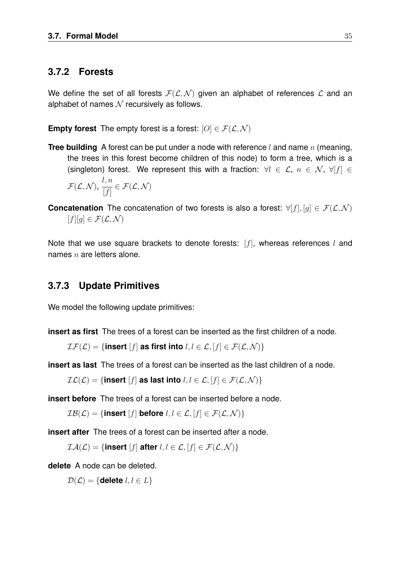### **3.7.2 Forests**

We define the set of all forests  $F(\mathcal{L}, \mathcal{N})$  given an alphabet of references  $\mathcal{L}$  and an alphabet of names  $N$  recursively as follows.

**Empty forest** The empty forest is a forest:  $[O] \in \mathcal{F}(\mathcal{L}, \mathcal{N})$ 

- **Tree building** A forest can be put under a node with reference l and name n (meaning, the trees in this forest become children of this node) to form a tree, which is a (singleton) forest. We represent this with a fraction:  $\forall l \in \mathcal{L}, n \in \mathcal{N}, \forall |f| \in$  $\mathcal{F}(\mathcal{L}, \mathcal{N}),$ l, n  $[f]$  $\in \mathcal{F}(\mathcal{L},\mathcal{N})$
- **Concatenation** The concatenation of two forests is also a forest:  $\forall [f], [g] \in \mathcal{F}(\mathcal{L}, \mathcal{N})$  $[f][q] \in \mathcal{F}(\mathcal{L},\mathcal{N})$

Note that we use square brackets to denote forests:  $[f]$ , whereas references l and names  $n$  are letters alone.

### **3.7.3 Update Primitives**

We model the following update primitives:

**insert as first** The trees of a forest can be inserted as the first children of a node.

 $\mathcal{IF}(\mathcal{L}) = \{\text{insert } [f] \text{ as first into } l, l \in \mathcal{L}, [f] \in \mathcal{F}(\mathcal{L}, \mathcal{N})\}\$ 

**insert as last** The trees of a forest can be inserted as the last children of a node.

 $\mathcal{IL}(\mathcal{L}) = \{\text{insert } [f] \text{ as last into } l, l \in \mathcal{L}, [f] \in \mathcal{F}(\mathcal{L}, \mathcal{N})\}\$ 

**insert before** The trees of a forest can be inserted before a node.

 $IB(\mathcal{L}) = \{ \text{insert } [f] \text{ before } l, l \in \mathcal{L}, [f] \in \mathcal{F}(\mathcal{L}, \mathcal{N}) \}$ 

**insert after** The trees of a forest can be inserted after a node.

 $\mathcal{IA}(\mathcal{L}) = \{\text{insert }[f] \text{ after } l, l \in \mathcal{L}, [f] \in \mathcal{F}(\mathcal{L}, \mathcal{N})\}\$ 

**delete** A node can be deleted.

 $\mathcal{D}(\mathcal{L}) = \{$ **delete**  $l, l \in L\}$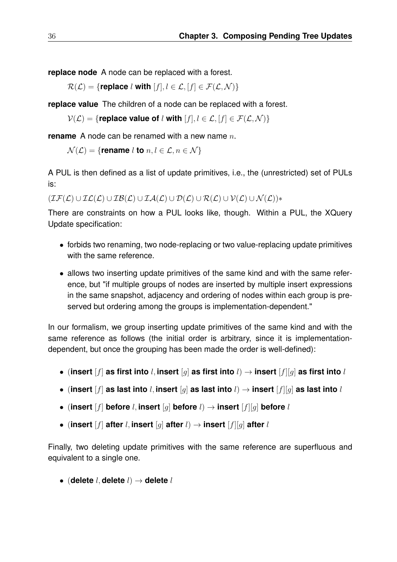**replace node** A node can be replaced with a forest.

 $\mathcal{R}(\mathcal{L}) = \{$ **replace** l **with**  $[f], l \in \mathcal{L}, [f] \in \mathcal{F}(\mathcal{L}, \mathcal{N})\}$ 

**replace value** The children of a node can be replaced with a forest.

 $V(\mathcal{L}) = \{$ **replace value of** l **with**  $[f], l \in \mathcal{L}, [f] \in \mathcal{F}(\mathcal{L}, \mathcal{N})\}$ 

**rename** A node can be renamed with a new name *n*.

 $\mathcal{N}(\mathcal{L}) = \{$  **rename** l **to**  $n, l \in \mathcal{L}, n \in \mathcal{N}\}$ 

A PUL is then defined as a list of update primitives, i.e., the (unrestricted) set of PULs is:

 $(\mathcal{IF}(\mathcal{L}) \cup \mathcal{IL}(\mathcal{L}) \cup \mathcal{IB}(\mathcal{L}) \cup \mathcal{IA}(\mathcal{L}) \cup \mathcal{D}(\mathcal{L}) \cup \mathcal{R}(\mathcal{L}) \cup \mathcal{V}(\mathcal{L}) \cup \mathcal{N}(\mathcal{L}))$ \*

There are constraints on how a PUL looks like, though. Within a PUL, the XQuery Update specification:

- forbids two renaming, two node-replacing or two value-replacing update primitives with the same reference.
- allows two inserting update primitives of the same kind and with the same reference, but "if multiple groups of nodes are inserted by multiple insert expressions in the same snapshot, adjacency and ordering of nodes within each group is preserved but ordering among the groups is implementation-dependent."

In our formalism, we group inserting update primitives of the same kind and with the same reference as follows (the initial order is arbitrary, since it is implementationdependent, but once the grouping has been made the order is well-defined):

- (**insert** [f] **as first into** l, **insert** [g] **as first into** l) → **insert** [f][g] **as first into** l
- (**insert** [f] **as last into** l, **insert** [g] **as last into** l) → **insert** [f][g] **as last into** l
- (**insert** [f] **before** l, **insert** [g] **before** l) → **insert** [f][g] **before** l
- (**insert** [f] **after** *l*, **insert** [q] **after** *l*)  $\rightarrow$  **insert** [f][q] **after** *l*

Finally, two deleting update primitives with the same reference are superfluous and equivalent to a single one.

• (**delete** l, **delete** l) → **delete** l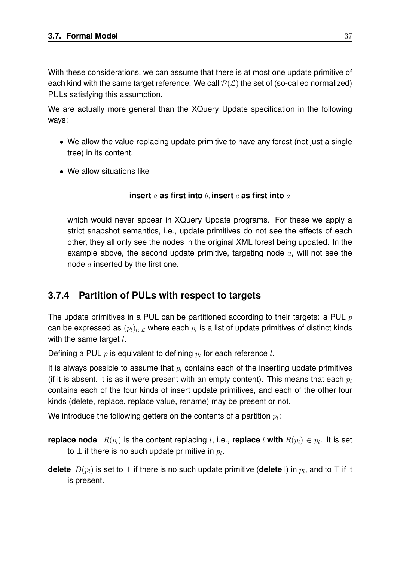With these considerations, we can assume that there is at most one update primitive of each kind with the same target reference. We call  $P(L)$  the set of (so-called normalized) PULs satisfying this assumption.

We are actually more general than the XQuery Update specification in the following ways:

- We allow the value-replacing update primitive to have any forest (not just a single tree) in its content.
- We allow situations like

### **insert** a **as first into** b, **insert** c **as first into** a

which would never appear in XQuery Update programs. For these we apply a strict snapshot semantics, i.e., update primitives do not see the effects of each other, they all only see the nodes in the original XML forest being updated. In the example above, the second update primitive, targeting node  $a$ , will not see the node  $a$  inserted by the first one.

## **3.7.4 Partition of PULs with respect to targets**

The update primitives in a PUL can be partitioned according to their targets: a PUL  $p$ can be expressed as  $(p_l)_{l\in\mathcal{L}}$  where each  $p_l$  is a list of update primitives of distinct kinds with the same target  $l$ .

Defining a PUL  $p$  is equivalent to defining  $p_l$  for each reference  $l$ .

It is always possible to assume that  $p_l$  contains each of the inserting update primitives (if it is absent, it is as it were present with an empty content). This means that each  $p_l$ contains each of the four kinds of insert update primitives, and each of the other four kinds (delete, replace, replace value, rename) may be present or not.

We introduce the following getters on the contents of a partition  $p_l\mathrm{:}$ 

**replace node**  $R(p_l)$  is the content replacing *l*, i.e., **replace** *l* with  $R(p_l) \in p_l$ . It is set to  $\bot$  if there is no such update primitive in  $p_l.$ 

**delete**  $D(p_l)$  is set to  $\bot$  if there is no such update primitive (**delete** I) in  $p_l$ , and to  $\top$  if it is present.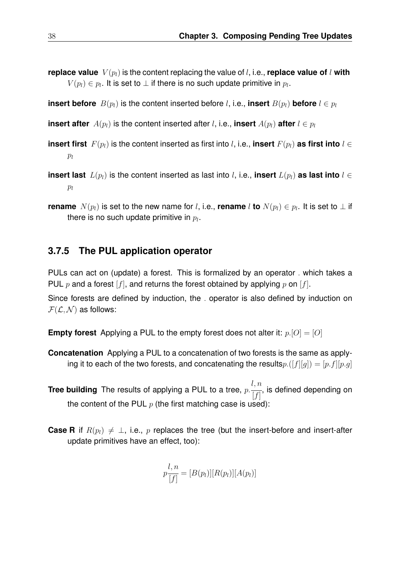**replace value**  $V(p_l)$  is the content replacing the value of l, i.e., **replace value of** l with  $V(p_l)\in p_l.$  It is set to  $\bot$  if there is no such update primitive in  $p_l.$ 

**insert before**  $B(p_l)$  is the content inserted before l, i.e., **insert**  $B(p_l)$  **before**  $l \in p_l$ 

**insert after**  $A(p_l)$  is the content inserted after l, i.e., **insert**  $A(p_l)$  after  $l \in p_l$ 

- **insert first**  $F(p_l)$  is the content inserted as first into l, i.e., **insert**  $F(p_l)$  as first into  $l \in$  $p_l$
- **insert last**  $L(p_l)$  is the content inserted as last into l, i.e., **insert**  $L(p_l)$  as last into  $l \in$  $p_l$
- **rename**  $N(p_l)$  is set to the new name for *l*, i.e., **rename** *l* **to**  $N(p_l) \in p_l$ . It is set to  $\perp$  if there is no such update primitive in  $p_l.$

#### **3.7.5 The PUL application operator**

PULs can act on (update) a forest. This is formalized by an operator . which takes a PUL p and a forest  $[f]$ , and returns the forest obtained by applying p on  $[f]$ .

Since forests are defined by induction, the . operator is also defined by induction on  $\mathcal{F}(\mathcal{L}, \mathcal{N})$  as follows:

**Empty forest** Applying a PUL to the empty forest does not alter it:  $p.[O] = [O]$ 

- **Concatenation** Applying a PUL to a concatenation of two forests is the same as applying it to each of the two forests, and concatenating the results  $p\cdot([f][g]) = [p\cdot f][p\cdot g]$
- **Tree building** The results of applying a PUL to a tree, p. l, n  $[f]$ , is defined depending on the content of the PUL  $p$  (the first matching case is used):
- **Case R** if  $R(p_l) \neq \perp$ , i.e., p replaces the tree (but the insert-before and insert-after update primitives have an effect, too):

$$
p\frac{l, n}{[f]} = [B(p_l)][R(p_l)][A(p_l)]
$$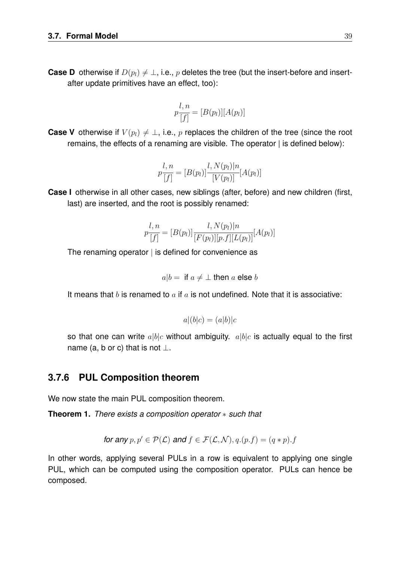**Case D** otherwise if  $D(p_l) \neq \perp$ , i.e., p deletes the tree (but the insert-before and insertafter update primitives have an effect, too):

$$
p\frac{l, n}{[f]} = [B(p_l)][A(p_l)]
$$

**Case V** otherwise if  $V(p_l) \neq \perp$ , i.e., p replaces the children of the tree (since the root remains, the effects of a renaming are visible. The operator | is defined below):

$$
p\frac{l, n}{[f]} = [B(p_l)] \frac{l, N(p_l)|n}{[V(p_l)]} [A(p_l)]
$$

**Case I** otherwise in all other cases, new siblings (after, before) and new children (first, last) are inserted, and the root is possibly renamed:

$$
p\frac{l, n}{[f]} = [B(p_l)] \frac{l, N(p_l)|n}{[F(p_l)][p.f][L(p_l)]}[A(p_l)]
$$

The renaming operator  $\vert$  is defined for convenience as

$$
a|b = \text{ if } a \neq \bot \text{ then } a \text{ else } b
$$

It means that b is renamed to a if a is not undefined. Note that it is associative:

$$
a|(b|c) = (a|b)|c
$$

so that one can write  $a|b|c$  without ambiguity.  $a|b|c$  is actually equal to the first name (a, b or c) that is not  $\perp$ .

### **3.7.6 PUL Composition theorem**

We now state the main PUL composition theorem.

**Theorem 1.** *There exists a composition operator* ∗ *such that*

for any 
$$
p, p' \in \mathcal{P}(\mathcal{L})
$$
 and  $f \in \mathcal{F}(\mathcal{L}, \mathcal{N}), q.(p.f) = (q*p).f$ 

In other words, applying several PULs in a row is equivalent to applying one single PUL, which can be computed using the composition operator. PULs can hence be composed.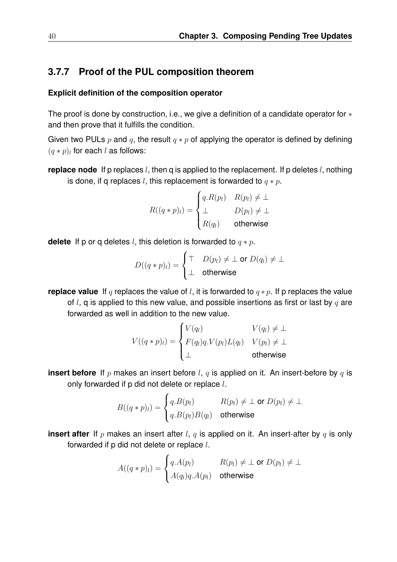## **3.7.7 Proof of the PUL composition theorem**

#### **Explicit definition of the composition operator**

The proof is done by construction, i.e., we give a definition of a candidate operator for ∗ and then prove that it fulfills the condition.

Given two PULs p and q, the result  $q * p$  of applying the operator is defined by defining  $(q * p)_l$  for each l as follows:

**replace node** If p replaces *l*, then q is applied to the replacement. If p deletes *l*, nothing is done, if a replaces l, this replacement is forwarded to  $q * p$ .

$$
R((q * p)_l) = \begin{cases} q.R(p_l) & R(p_l) \neq \bot \\ \bot & D(p_l) \neq \bot \\ R(q_l) & \text{otherwise} \end{cases}
$$

**delete** If p or q deletes l, this deletion is forwarded to  $q * p$ .

$$
D((q*p)_l) = \begin{cases} \top & D(p_l) \neq \bot \text{ or } D(q_l) \neq \bot \\ \bot & \text{otherwise} \end{cases}
$$

**replace value** If q replaces the value of l, it is forwarded to  $q * p$ . If p replaces the value

of l, q is applied to this new value, and possible insertions as first or last by  $q$  are forwarded as well in addition to the new value.

$$
V((q*p)_l) = \begin{cases} V(q_l) & V(q_l) \neq \bot \\ F(q_l)q.V(p_l)L(q_l) & V(p_l) \neq \bot \\ \bot & \text{otherwise} \end{cases}
$$

**insert before** If p makes an insert before l, q is applied on it. An insert-before by q is only forwarded if  $p$  did not delete or replace  $l$ .

$$
B((q*p)_l) = \begin{cases} q.B(p_l) & R(p_l) \neq \bot \text{ or } D(p_l) \neq \bot \\ q.B(p_l)B(q_l) & \text{otherwise} \end{cases}
$$

**insert after** If p makes an insert after l, q is applied on it. An insert-after by q is only forwarded if p did not delete or replace l.

$$
A((q * p)_l) = \begin{cases} q.A(p_l) & R(p_l) \neq \bot \text{ or } D(p_l) \neq \bot \\ A(q_l)q.A(p_l) & \text{otherwise} \end{cases}
$$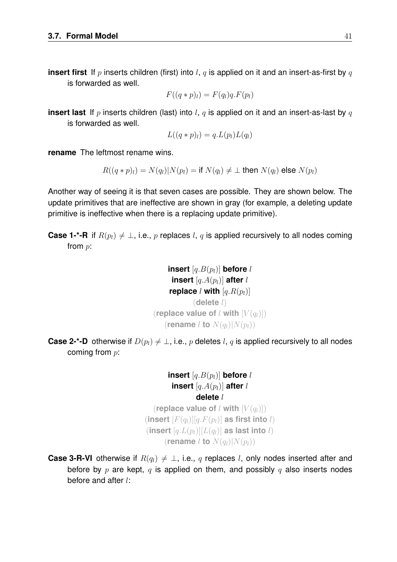**insert first** If p inserts children (first) into l, q is applied on it and an insert-as-first by q is forwarded as well.

$$
F((q * p)_l) = F(q_l)q.F(p_l)
$$

**insert last** If p inserts children (last) into l, q is applied on it and an insert-as-last by q is forwarded as well.

$$
L((q*p)_l) = q.L(p_l)L(q_l)
$$

**rename** The leftmost rename wins.

 $R((q * p)_l) = N(q_l)|N(p_l) =$  if  $N(q_l) \neq \perp$  then  $N(q_l)$  else  $N(p_l)$ 

Another way of seeing it is that seven cases are possible. They are shown below. The update primitives that are ineffective are shown in gray (for example, a deleting update primitive is ineffective when there is a replacing update primitive).

**Case 1-\*-R** if  $R(p_l) \neq \perp$ , i.e., p replaces l, q is applied recursively to all nodes coming from p:

```
insert [q.B(p_l)] before l
     insert [q.A(p_l)] after l
    replace l with [q, R(p_l)](delete l)
(replace value of l with [V(q_l)])
   (rename l to N(q_l)|N(p_l))
```
**Case 2-\*-D** otherwise if  $D(p_l) \neq \perp$ , i.e., p deletes l, q is applied recursively to all nodes coming from  $p$ :

> **insert**  $[q.B(p_l)]$  **before** l **insert**  $[q.A(p_l)]$  **after** l **delete** l

(**replace value of** l with  $[V(q_l)]$ )  $(\textbf{insert } [F(q_l)][q.F(p_l)] \textbf{ as first into } l)$  $(\textbf{insert } [q.L(p_l)][L(q_l)] \textbf{ as last into } l)$ (**rename** l **to**  $N(q_l)|N(p_l)$ )

**Case 3-R-VI** otherwise if  $R(q_l) \neq \perp$ , i.e., q replaces l, only nodes inserted after and before by  $p$  are kept,  $q$  is applied on them, and possibly  $q$  also inserts nodes before and after l: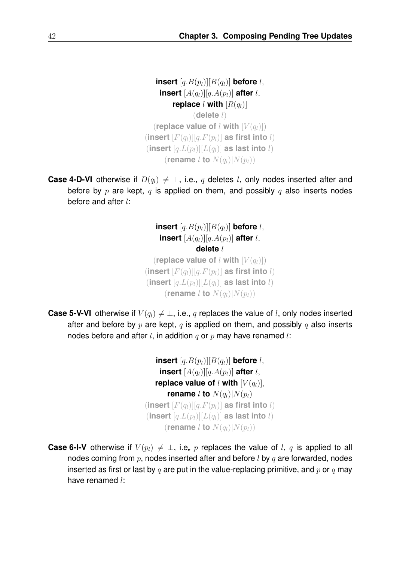**insert**  $[q.B(p_l)][B(q_l)]$  **before** *l*, **insert**  $[A(q_l)][q.A(p_l)]$  **after** l, **replace** l **with**  $[R(q_l)]$ (**delete** l) (**replace value of** l with  $[V(q_l)]$ )  $(\textbf{insert } [F(q_l)][q.F(p_l)] \textbf{ as first into } l)$  $(\textbf{insert } [q.L(p_l)][L(q_l)] \textbf{ as last into } l)$ (**rename** l **to**  $N(q_l)|N(p_l)$ )

**Case 4-D-VI** otherwise if  $D(q_l) \neq \perp$ , i.e., q deletes l, only nodes inserted after and before by p are kept, q is applied on them, and possibly q also inserts nodes before and after l:

> **insert**  $[q.B(p_l)][B(q_l)]$  **before** l, **insert**  $[A(q_l)][q.A(p_l)]$  **after** l, **delete** l (**replace value of** l with  $[V(q_l)]$ )  $(\textbf{insert } [F(q_l)][q.F(p_l)] \textbf{ as first into } l)$  $(\textbf{insert } [q.L(p_l)][L(q_l)] \textbf{ as last into } l)$ (**rename** l **to**  $N(q_l)|N(p_l)$ )

**Case 5-V-VI** otherwise if  $V(q_l) \neq \perp$ , i.e., q replaces the value of l, only nodes inserted after and before by p are kept, q is applied on them, and possibly q also inserts nodes before and after l, in addition q or p may have renamed l:

> **insert**  $[q.B(p_l)][B(q_l)]$  **before** l, **insert**  $[A(q_l)][q.A(p_l)]$  **after** l, **replace value of** l with  $[V(q_l)]$ , **rename** l **to**  $N(q_l)|N(p_l)$  $(\textbf{insert } [F(q_l)][q.F(p_l)] \textbf{ as first into } l)$  $(\textbf{insert } [q.L(p_l)][L(q_l)] \textbf{ as last into } l)$ (**rename** l **to**  $N(q_l)|N(p_l)$ )

**Case 6-I-V** otherwise if  $V(p_l) \neq \perp$ , i.e., p replaces the value of l, q is applied to all nodes coming from  $p$ , nodes inserted after and before  $l$  by  $q$  are forwarded, nodes inserted as first or last by q are put in the value-replacing primitive, and  $p$  or q may have renamed l: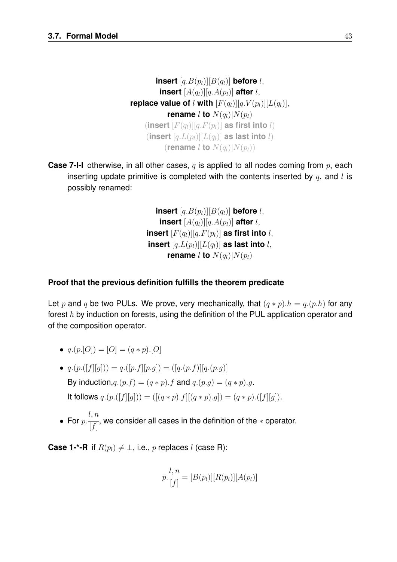**insert**  $[q.B(p_l)][B(q_l)]$  **before** l, **insert**  $[A(q_l)][q.A(p_l)]$  **after** l, **replace value of** l with  $[F(q_l)][q.V(p_l)][L(q_l)],$ **rename** l **to**  $N(q_l)|N(p_l)$  $(\textbf{insert } [F(q_l)][q.F(p_l)] \textbf{ as first into } l)$  $(\textbf{insert } [q.L(p_l)][L(q_l)] \textbf{ as last into } l)$ (**rename** l **to**  $N(q_l)|N(p_l)$ )

**Case 7-I-I** otherwise, in all other cases, q is applied to all nodes coming from p, each inserting update primitive is completed with the contents inserted by  $q$ , and l is possibly renamed:

> **insert**  $[q.B(p_l)][B(q_l)]$  **before** l, **insert**  $[A(q_l)][q.A(p_l)]$  after l, **insert**  $[F(q_l)][q.F(p_l)]$  as first into l, **insert**  $[q.L(p_l)][L(q_l)]$  **as last into** l, **rename** l **to**  $N(q_l)|N(p_l)$

### **Proof that the previous definition fulfills the theorem predicate**

Let p and q be two PULs. We prove, very mechanically, that  $(q * p) \cdot h = q \cdot (p \cdot h)$  for any forest h by induction on forests, using the definition of the PUL application operator and of the composition operator.

- $q.(p.[O]) = [O] = (q*p).[O]$
- $q.(p.([f][g])) = q.([p.f][p.g]) = ([q.(p.f)][q.(p.g))]$ By induction,  $q.(p.f) = (q * p).f$  and  $q.(p.q) = (q * p).q$ . It follows  $q.(p.([f][g])) = ([(q*p).f][(q*p).g]) = (q*p).([f][g]).$
- For  $p$ . l, n  $[f]$ , we consider all cases in the definition of the ∗ operator.

**Case 1-\*-R** if  $R(p_l) \neq \perp$ , i.e., p replaces l (case R):

$$
p \cdot \frac{l, n}{[f]} = [B(p_l)][R(p_l)][A(p_l)]
$$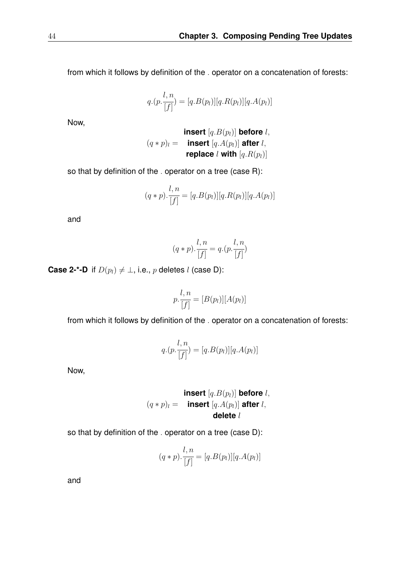from which it follows by definition of the . operator on a concatenation of forests:

$$
q.(p.\frac{l,n}{[f]}) = [q.B(p_l)][q.R(p_l)][q.A(p_l)]
$$

Now,

\n
$$
(q * p)_l =
$$
\n insert  $[q.B(p_l)]$  before  $l$ ,  
\n $(q * p)_l =$ \n insert  $[q.A(p_l)]$  after  $l$ ,  
\nreplace  $l$  with  $[q.R(p_l)]$ \n

so that by definition of the . operator on a tree (case R):

$$
(q * p) \cdot \frac{l, n}{[f]} = [q.B(p_l)][q.R(p_l)][q.A(p_l)]
$$

and

$$
(q*p).\frac{l,n}{[f]} = q.(p.\frac{l,n}{[f]})
$$

**Case 2-\*-D** if  $D(p_l) \neq \bot$ , i.e., p deletes l (case D):

$$
p.\frac{l,n}{[f]}=[B(p_l)][A(p_l)]
$$

from which it follows by definition of the . operator on a concatenation of forests:

$$
q.(p.\frac{l,n}{[f]}) = [q.B(p_l)][q.A(p_l)]
$$

Now,

$$
(q * p)_l = \text{insert } [q.B(p_l)] \text{ before } l,
$$
\n
$$
(q * p)_l = \text{insert } [q.A(p_l)] \text{ after } l,
$$
\n
$$
\text{delete } l
$$

so that by definition of the . operator on a tree (case D):

$$
(q * p).
$$
 $\frac{l, n}{[f]} = [q.B(p_l)][q.A(p_l)]$ 

and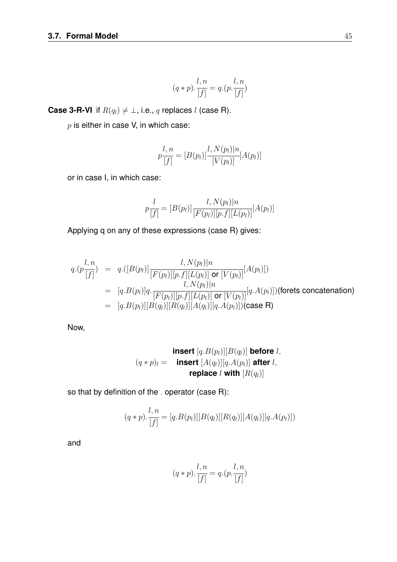$$
(q*p).\frac{l,n}{[f]} = q.(p.\frac{l,n}{[f]})
$$

**Case 3-R-VI** if  $R(q_l) \neq \bot$ , i.e., q replaces l (case R).

 $p$  is either in case V, in which case:

$$
p\frac{l, n}{[f]} = [B(p_l)] \frac{l, N(p_l)|n}{[V(p_l)]} [A(p_l)]
$$

or in case I, in which case:

$$
p\frac{l}{[f]} = [B(p_l)] \frac{l, N(p_l)|n}{[F(p_l)][p.f][L(p_l)]}[A(p_l)]
$$

Applying q on any of these expressions (case R) gives:

$$
q.(p\frac{l, n}{[f]}) = q.([B(p_l)]\frac{l, N(p_l)|n}{[F(p_l)][p.f][L(p_l)] \text{ or } [V(p_l)]}[A(p_l)])
$$
  
\n
$$
= [q.B(p_l)]q. \frac{l, N(p_l)|n}{[F(p_l)][p.f][L(p_l)] \text{ or } [V(p_l)]}[q.A(p_l)])(\text{forest concatenation})
$$
  
\n
$$
= [q.B(p_l)][B(q_l)][R(q_l)][A(q_l)][q.A(p_l)])(\text{case R})
$$

Now,

$$
(\mathbf{q} * p)_{l} = \text{insert } [\mathbf{q}.B(p_{l})][B(q_{l})] \text{ before } l,
$$
\n
$$
(\mathbf{q} * p)_{l} = \text{insert } [A(q_{l})][\mathbf{q}.A(p_{l})] \text{ after } l,
$$
\n
$$
\text{replace } l \text{ with } [R(q_{l})]
$$

so that by definition of the . operator (case R):

$$
(q * p). \frac{l, n}{[f]} = [q.B(p_l)][B(q_l)][R(q_l)][A(q_l)][q.A(p_l)])
$$

and

$$
(q*p).\frac{l,n}{[f]} = q.(p.\frac{l,n}{[f]})
$$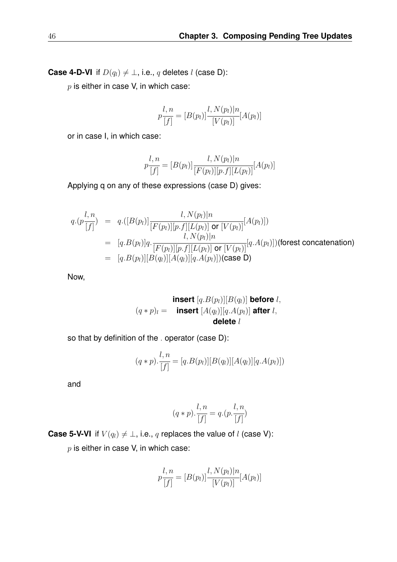**Case 4-D-VI** if  $D(q_l) \neq \bot$ , i.e., q deletes l (case D):

 $p$  is either in case V, in which case:

$$
p\frac{l, n}{[f]} = [B(p_l)] \frac{l, N(p_l)|n}{[V(p_l)]} [A(p_l)]
$$

or in case I, in which case:

$$
p\frac{l, n}{[f]} = [B(p_l)] \frac{l, N(p_l)|n}{[F(p_l)][p.f][L(p_l)]}[A(p_l)]
$$

Applying q on any of these expressions (case D) gives:

$$
q.(p\frac{l, n}{[f]}) = q.([B(p_l)]\frac{l, N(p_l)|n}{[F(p_l)][p.f][L(p_l)] \text{ or } [V(p_l)]}[A(p_l)])
$$
  
\n
$$
= [q.B(p_l)]q.\frac{l, N(p_l)|n}{[F(p_l)][p.f][L(p_l)] \text{ or } [V(p_l)]}[q.A(p_l)])(\text{forest concatenation})
$$
  
\n
$$
= [q.B(p_l)][B(q_l)][A(q_l)][q.A(p_l)])(\text{case D})
$$

Now,

$$
(q * p)_{l} = \text{insert } [q.B(p_{l})][B(q_{l})] \text{ before } l,
$$
  

$$
(q * p)_{l} = \text{insert } [A(q_{l})][q.A(p_{l})] \text{ after } l,
$$
  
**delete** l

so that by definition of the . operator (case D):

$$
(q * p) \cdot \frac{l, n}{[f]} = [q.B(p_l)][B(q_l)][A(q_l)][q.A(p_l)])
$$

and

$$
(q*p).\frac{l,n}{[f]} = q.(p.\frac{l,n}{[f]})
$$

**Case 5-V-VI** if  $V(q_l) \neq \bot$ , i.e., q replaces the value of l (case V):

 $p$  is either in case V, in which case:

$$
p\frac{l, n}{[f]} = [B(p_l)] \frac{l, N(p_l)|n}{[V(p_l)]} [A(p_l)]
$$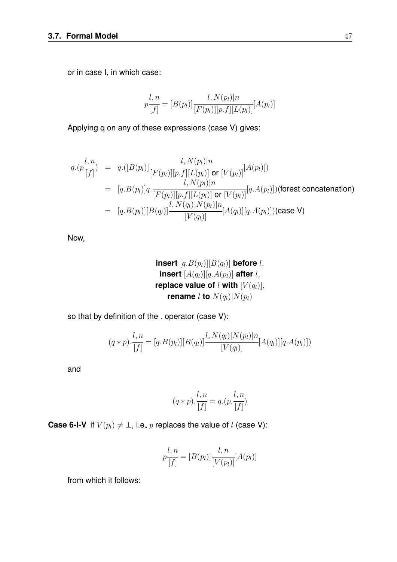or in case I, in which case:

$$
p\frac{l, n}{[f]} = [B(p_l)] \frac{l, N(p_l)|n}{[F(p_l)][p.f][L(p_l)]}[A(p_l)]
$$

Applying q on any of these expressions (case V) gives:

$$
q.(p\frac{l, n}{[f]}) = q.([B(p_l)] \frac{l, N(p_l)|n}{[F(p_l)][p.f][L(p_l)] \text{ or } [V(p_l)]}[A(p_l)])
$$
  
\n
$$
= [q.B(p_l)]q. \frac{l, N(p_l)|n}{[F(p_l)][p.f][L(p_l)] \text{ or } [V(p_l)]}[q.A(p_l)])(\text{forest concatenation})
$$
  
\n
$$
= [q.B(p_l)][B(q_l)] \frac{l, N(q_l)|N(p_l)|n}{[V(q_l)]}[A(q_l)][q.A(p_l)])(\text{case V})
$$

Now,

insert 
$$
[q.B(p_l)][B(q_l)]
$$
 before *l*,  
insert  $[A(q_l)][q.A(p_l)]$  after *l*,  
replace value of *l* with  $[V(q_l)]$ ,  
rename *l* to  $N(q_l)|N(p_l)$ 

so that by definition of the . operator (case V):

$$
(q * p) \cdot \frac{l, n}{[f]} = [q.B(p_l)][B(q_l)] \frac{l, N(q_l)|N(p_l)|n}{[V(q_l)]}[A(q_l)][q.A(p_l)])
$$

and

$$
(q * p) \cdot \frac{l, n}{[f]} = q \cdot (p \cdot \frac{l, n}{[f]})
$$

**Case 6-I-V** if  $V(p_l) \neq \bot$ , i.e, p replaces the value of l (case V):

$$
p\frac{l, n}{[f]} = [B(p_l)] \frac{l, n}{[V(p_l)]} [A(p_l)]
$$

from which it follows: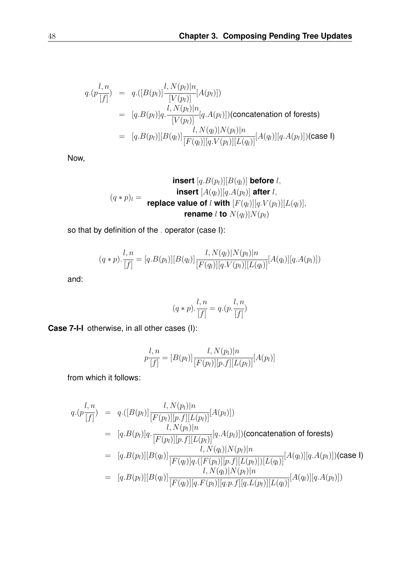$$
q.(p \frac{l, n}{[f]}) = q.([B(p_l)] \frac{l, N(p_l)|n}{[V(p_l)]}[A(p_l)])
$$
  
\n
$$
= [q.B(p_l)]q. \frac{l, N(p_l)|n}{[V(p_l)]}[q.A(p_l)](\text{concatenation of forests})
$$
  
\n
$$
= [q.B(p_l)][B(q_l)] \frac{l, N(q_l)|N(p_l)|n}{[F(q_l)][q.V(p_l)][L(q_l)]}[A(q_l)][q.A(p_l)](\text{case I})
$$

Now,

$$
\text{insert } [q.B(p_l)][B(q_l)] \text{ before } l,
$$
\n
$$
(q*p)_l = \text{replace value of } l \text{ with } [F(q_l)][q.V(p_l)][L(q_l)],
$$
\n
$$
\text{remove } l \text{ to } N(q_l)[N(p_l)]
$$

so that by definition of the . operator (case I):

$$
(q * p) \cdot \frac{l, n}{[f]} = [q \cdot B(p_l)][B(q_l)] \frac{l, N(q_l)|N(p_l)|n}{[F(q_l)][q \cdot V(p_l)][L(q_l)]}[A(q_l)][q \cdot A(p_l)])
$$

and:

$$
(q*p).\frac{l,n}{[f]} = q.(p.\frac{l,n}{[f]})
$$

**Case 7-I-I** otherwise, in all other cases (I):

$$
p\frac{l, n}{[f]} = [B(p_l)] \frac{l, N(p_l)|n}{[F(p_l)][p.f][L(p_l)]}[A(p_l)]
$$

from which it follows:

$$
q.(p\frac{l, n}{[f]}) = q.([B(p_l)]\frac{l, N(p_l)|n}{[F(p_l)][p.f][L(p_l)]}[A(p_l)])
$$
  
\n
$$
= [q.B(p_l)]q.\frac{l, N(p_l)|n}{[F(p_l)][p.f][L(p_l)]}[q.A(p_l)])(\text{concatenation of forests})
$$
  
\n
$$
= [q.B(p_l)][B(q_l)]\frac{l, N(q_l)|N(p_l)|n}{[F(q_l)]q.([F(p_l)][p.f][L(p_l)])[L(q_l)]}[A(q_l)][q.A(p_l)])(\text{case I})
$$
  
\n
$$
= [q.B(p_l)][B(q_l)]\frac{l, N(q_l)|N(p_l)|n}{[F(q_l)][q.F(p_l)][q.P.(p_l)][q.P.(p_l)][L(q_l)]}[A(q_l)][q.A(p_l)])
$$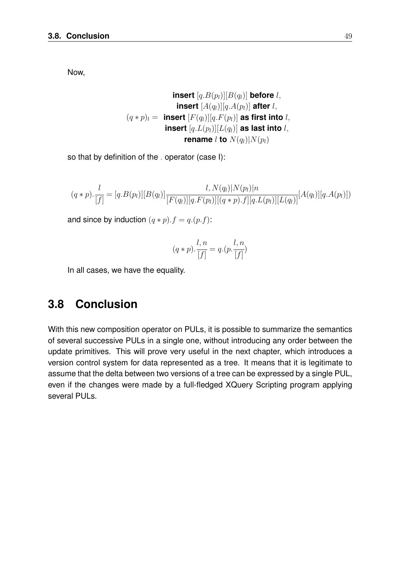Now,

**insert** 
$$
[q.B(p_l)][B(q_l)]
$$
 **before**  $l$ ,  
\n**insert**  $[A(q_l)][q.A(p_l)]$  **after**  $l$ ,  
\n $(q*p)_l =$  **insert**  $[F(q_l)][q.F(p_l)]$  **as first into**  $l$ ,  
\n**insert**  $[q.L(p_l)][L(q_l)]$  **as last into**  $l$ ,  
\n**rename**  $l$  **to**  $N(q_l)|N(p_l)$ 

so that by definition of the . operator (case I):

$$
(q * p). \frac{l}{[f]} = [q.B(p_l)][B(q_l)] \frac{l, N(q_l)|N(p_l)|n}{[F(q_l)][q.F(p_l)][(q * p).f][q.L(p_l)][L(q_l)]}[A(q_l)][q.A(p_l)])
$$

and since by induction  $(q * p) \cdot f = q \cdot (p \cdot f)$ :

$$
(q*p).\frac{l,n}{[f]} = q.(p.\frac{l,n}{[f]})
$$

In all cases, we have the equality.

# **3.8 Conclusion**

With this new composition operator on PULs, it is possible to summarize the semantics of several successive PULs in a single one, without introducing any order between the update primitives. This will prove very useful in the next chapter, which introduces a version control system for data represented as a tree. It means that it is legitimate to assume that the delta between two versions of a tree can be expressed by a single PUL, even if the changes were made by a full-fledged XQuery Scripting program applying several PULs.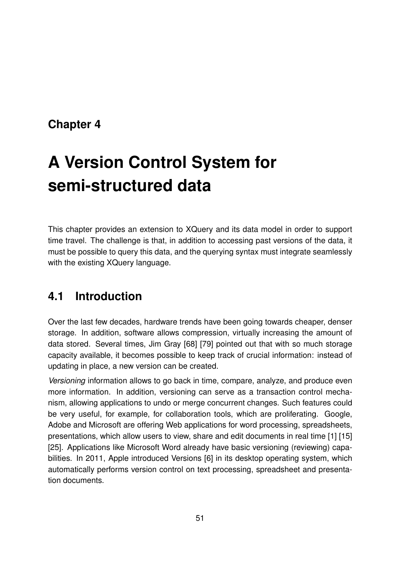# **Chapter 4**

# **A Version Control System for semi-structured data**

This chapter provides an extension to XQuery and its data model in order to support time travel. The challenge is that, in addition to accessing past versions of the data, it must be possible to query this data, and the querying syntax must integrate seamlessly with the existing XQuery language.

# **4.1 Introduction**

Over the last few decades, hardware trends have been going towards cheaper, denser storage. In addition, software allows compression, virtually increasing the amount of data stored. Several times, Jim Gray [68] [79] pointed out that with so much storage capacity available, it becomes possible to keep track of crucial information: instead of updating in place, a new version can be created.

*Versioning* information allows to go back in time, compare, analyze, and produce even more information. In addition, versioning can serve as a transaction control mechanism, allowing applications to undo or merge concurrent changes. Such features could be very useful, for example, for collaboration tools, which are proliferating. Google, Adobe and Microsoft are offering Web applications for word processing, spreadsheets, presentations, which allow users to view, share and edit documents in real time [1] [15] [25]. Applications like Microsoft Word already have basic versioning (reviewing) capabilities. In 2011, Apple introduced Versions [6] in its desktop operating system, which automatically performs version control on text processing, spreadsheet and presentation documents.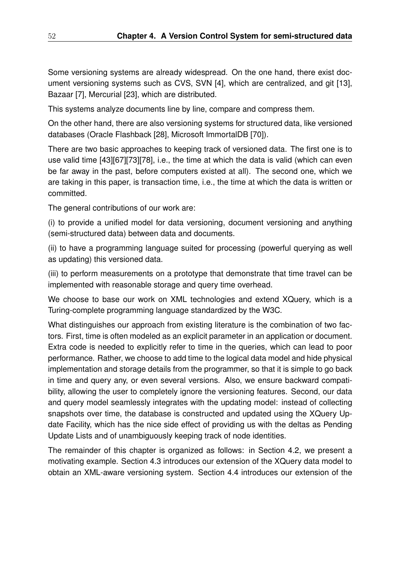Some versioning systems are already widespread. On the one hand, there exist document versioning systems such as CVS, SVN [4], which are centralized, and git [13], Bazaar [7], Mercurial [23], which are distributed.

This systems analyze documents line by line, compare and compress them.

On the other hand, there are also versioning systems for structured data, like versioned databases (Oracle Flashback [28], Microsoft ImmortalDB [70]).

There are two basic approaches to keeping track of versioned data. The first one is to use valid time [43][67][73][78], i.e., the time at which the data is valid (which can even be far away in the past, before computers existed at all). The second one, which we are taking in this paper, is transaction time, i.e., the time at which the data is written or committed.

The general contributions of our work are:

(i) to provide a unified model for data versioning, document versioning and anything (semi-structured data) between data and documents.

(ii) to have a programming language suited for processing (powerful querying as well as updating) this versioned data.

(iii) to perform measurements on a prototype that demonstrate that time travel can be implemented with reasonable storage and query time overhead.

We choose to base our work on XML technologies and extend XQuery, which is a Turing-complete programming language standardized by the W3C.

What distinguishes our approach from existing literature is the combination of two factors. First, time is often modeled as an explicit parameter in an application or document. Extra code is needed to explicitly refer to time in the queries, which can lead to poor performance. Rather, we choose to add time to the logical data model and hide physical implementation and storage details from the programmer, so that it is simple to go back in time and query any, or even several versions. Also, we ensure backward compatibility, allowing the user to completely ignore the versioning features. Second, our data and query model seamlessly integrates with the updating model: instead of collecting snapshots over time, the database is constructed and updated using the XQuery Update Facility, which has the nice side effect of providing us with the deltas as Pending Update Lists and of unambiguously keeping track of node identities.

The remainder of this chapter is organized as follows: in Section 4.2, we present a motivating example. Section 4.3 introduces our extension of the XQuery data model to obtain an XML-aware versioning system. Section 4.4 introduces our extension of the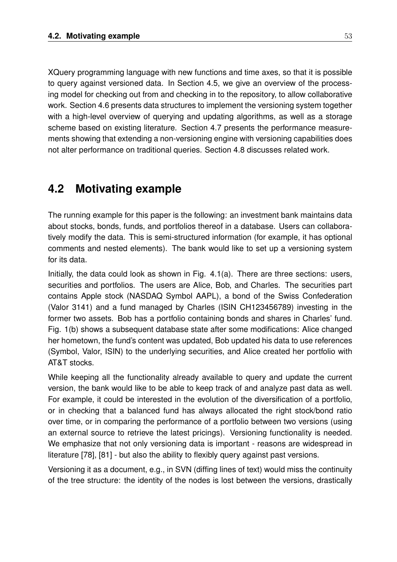XQuery programming language with new functions and time axes, so that it is possible to query against versioned data. In Section 4.5, we give an overview of the processing model for checking out from and checking in to the repository, to allow collaborative work. Section 4.6 presents data structures to implement the versioning system together with a high-level overview of querying and updating algorithms, as well as a storage scheme based on existing literature. Section 4.7 presents the performance measurements showing that extending a non-versioning engine with versioning capabilities does not alter performance on traditional queries. Section 4.8 discusses related work.

# **4.2 Motivating example**

The running example for this paper is the following: an investment bank maintains data about stocks, bonds, funds, and portfolios thereof in a database. Users can collaboratively modify the data. This is semi-structured information (for example, it has optional comments and nested elements). The bank would like to set up a versioning system for its data.

Initially, the data could look as shown in Fig. 4.1(a). There are three sections: users, securities and portfolios. The users are Alice, Bob, and Charles. The securities part contains Apple stock (NASDAQ Symbol AAPL), a bond of the Swiss Confederation (Valor 3141) and a fund managed by Charles (ISIN CH123456789) investing in the former two assets. Bob has a portfolio containing bonds and shares in Charles' fund. Fig. 1(b) shows a subsequent database state after some modifications: Alice changed her hometown, the fund's content was updated, Bob updated his data to use references (Symbol, Valor, ISIN) to the underlying securities, and Alice created her portfolio with AT&T stocks.

While keeping all the functionality already available to query and update the current version, the bank would like to be able to keep track of and analyze past data as well. For example, it could be interested in the evolution of the diversification of a portfolio, or in checking that a balanced fund has always allocated the right stock/bond ratio over time, or in comparing the performance of a portfolio between two versions (using an external source to retrieve the latest pricings). Versioning functionality is needed. We emphasize that not only versioning data is important - reasons are widespread in literature [78], [81] - but also the ability to flexibly query against past versions.

Versioning it as a document, e.g., in SVN (diffing lines of text) would miss the continuity of the tree structure: the identity of the nodes is lost between the versions, drastically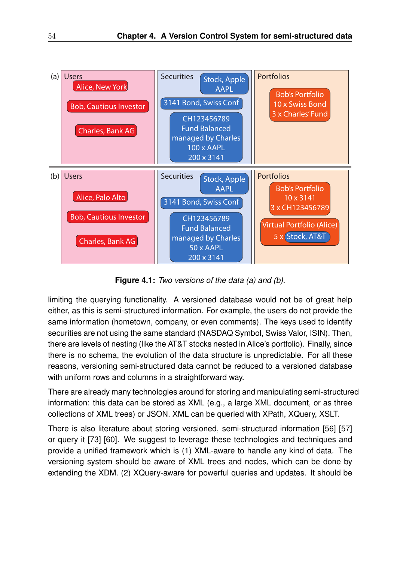

**Figure 4.1:** *Two versions of the data (a) and (b).*

limiting the querying functionality. A versioned database would not be of great help either, as this is semi-structured information. For example, the users do not provide the same information (hometown, company, or even comments). The keys used to identify securities are not using the same standard (NASDAQ Symbol, Swiss Valor, ISIN). Then, there are levels of nesting (like the AT&T stocks nested in Alice's portfolio). Finally, since there is no schema, the evolution of the data structure is unpredictable. For all these reasons, versioning semi-structured data cannot be reduced to a versioned database with uniform rows and columns in a straightforward way.

There are already many technologies around for storing and manipulating semi-structured information: this data can be stored as XML (e.g., a large XML document, or as three collections of XML trees) or JSON. XML can be queried with XPath, XQuery, XSLT.

There is also literature about storing versioned, semi-structured information [56] [57] or query it [73] [60]. We suggest to leverage these technologies and techniques and provide a unified framework which is (1) XML-aware to handle any kind of data. The versioning system should be aware of XML trees and nodes, which can be done by extending the XDM. (2) XQuery-aware for powerful queries and updates. It should be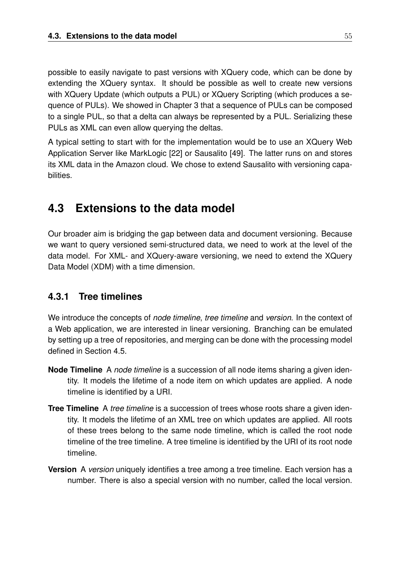possible to easily navigate to past versions with XQuery code, which can be done by extending the XQuery syntax. It should be possible as well to create new versions with XQuery Update (which outputs a PUL) or XQuery Scripting (which produces a sequence of PULs). We showed in Chapter 3 that a sequence of PULs can be composed to a single PUL, so that a delta can always be represented by a PUL. Serializing these PULs as XML can even allow querying the deltas.

A typical setting to start with for the implementation would be to use an XQuery Web Application Server like MarkLogic [22] or Sausalito [49]. The latter runs on and stores its XML data in the Amazon cloud. We chose to extend Sausalito with versioning capabilities.

# **4.3 Extensions to the data model**

Our broader aim is bridging the gap between data and document versioning. Because we want to query versioned semi-structured data, we need to work at the level of the data model. For XML- and XQuery-aware versioning, we need to extend the XQuery Data Model (XDM) with a time dimension.

## **4.3.1 Tree timelines**

We introduce the concepts of *node timeline*, *tree timeline* and *version*. In the context of a Web application, we are interested in linear versioning. Branching can be emulated by setting up a tree of repositories, and merging can be done with the processing model defined in Section 4.5.

- **Node Timeline** A *node timeline* is a succession of all node items sharing a given identity. It models the lifetime of a node item on which updates are applied. A node timeline is identified by a URI.
- **Tree Timeline** A *tree timeline* is a succession of trees whose roots share a given identity. It models the lifetime of an XML tree on which updates are applied. All roots of these trees belong to the same node timeline, which is called the root node timeline of the tree timeline. A tree timeline is identified by the URI of its root node timeline.
- **Version** A *version* uniquely identifies a tree among a tree timeline. Each version has a number. There is also a special version with no number, called the local version.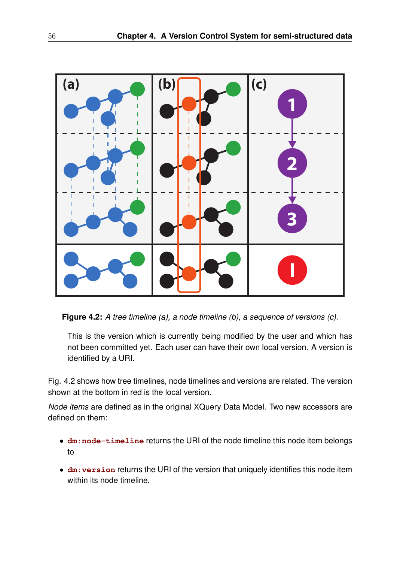

**Figure 4.2:** *A tree timeline (a), a node timeline (b), a sequence of versions (c).*

This is the version which is currently being modified by the user and which has not been committed yet. Each user can have their own local version. A version is identified by a URI.

Fig. 4.2 shows how tree timelines, node timelines and versions are related. The version shown at the bottom in red is the local version.

*Node items* are defined as in the original XQuery Data Model. Two new accessors are defined on them:

- **dm:node-timeline** returns the URI of the node timeline this node item belongs to
- **dm:version** returns the URI of the version that uniquely identifies this node item within its node timeline.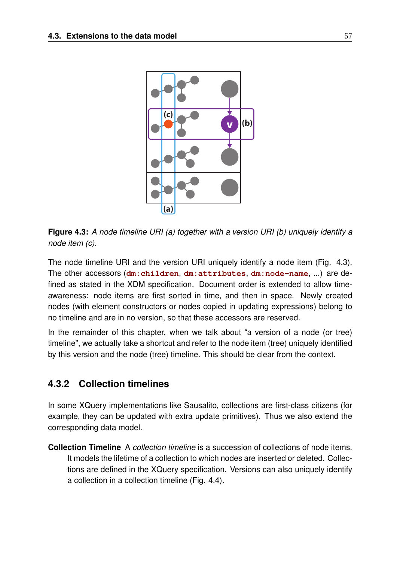

**Figure 4.3:** *A node timeline URI (a) together with a version URI (b) uniquely identify a node item (c).*

The node timeline URI and the version URI uniquely identify a node item (Fig. 4.3). The other accessors (**dm:children**, **dm:attributes**, **dm:node-name**, ...) are defined as stated in the XDM specification. Document order is extended to allow timeawareness: node items are first sorted in time, and then in space. Newly created nodes (with element constructors or nodes copied in updating expressions) belong to no timeline and are in no version, so that these accessors are reserved.

In the remainder of this chapter, when we talk about "a version of a node (or tree) timeline", we actually take a shortcut and refer to the node item (tree) uniquely identified by this version and the node (tree) timeline. This should be clear from the context.

## **4.3.2 Collection timelines**

In some XQuery implementations like Sausalito, collections are first-class citizens (for example, they can be updated with extra update primitives). Thus we also extend the corresponding data model.

**Collection Timeline** A *collection timeline* is a succession of collections of node items. It models the lifetime of a collection to which nodes are inserted or deleted. Collections are defined in the XQuery specification. Versions can also uniquely identify a collection in a collection timeline (Fig. 4.4).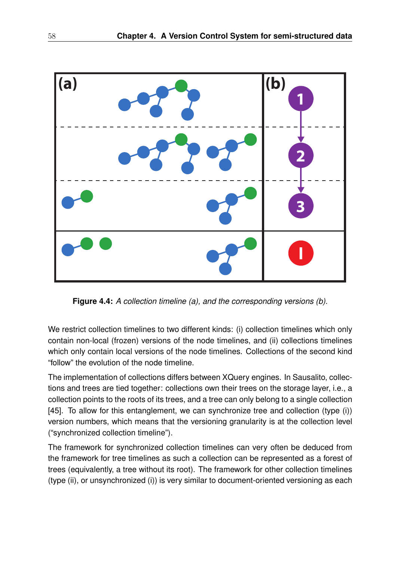

**Figure 4.4:** *A collection timeline (a), and the corresponding versions (b).*

We restrict collection timelines to two different kinds: (i) collection timelines which only contain non-local (frozen) versions of the node timelines, and (ii) collections timelines which only contain local versions of the node timelines. Collections of the second kind "follow" the evolution of the node timeline.

The implementation of collections differs between XQuery engines. In Sausalito, collections and trees are tied together: collections own their trees on the storage layer, i.e., a collection points to the roots of its trees, and a tree can only belong to a single collection [45]. To allow for this entanglement, we can synchronize tree and collection (type (i)) version numbers, which means that the versioning granularity is at the collection level ("synchronized collection timeline").

The framework for synchronized collection timelines can very often be deduced from the framework for tree timelines as such a collection can be represented as a forest of trees (equivalently, a tree without its root). The framework for other collection timelines (type (ii), or unsynchronized (i)) is very similar to document-oriented versioning as each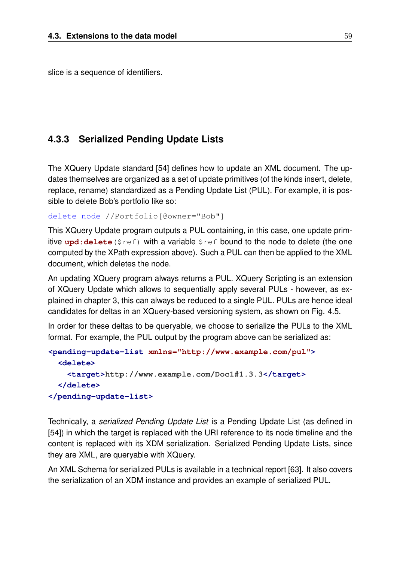slice is a sequence of identifiers.

#### **4.3.3 Serialized Pending Update Lists**

The XQuery Update standard [54] defines how to update an XML document. The updates themselves are organized as a set of update primitives (of the kinds insert, delete, replace, rename) standardized as a Pending Update List (PUL). For example, it is possible to delete Bob's portfolio like so:

delete node //Portfolio[@owner="Bob"]

This XQuery Update program outputs a PUL containing, in this case, one update primitive **upd:delete**(\$ref) with a variable \$ref bound to the node to delete (the one computed by the XPath expression above). Such a PUL can then be applied to the XML document, which deletes the node.

An updating XQuery program always returns a PUL. XQuery Scripting is an extension of XQuery Update which allows to sequentially apply several PULs - however, as explained in chapter 3, this can always be reduced to a single PUL. PULs are hence ideal candidates for deltas in an XQuery-based versioning system, as shown on Fig. 4.5.

In order for these deltas to be queryable, we choose to serialize the PULs to the XML format. For example, the PUL output by the program above can be serialized as:

```
<pending-update-list xmlns="http://www.example.com/pul">
 <delete>
    <target>http://www.example.com/Doc1#1.3.3</target>
  </delete>
</pending-update-list>
```
Technically, a *serialized Pending Update List* is a Pending Update List (as defined in [54]) in which the target is replaced with the URI reference to its node timeline and the content is replaced with its XDM serialization. Serialized Pending Update Lists, since they are XML, are queryable with XQuery.

An XML Schema for serialized PULs is available in a technical report [63]. It also covers the serialization of an XDM instance and provides an example of serialized PUL.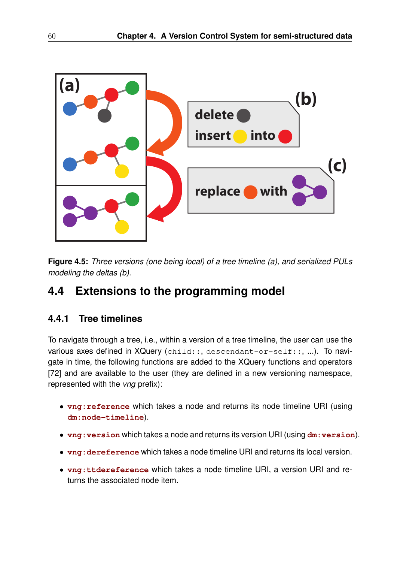

**Figure 4.5:** *Three versions (one being local) of a tree timeline (a), and serialized PULs modeling the deltas (b).*

# **4.4 Extensions to the programming model**

## **4.4.1 Tree timelines**

To navigate through a tree, i.e., within a version of a tree timeline, the user can use the various axes defined in XQuery (child::, descendant-or-self::, ...). To navigate in time, the following functions are added to the XQuery functions and operators [72] and are available to the user (they are defined in a new versioning namespace, represented with the *vna* prefix):

- **vng:reference** which takes a node and returns its node timeline URI (using **dm:node-timeline**).
- **vng:version** which takes a node and returns its version URI (using **dm:version**).
- **vng:dereference** which takes a node timeline URI and returns its local version.
- **vng:ttdereference** which takes a node timeline URI, a version URI and returns the associated node item.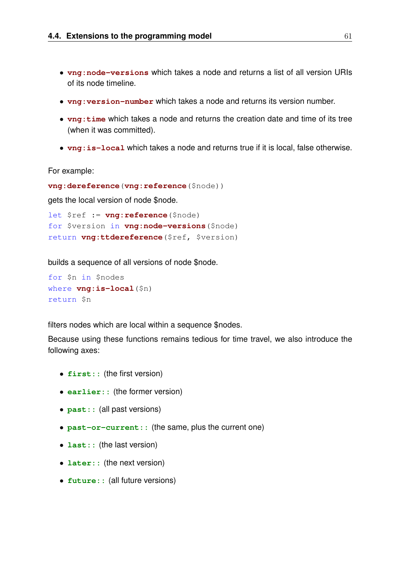- **vng:node-versions** which takes a node and returns a list of all version URIs of its node timeline.
- **vng:version-number** which takes a node and returns its version number.
- **vng:time** which takes a node and returns the creation date and time of its tree (when it was committed).
- **vng:is-local** which takes a node and returns true if it is local, false otherwise.

For example:

```
vng:dereference(vng:reference($node))
```
gets the local version of node \$node.

```
let $ref := vng:reference($node)
for $version in vng:node-versions($node)
return vng:ttdereference($ref, $version)
```
builds a sequence of all versions of node \$node.

```
for $n in $nodes
where vng:is-local($n)
return $n
```
filters nodes which are local within a sequence \$nodes.

Because using these functions remains tedious for time travel, we also introduce the following axes:

- **first::** (the first version)
- **earlier::** (the former version)
- **past::** (all past versions)
- **past-or-current::** (the same, plus the current one)
- **last::** (the last version)
- **later:**: (the next version)
- **future::** (all future versions)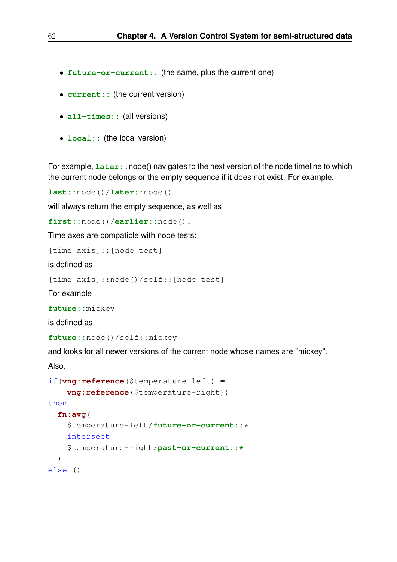- **future-or-current::** (the same, plus the current one)
- **current::** (the current version)
- **all-times::** (all versions)
- **local::** (the local version)

For example, **later::** node() navigates to the next version of the node timeline to which the current node belongs or the empty sequence if it does not exist. For example,

**last::**node()/**later::**node()

will always return the empty sequence, as well as

**first::**node()/**earlier::**node().

Time axes are compatible with node tests:

[time axis]:: [node test]

is defined as

[time axis]::node()/self::[node test]

For example

**future::**mickey

is defined as

**future::**node()/self::mickey

and looks for all newer versions of the current node whose names are "mickey".

Also,

```
if(vng:reference($temperature-left) =
    vng:reference($temperature-right))
then
  fn:avg(
    $temperature-left/future-or-current::*
    intersect
    $temperature-right/past-or-current::*
  \lambdaelse ()
```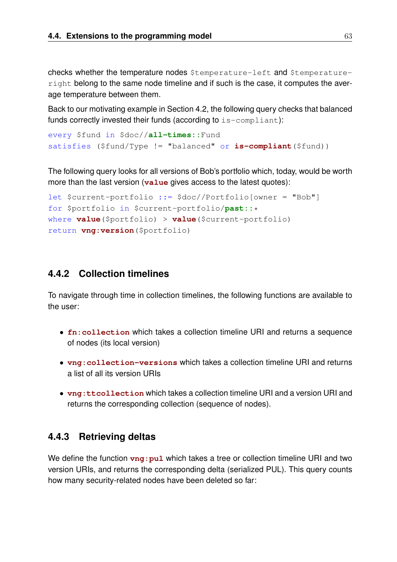checks whether the temperature nodes \$temperature-left and \$temperatureright belong to the same node timeline and if such is the case, it computes the average temperature between them.

Back to our motivating example in Section 4.2, the following query checks that balanced funds correctly invested their funds (according to is-compliant):

```
every $fund in $doc//all-times::Fund
satisfies ($fund/Type != "balanced" or is-compliant($fund))
```
The following query looks for all versions of Bob's portfolio which, today, would be worth more than the last version (**value** gives access to the latest quotes):

```
let $current-portfolio ::= $doc//Portfolio[owner = "Bob"]
for $portfolio in $current-portfolio/past::*
where value($portfolio) > value($current-portfolio)
return vng:version($portfolio)
```
#### **4.4.2 Collection timelines**

To navigate through time in collection timelines, the following functions are available to the user:

- **fn:collection** which takes a collection timeline URI and returns a sequence of nodes (its local version)
- **vng:collection-versions** which takes a collection timeline URI and returns a list of all its version URIs
- **vng:ttcollection** which takes a collection timeline URI and a version URI and returns the corresponding collection (sequence of nodes).

#### **4.4.3 Retrieving deltas**

We define the function  $vng: pul$  which takes a tree or collection timeline URI and two version URIs, and returns the corresponding delta (serialized PUL). This query counts how many security-related nodes have been deleted so far: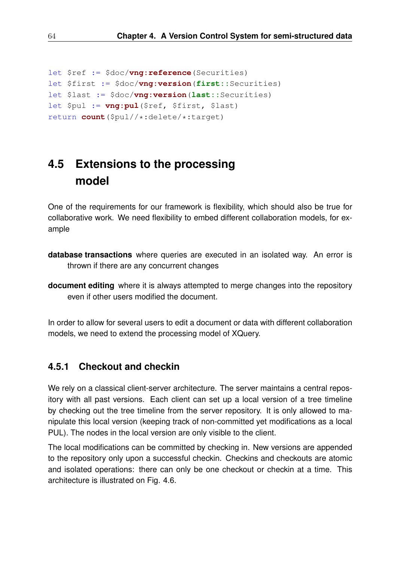```
let $ref := $doc/vng:reference(Securities)
let $first := $doc/vng:version(first::Securities)
let $last := $doc/vng:version(last::Securities)
let $pul := vng:pul($ref, $first, $last)
return count($pul//*:delete/*:target)
```
# **4.5 Extensions to the processing model**

One of the requirements for our framework is flexibility, which should also be true for collaborative work. We need flexibility to embed different collaboration models, for example

- **database transactions** where queries are executed in an isolated way. An error is thrown if there are any concurrent changes
- **document editing** where it is always attempted to merge changes into the repository even if other users modified the document.

In order to allow for several users to edit a document or data with different collaboration models, we need to extend the processing model of XQuery.

#### **4.5.1 Checkout and checkin**

We rely on a classical client-server architecture. The server maintains a central repository with all past versions. Each client can set up a local version of a tree timeline by checking out the tree timeline from the server repository. It is only allowed to manipulate this local version (keeping track of non-committed yet modifications as a local PUL). The nodes in the local version are only visible to the client.

The local modifications can be committed by checking in. New versions are appended to the repository only upon a successful checkin. Checkins and checkouts are atomic and isolated operations: there can only be one checkout or checkin at a time. This architecture is illustrated on Fig. 4.6.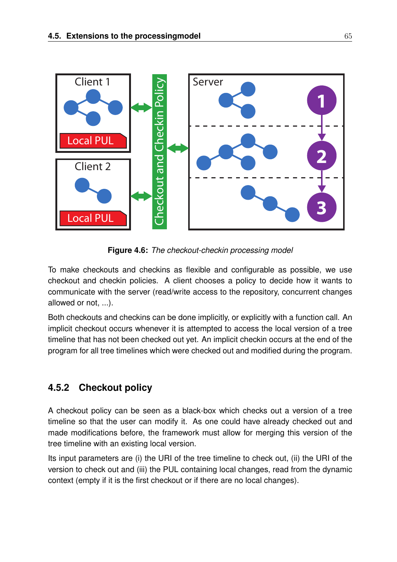

**Figure 4.6:** *The checkout-checkin processing model*

To make checkouts and checkins as flexible and configurable as possible, we use checkout and checkin policies. A client chooses a policy to decide how it wants to communicate with the server (read/write access to the repository, concurrent changes allowed or not, ...).

Both checkouts and checkins can be done implicitly, or explicitly with a function call. An implicit checkout occurs whenever it is attempted to access the local version of a tree timeline that has not been checked out yet. An implicit checkin occurs at the end of the program for all tree timelines which were checked out and modified during the program.

# **4.5.2 Checkout policy**

A checkout policy can be seen as a black-box which checks out a version of a tree timeline so that the user can modify it. As one could have already checked out and made modifications before, the framework must allow for merging this version of the tree timeline with an existing local version.

Its input parameters are (i) the URI of the tree timeline to check out, (ii) the URI of the version to check out and (iii) the PUL containing local changes, read from the dynamic context (empty if it is the first checkout or if there are no local changes).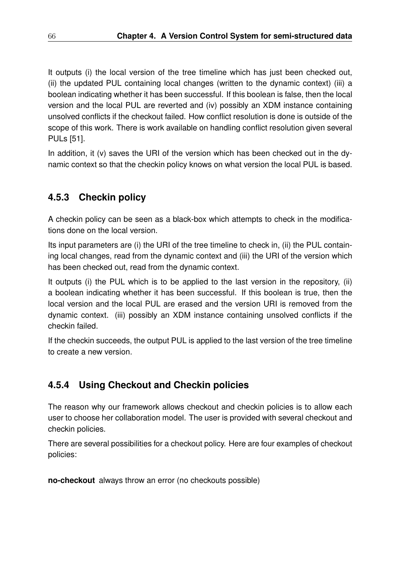It outputs (i) the local version of the tree timeline which has just been checked out, (ii) the updated PUL containing local changes (written to the dynamic context) (iii) a boolean indicating whether it has been successful. If this boolean is false, then the local version and the local PUL are reverted and (iv) possibly an XDM instance containing unsolved conflicts if the checkout failed. How conflict resolution is done is outside of the scope of this work. There is work available on handling conflict resolution given several PULs [51].

In addition, it (v) saves the URI of the version which has been checked out in the dynamic context so that the checkin policy knows on what version the local PUL is based.

# **4.5.3 Checkin policy**

A checkin policy can be seen as a black-box which attempts to check in the modifications done on the local version.

Its input parameters are (i) the URI of the tree timeline to check in, (ii) the PUL containing local changes, read from the dynamic context and (iii) the URI of the version which has been checked out, read from the dynamic context.

It outputs (i) the PUL which is to be applied to the last version in the repository, (ii) a boolean indicating whether it has been successful. If this boolean is true, then the local version and the local PUL are erased and the version URI is removed from the dynamic context. (iii) possibly an XDM instance containing unsolved conflicts if the checkin failed.

If the checkin succeeds, the output PUL is applied to the last version of the tree timeline to create a new version.

# **4.5.4 Using Checkout and Checkin policies**

The reason why our framework allows checkout and checkin policies is to allow each user to choose her collaboration model. The user is provided with several checkout and checkin policies.

There are several possibilities for a checkout policy. Here are four examples of checkout policies:

**no-checkout** always throw an error (no checkouts possible)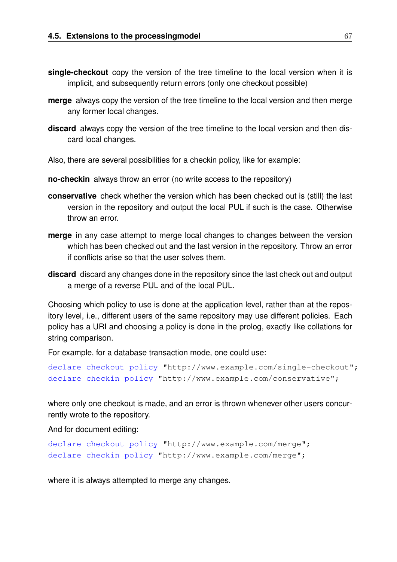- **single-checkout** copy the version of the tree timeline to the local version when it is implicit, and subsequently return errors (only one checkout possible)
- **merge** always copy the version of the tree timeline to the local version and then merge any former local changes.
- **discard** always copy the version of the tree timeline to the local version and then discard local changes.
- Also, there are several possibilities for a checkin policy, like for example:
- **no-checkin** always throw an error (no write access to the repository)
- **conservative** check whether the version which has been checked out is (still) the last version in the repository and output the local PUL if such is the case. Otherwise throw an error.
- **merge** in any case attempt to merge local changes to changes between the version which has been checked out and the last version in the repository. Throw an error if conflicts arise so that the user solves them.
- **discard** discard any changes done in the repository since the last check out and output a merge of a reverse PUL and of the local PUL.

Choosing which policy to use is done at the application level, rather than at the repository level, i.e., different users of the same repository may use different policies. Each policy has a URI and choosing a policy is done in the prolog, exactly like collations for string comparison.

For example, for a database transaction mode, one could use:

```
declare checkout policy "http://www.example.com/single-checkout";
declare checkin policy "http://www.example.com/conservative";
```
where only one checkout is made, and an error is thrown whenever other users concurrently wrote to the repository.

And for document editing:

```
declare checkout policy "http://www.example.com/merge";
declare checkin policy "http://www.example.com/merge";
```
where it is always attempted to merge any changes.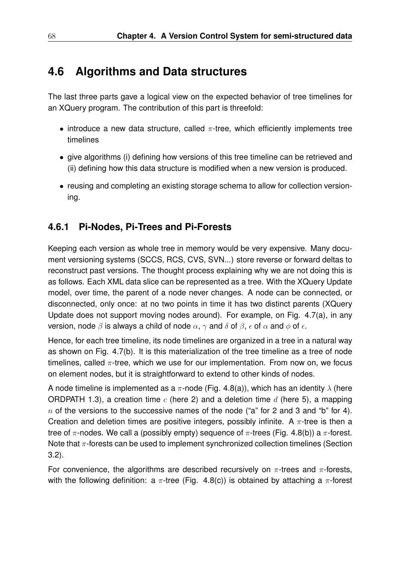# **4.6 Algorithms and Data structures**

The last three parts gave a logical view on the expected behavior of tree timelines for an XQuery program. The contribution of this part is threefold:

- introduce a new data structure, called  $\pi$ -tree, which efficiently implements tree timelines
- give algorithms (i) defining how versions of this tree timeline can be retrieved and (ii) defining how this data structure is modified when a new version is produced.
- reusing and completing an existing storage schema to allow for collection versioning.

## **4.6.1 Pi-Nodes, Pi-Trees and Pi-Forests**

Keeping each version as whole tree in memory would be very expensive. Many document versioning systems (SCCS, RCS, CVS, SVN...) store reverse or forward deltas to reconstruct past versions. The thought process explaining why we are not doing this is as follows. Each XML data slice can be represented as a tree. With the XQuery Update model, over time, the parent of a node never changes. A node can be connected, or disconnected, only once: at no two points in time it has two distinct parents (XQuery Update does not support moving nodes around). For example, on Fig. 4.7(a), in any version, node  $\beta$  is always a child of node  $\alpha$ ,  $\gamma$  and  $\delta$  of  $\beta$ ,  $\epsilon$  of  $\alpha$  and  $\phi$  of  $\epsilon$ .

Hence, for each tree timeline, its node timelines are organized in a tree in a natural way as shown on Fig. 4.7(b). It is this materialization of the tree timeline as a tree of node timelines, called  $\pi$ -tree, which we use for our implementation. From now on, we focus on element nodes, but it is straightforward to extend to other kinds of nodes.

A node timeline is implemented as a  $\pi$ -node (Fig. 4.8(a)), which has an identity  $\lambda$  (here ORDPATH 1.3), a creation time  $c$  (here 2) and a deletion time  $d$  (here 5), a mapping  $n$  of the versions to the successive names of the node ("a" for 2 and 3 and "b" for 4). Creation and deletion times are positive integers, possibly infinite. A  $\pi$ -tree is then a tree of  $\pi$ -nodes. We call a (possibly empty) sequence of  $\pi$ -trees (Fig. 4.8(b)) a  $\pi$ -forest. Note that  $\pi$ -forests can be used to implement synchronized collection timelines (Section 3.2).

For convenience, the algorithms are described recursively on  $\pi$ -trees and  $\pi$ -forests, with the following definition: a  $\pi$ -tree (Fig. 4.8(c)) is obtained by attaching a  $\pi$ -forest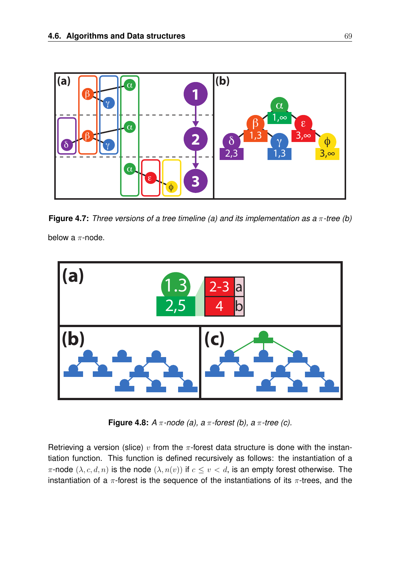

**Figure 4.7:** *Three versions of a tree timeline (a) and its implementation as a* π*-tree (b)* below a  $\pi$ -node.



**Figure 4.8:** *A* π*-node (a), a* π*-forest (b), a* π*-tree (c).*

Retrieving a version (slice)  $v$  from the  $\pi$ -forest data structure is done with the instantiation function. This function is defined recursively as follows: the instantiation of a π-node  $(λ, c, d, n)$  is the node  $(λ, n(v))$  if  $c ≤ v < d$ , is an empty forest otherwise. The instantiation of a  $\pi$ -forest is the sequence of the instantiations of its  $\pi$ -trees, and the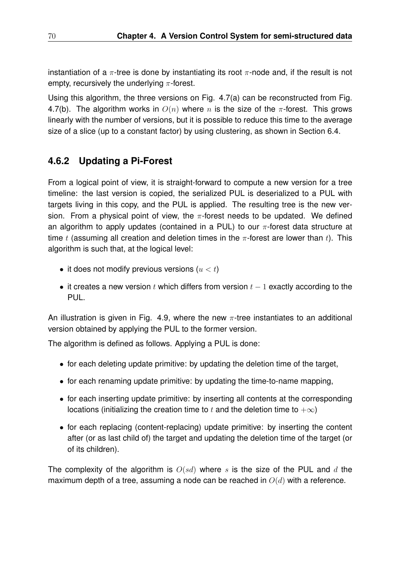instantiation of a  $\pi$ -tree is done by instantiating its root  $\pi$ -node and, if the result is not empty, recursively the underlying  $\pi$ -forest.

Using this algorithm, the three versions on Fig. 4.7(a) can be reconstructed from Fig. 4.7(b). The algorithm works in  $O(n)$  where n is the size of the  $\pi$ -forest. This grows linearly with the number of versions, but it is possible to reduce this time to the average size of a slice (up to a constant factor) by using clustering, as shown in Section 6.4.

## **4.6.2 Updating a Pi-Forest**

From a logical point of view, it is straight-forward to compute a new version for a tree timeline: the last version is copied, the serialized PUL is deserialized to a PUL with targets living in this copy, and the PUL is applied. The resulting tree is the new version. From a physical point of view, the  $\pi$ -forest needs to be updated. We defined an algorithm to apply updates (contained in a PUL) to our  $\pi$ -forest data structure at time t (assuming all creation and deletion times in the  $\pi$ -forest are lower than t). This algorithm is such that, at the logical level:

- it does not modify previous versions  $(u < t)$
- it creates a new version  $t$  which differs from version  $t-1$  exactly according to the PUL.

An illustration is given in Fig. 4.9, where the new  $\pi$ -tree instantiates to an additional version obtained by applying the PUL to the former version.

The algorithm is defined as follows. Applying a PUL is done:

- for each deleting update primitive: by updating the deletion time of the target,
- for each renaming update primitive: by updating the time-to-name mapping,
- for each inserting update primitive: by inserting all contents at the corresponding locations (initializing the creation time to t and the deletion time to  $+\infty$ )
- for each replacing (content-replacing) update primitive: by inserting the content after (or as last child of) the target and updating the deletion time of the target (or of its children).

The complexity of the algorithm is  $O(sd)$  where s is the size of the PUL and d the maximum depth of a tree, assuming a node can be reached in  $O(d)$  with a reference.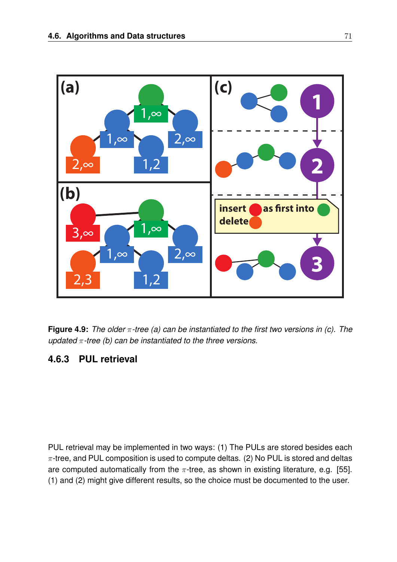

**Figure 4.9:** *The older* π*-tree (a) can be instantiated to the first two versions in (c). The updated* π*-tree (b) can be instantiated to the three versions.*

#### **4.6.3 PUL retrieval**

PUL retrieval may be implemented in two ways: (1) The PULs are stored besides each  $\pi$ -tree, and PUL composition is used to compute deltas. (2) No PUL is stored and deltas are computed automatically from the  $\pi$ -tree, as shown in existing literature, e.g. [55]. (1) and (2) might give different results, so the choice must be documented to the user.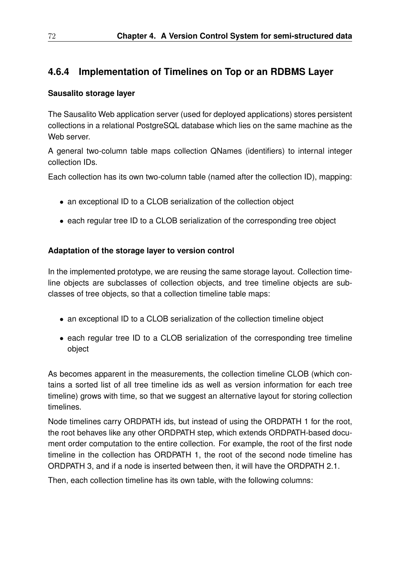## **4.6.4 Implementation of Timelines on Top or an RDBMS Layer**

#### **Sausalito storage layer**

The Sausalito Web application server (used for deployed applications) stores persistent collections in a relational PostgreSQL database which lies on the same machine as the Web server.

A general two-column table maps collection QNames (identifiers) to internal integer collection IDs.

Each collection has its own two-column table (named after the collection ID), mapping:

- an exceptional ID to a CLOB serialization of the collection object
- each regular tree ID to a CLOB serialization of the corresponding tree object

#### **Adaptation of the storage layer to version control**

In the implemented prototype, we are reusing the same storage layout. Collection timeline objects are subclasses of collection objects, and tree timeline objects are subclasses of tree objects, so that a collection timeline table maps:

- an exceptional ID to a CLOB serialization of the collection timeline object
- each regular tree ID to a CLOB serialization of the corresponding tree timeline object

As becomes apparent in the measurements, the collection timeline CLOB (which contains a sorted list of all tree timeline ids as well as version information for each tree timeline) grows with time, so that we suggest an alternative layout for storing collection timelines.

Node timelines carry ORDPATH ids, but instead of using the ORDPATH 1 for the root, the root behaves like any other ORDPATH step, which extends ORDPATH-based document order computation to the entire collection. For example, the root of the first node timeline in the collection has ORDPATH 1, the root of the second node timeline has ORDPATH 3, and if a node is inserted between then, it will have the ORDPATH 2.1.

Then, each collection timeline has its own table, with the following columns: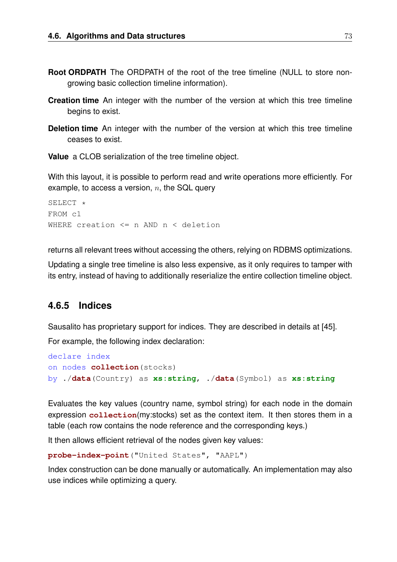- **Root ORDPATH** The ORDPATH of the root of the tree timeline (NULL to store nongrowing basic collection timeline information).
- **Creation time** An integer with the number of the version at which this tree timeline begins to exist.
- **Deletion time** An integer with the number of the version at which this tree timeline ceases to exist.

**Value** a CLOB serialization of the tree timeline object.

With this layout, it is possible to perform read and write operations more efficiently. For example, to access a version,  $n$ , the SQL query

```
SETERCT *FROM c1
WHERE creation <= n AND n < deletion
```
returns all relevant trees without accessing the others, relying on RDBMS optimizations.

Updating a single tree timeline is also less expensive, as it only requires to tamper with its entry, instead of having to additionally reserialize the entire collection timeline object.

#### **4.6.5 Indices**

Sausalito has proprietary support for indices. They are described in details at [45]. For example, the following index declaration:

```
declare index
on nodes collection(stocks)
by ./data(Country) as xs:string, ./data(Symbol) as xs:string
```
Evaluates the key values (country name, symbol string) for each node in the domain expression **collection**(my:stocks) set as the context item. It then stores them in a table (each row contains the node reference and the corresponding keys.)

It then allows efficient retrieval of the nodes given key values:

```
probe-index-point("United States", "AAPL")
```
Index construction can be done manually or automatically. An implementation may also use indices while optimizing a query.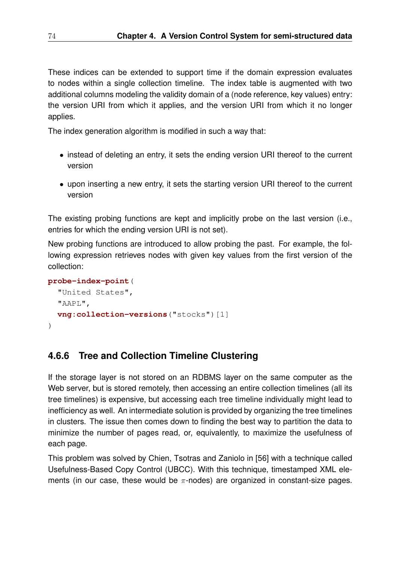These indices can be extended to support time if the domain expression evaluates to nodes within a single collection timeline. The index table is augmented with two additional columns modeling the validity domain of a (node reference, key values) entry: the version URI from which it applies, and the version URI from which it no longer applies.

The index generation algorithm is modified in such a way that:

- instead of deleting an entry, it sets the ending version URI thereof to the current version
- upon inserting a new entry, it sets the starting version URI thereof to the current version

The existing probing functions are kept and implicitly probe on the last version (i.e., entries for which the ending version URI is not set).

New probing functions are introduced to allow probing the past. For example, the following expression retrieves nodes with given key values from the first version of the collection:

```
probe-index-point(
  "United States",
  "AAPL",
  vng:collection-versions("stocks")[1]
\lambda
```
## **4.6.6 Tree and Collection Timeline Clustering**

If the storage layer is not stored on an RDBMS layer on the same computer as the Web server, but is stored remotely, then accessing an entire collection timelines (all its tree timelines) is expensive, but accessing each tree timeline individually might lead to inefficiency as well. An intermediate solution is provided by organizing the tree timelines in clusters. The issue then comes down to finding the best way to partition the data to minimize the number of pages read, or, equivalently, to maximize the usefulness of each page.

This problem was solved by Chien, Tsotras and Zaniolo in [56] with a technique called Usefulness-Based Copy Control (UBCC). With this technique, timestamped XML elements (in our case, these would be  $\pi$ -nodes) are organized in constant-size pages.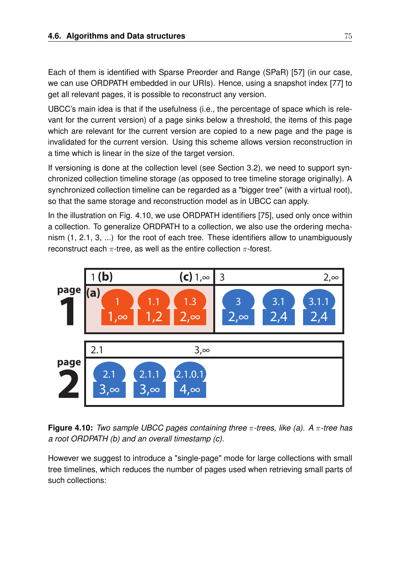Each of them is identified with Sparse Preorder and Range (SPaR) [57] (in our case, we can use ORDPATH embedded in our URIs). Hence, using a snapshot index [77] to get all relevant pages, it is possible to reconstruct any version.

UBCC's main idea is that if the usefulness (i.e., the percentage of space which is relevant for the current version) of a page sinks below a threshold, the items of this page which are relevant for the current version are copied to a new page and the page is invalidated for the current version. Using this scheme allows version reconstruction in a time which is linear in the size of the target version.

If versioning is done at the collection level (see Section 3.2), we need to support synchronized collection timeline storage (as opposed to tree timeline storage originally). A synchronized collection timeline can be regarded as a "bigger tree" (with a virtual root), so that the same storage and reconstruction model as in UBCC can apply.

In the illustration on Fig. 4.10, we use ORDPATH identifiers [75], used only once within a collection. To generalize ORDPATH to a collection, we also use the ordering mechanism (1, 2.1, 3, ...) for the root of each tree. These identifiers allow to unambiguously reconstruct each  $\pi$ -tree, as well as the entire collection  $\pi$ -forest.



**Figure 4.10:** *Two sample UBCC pages containing three* π*-trees, like (a). A* π*-tree has a root ORDPATH (b) and an overall timestamp (c).*

However we suggest to introduce a "single-page" mode for large collections with small tree timelines, which reduces the number of pages used when retrieving small parts of such collections: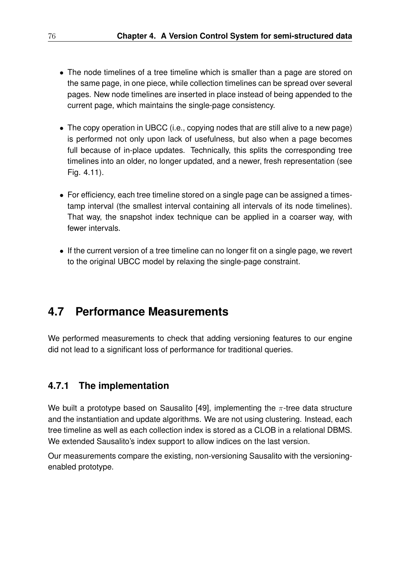- The node timelines of a tree timeline which is smaller than a page are stored on the same page, in one piece, while collection timelines can be spread over several pages. New node timelines are inserted in place instead of being appended to the current page, which maintains the single-page consistency.
- The copy operation in UBCC (i.e., copying nodes that are still alive to a new page) is performed not only upon lack of usefulness, but also when a page becomes full because of in-place updates. Technically, this splits the corresponding tree timelines into an older, no longer updated, and a newer, fresh representation (see Fig. 4.11).
- For efficiency, each tree timeline stored on a single page can be assigned a timestamp interval (the smallest interval containing all intervals of its node timelines). That way, the snapshot index technique can be applied in a coarser way, with fewer intervals.
- If the current version of a tree timeline can no longer fit on a single page, we revert to the original UBCC model by relaxing the single-page constraint.

# **4.7 Performance Measurements**

We performed measurements to check that adding versioning features to our engine did not lead to a significant loss of performance for traditional queries.

## **4.7.1 The implementation**

We built a prototype based on Sausalito [49], implementing the  $\pi$ -tree data structure and the instantiation and update algorithms. We are not using clustering. Instead, each tree timeline as well as each collection index is stored as a CLOB in a relational DBMS. We extended Sausalito's index support to allow indices on the last version.

Our measurements compare the existing, non-versioning Sausalito with the versioningenabled prototype.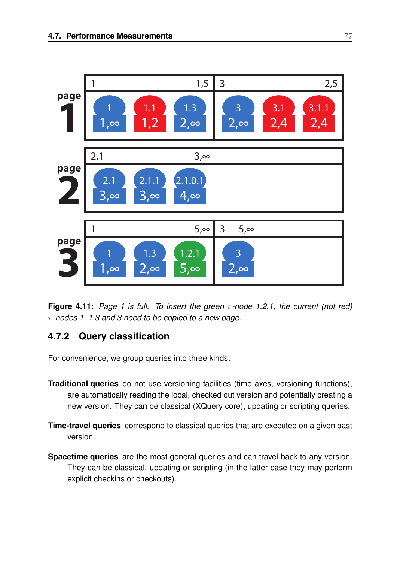

**Figure 4.11:** *Page 1 is full. To insert the green* π*-node 1.2.1, the current (not red)* π*-nodes 1, 1.3 and 3 need to be copied to a new page.*

## **4.7.2 Query classification**

For convenience, we group queries into three kinds:

- **Traditional queries** do not use versioning facilities (time axes, versioning functions), are automatically reading the local, checked out version and potentially creating a new version. They can be classical (XQuery core), updating or scripting queries.
- **Time-travel queries** correspond to classical queries that are executed on a given past version.
- **Spacetime queries** are the most general queries and can travel back to any version. They can be classical, updating or scripting (in the latter case they may perform explicit checkins or checkouts).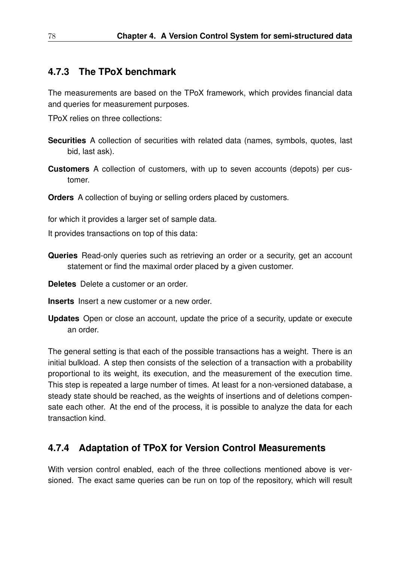#### **4.7.3 The TPoX benchmark**

The measurements are based on the TPoX framework, which provides financial data and queries for measurement purposes.

TPoX relies on three collections:

- **Securities** A collection of securities with related data (names, symbols, quotes, last bid, last ask).
- **Customers** A collection of customers, with up to seven accounts (depots) per customer.

**Orders** A collection of buying or selling orders placed by customers.

for which it provides a larger set of sample data.

It provides transactions on top of this data:

- **Queries** Read-only queries such as retrieving an order or a security, get an account statement or find the maximal order placed by a given customer.
- **Deletes** Delete a customer or an order.
- **Inserts** Insert a new customer or a new order.
- **Updates** Open or close an account, update the price of a security, update or execute an order.

The general setting is that each of the possible transactions has a weight. There is an initial bulkload. A step then consists of the selection of a transaction with a probability proportional to its weight, its execution, and the measurement of the execution time. This step is repeated a large number of times. At least for a non-versioned database, a steady state should be reached, as the weights of insertions and of deletions compensate each other. At the end of the process, it is possible to analyze the data for each transaction kind.

#### **4.7.4 Adaptation of TPoX for Version Control Measurements**

With version control enabled, each of the three collections mentioned above is versioned. The exact same queries can be run on top of the repository, which will result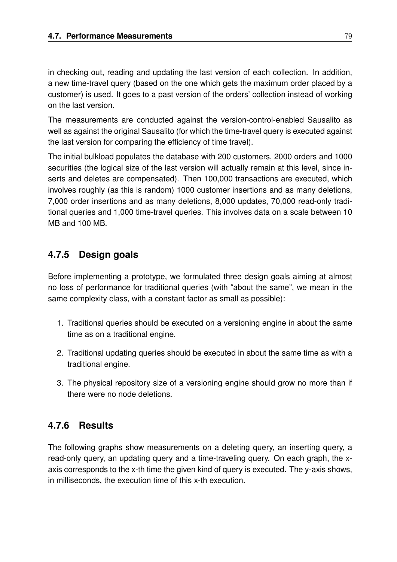in checking out, reading and updating the last version of each collection. In addition, a new time-travel query (based on the one which gets the maximum order placed by a customer) is used. It goes to a past version of the orders' collection instead of working on the last version.

The measurements are conducted against the version-control-enabled Sausalito as well as against the original Sausalito (for which the time-travel query is executed against the last version for comparing the efficiency of time travel).

The initial bulkload populates the database with 200 customers, 2000 orders and 1000 securities (the logical size of the last version will actually remain at this level, since inserts and deletes are compensated). Then 100,000 transactions are executed, which involves roughly (as this is random) 1000 customer insertions and as many deletions, 7,000 order insertions and as many deletions, 8,000 updates, 70,000 read-only traditional queries and 1,000 time-travel queries. This involves data on a scale between 10 MB and 100 MB.

## **4.7.5 Design goals**

Before implementing a prototype, we formulated three design goals aiming at almost no loss of performance for traditional queries (with "about the same", we mean in the same complexity class, with a constant factor as small as possible):

- 1. Traditional queries should be executed on a versioning engine in about the same time as on a traditional engine.
- 2. Traditional updating queries should be executed in about the same time as with a traditional engine.
- 3. The physical repository size of a versioning engine should grow no more than if there were no node deletions.

## **4.7.6 Results**

The following graphs show measurements on a deleting query, an inserting query, a read-only query, an updating query and a time-traveling query. On each graph, the xaxis corresponds to the x-th time the given kind of query is executed. The y-axis shows, in milliseconds, the execution time of this x-th execution.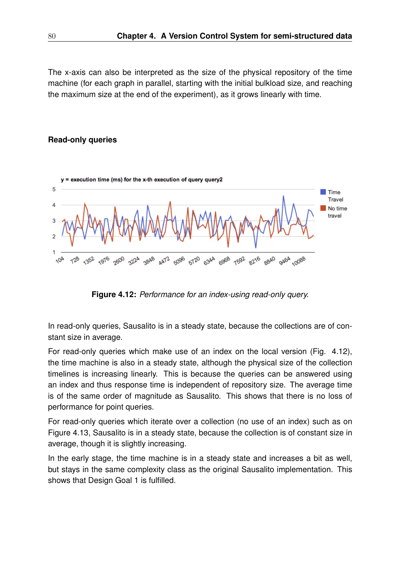The x-axis can also be interpreted as the size of the physical repository of the time machine (for each graph in parallel, starting with the initial bulkload size, and reaching the maximum size at the end of the experiment), as it grows linearly with time.

#### **Read-only queries**



**Figure 4.12:** *Performance for an index-using read-only query.*

In read-only queries, Sausalito is in a steady state, because the collections are of constant size in average.

For read-only queries which make use of an index on the local version (Fig. 4.12), the time machine is also in a steady state, although the physical size of the collection timelines is increasing linearly. This is because the queries can be answered using an index and thus response time is independent of repository size. The average time is of the same order of magnitude as Sausalito. This shows that there is no loss of performance for point queries.

For read-only queries which iterate over a collection (no use of an index) such as on Figure 4.13, Sausalito is in a steady state, because the collection is of constant size in average, though it is slightly increasing.

In the early stage, the time machine is in a steady state and increases a bit as well, but stays in the same complexity class as the original Sausalito implementation. This shows that Design Goal 1 is fulfilled.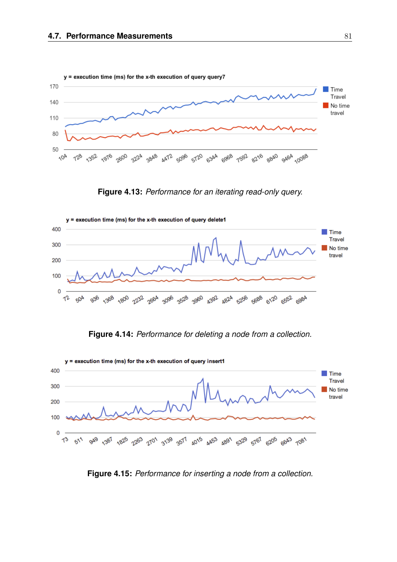

**Figure 4.13:** *Performance for an iterating read-only query.*



**Figure 4.14:** *Performance for deleting a node from a collection.*



**Figure 4.15:** *Performance for inserting a node from a collection.*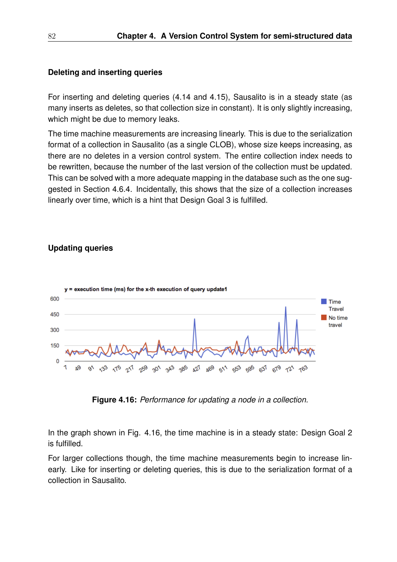#### **Deleting and inserting queries**

For inserting and deleting queries (4.14 and 4.15), Sausalito is in a steady state (as many inserts as deletes, so that collection size in constant). It is only slightly increasing, which might be due to memory leaks.

The time machine measurements are increasing linearly. This is due to the serialization format of a collection in Sausalito (as a single CLOB), whose size keeps increasing, as there are no deletes in a version control system. The entire collection index needs to be rewritten, because the number of the last version of the collection must be updated. This can be solved with a more adequate mapping in the database such as the one suggested in Section 4.6.4. Incidentally, this shows that the size of a collection increases linearly over time, which is a hint that Design Goal 3 is fulfilled.

#### **Updating queries**



**Figure 4.16:** *Performance for updating a node in a collection.*

In the graph shown in Fig. 4.16, the time machine is in a steady state: Design Goal 2 is fulfilled.

For larger collections though, the time machine measurements begin to increase linearly. Like for inserting or deleting queries, this is due to the serialization format of a collection in Sausalito.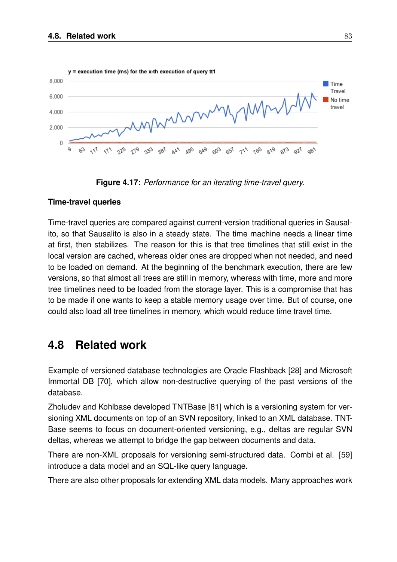

**Figure 4.17:** *Performance for an iterating time-travel query.*

#### **Time-travel queries**

Time-travel queries are compared against current-version traditional queries in Sausalito, so that Sausalito is also in a steady state. The time machine needs a linear time at first, then stabilizes. The reason for this is that tree timelines that still exist in the local version are cached, whereas older ones are dropped when not needed, and need to be loaded on demand. At the beginning of the benchmark execution, there are few versions, so that almost all trees are still in memory, whereas with time, more and more tree timelines need to be loaded from the storage layer. This is a compromise that has to be made if one wants to keep a stable memory usage over time. But of course, one could also load all tree timelines in memory, which would reduce time travel time.

# **4.8 Related work**

Example of versioned database technologies are Oracle Flashback [28] and Microsoft Immortal DB [70], which allow non-destructive querying of the past versions of the database.

Zholudev and Kohlbase developed TNTBase [81] which is a versioning system for versioning XML documents on top of an SVN repository, linked to an XML database. TNT-Base seems to focus on document-oriented versioning, e.g., deltas are regular SVN deltas, whereas we attempt to bridge the gap between documents and data.

There are non-XML proposals for versioning semi-structured data. Combi et al. [59] introduce a data model and an SQL-like query language.

There are also other proposals for extending XML data models. Many approaches work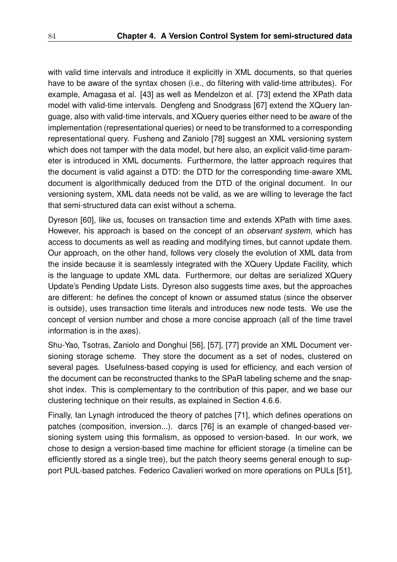with valid time intervals and introduce it explicitly in XML documents, so that queries have to be aware of the syntax chosen (i.e., do filtering with valid-time attributes). For example, Amagasa et al. [43] as well as Mendelzon et al. [73] extend the XPath data model with valid-time intervals. Dengfeng and Snodgrass [67] extend the XQuery language, also with valid-time intervals, and XQuery queries either need to be aware of the implementation (representational queries) or need to be transformed to a corresponding representational query. Fusheng and Zaniolo [78] suggest an XML versioning system which does not tamper with the data model, but here also, an explicit valid-time parameter is introduced in XML documents. Furthermore, the latter approach requires that the document is valid against a DTD: the DTD for the corresponding time-aware XML document is algorithmically deduced from the DTD of the original document. In our versioning system, XML data needs not be valid, as we are willing to leverage the fact that semi-structured data can exist without a schema.

Dyreson [60], like us, focuses on transaction time and extends XPath with time axes. However, his approach is based on the concept of an *observant system*, which has access to documents as well as reading and modifying times, but cannot update them. Our approach, on the other hand, follows very closely the evolution of XML data from the inside because it is seamlessly integrated with the XQuery Update Facility, which is the language to update XML data. Furthermore, our deltas are serialized XQuery Update's Pending Update Lists. Dyreson also suggests time axes, but the approaches are different: he defines the concept of known or assumed status (since the observer is outside), uses transaction time literals and introduces new node tests. We use the concept of version number and chose a more concise approach (all of the time travel information is in the axes).

Shu-Yao, Tsotras, Zaniolo and Donghui [56], [57], [77] provide an XML Document versioning storage scheme. They store the document as a set of nodes, clustered on several pages. Usefulness-based copying is used for efficiency, and each version of the document can be reconstructed thanks to the SPaR labeling scheme and the snapshot index. This is complementary to the contribution of this paper, and we base our clustering technique on their results, as explained in Section 4.6.6.

Finally, Ian Lynagh introduced the theory of patches [71], which defines operations on patches (composition, inversion...). darcs [76] is an example of changed-based versioning system using this formalism, as opposed to version-based. In our work, we chose to design a version-based time machine for efficient storage (a timeline can be efficiently stored as a single tree), but the patch theory seems general enough to support PUL-based patches. Federico Cavalieri worked on more operations on PULs [51],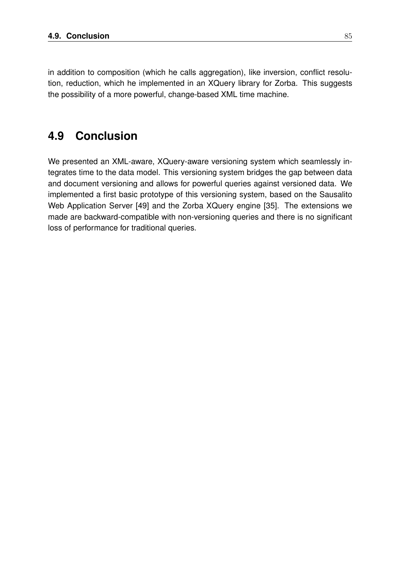in addition to composition (which he calls aggregation), like inversion, conflict resolution, reduction, which he implemented in an XQuery library for Zorba. This suggests the possibility of a more powerful, change-based XML time machine.

# **4.9 Conclusion**

We presented an XML-aware, XQuery-aware versioning system which seamlessly integrates time to the data model. This versioning system bridges the gap between data and document versioning and allows for powerful queries against versioned data. We implemented a first basic prototype of this versioning system, based on the Sausalito Web Application Server [49] and the Zorba XQuery engine [35]. The extensions we made are backward-compatible with non-versioning queries and there is no significant loss of performance for traditional queries.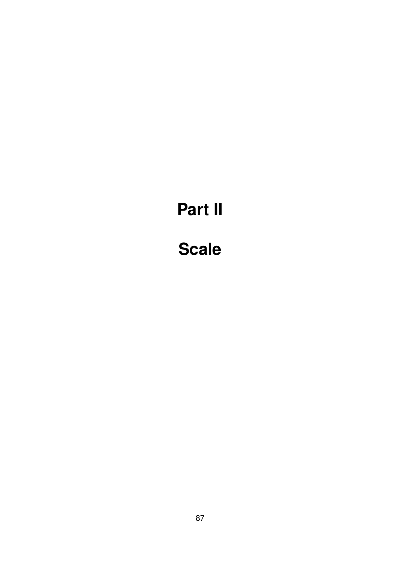# **Part II**

# **Scale**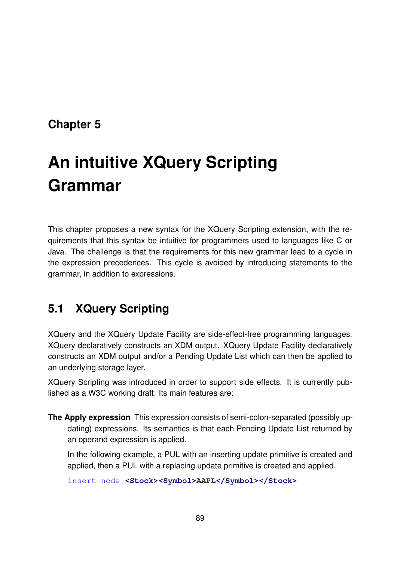# **Chapter 5**

# **An intuitive XQuery Scripting Grammar**

This chapter proposes a new syntax for the XQuery Scripting extension, with the requirements that this syntax be intuitive for programmers used to languages like C or Java. The challenge is that the requirements for this new grammar lead to a cycle in the expression precedences. This cycle is avoided by introducing statements to the grammar, in addition to expressions.

# **5.1 XQuery Scripting**

XQuery and the XQuery Update Facility are side-effect-free programming languages. XQuery declaratively constructs an XDM output. XQuery Update Facility declaratively constructs an XDM output and/or a Pending Update List which can then be applied to an underlying storage layer.

XQuery Scripting was introduced in order to support side effects. It is currently published as a W3C working draft. Its main features are:

**The Apply expression** This expression consists of semi-colon-separated (possibly updating) expressions. Its semantics is that each Pending Update List returned by an operand expression is applied.

In the following example, a PUL with an inserting update primitive is created and applied, then a PUL with a replacing update primitive is created and applied.

insert node **<Stock><Symbol>AAPL</Symbol></Stock>**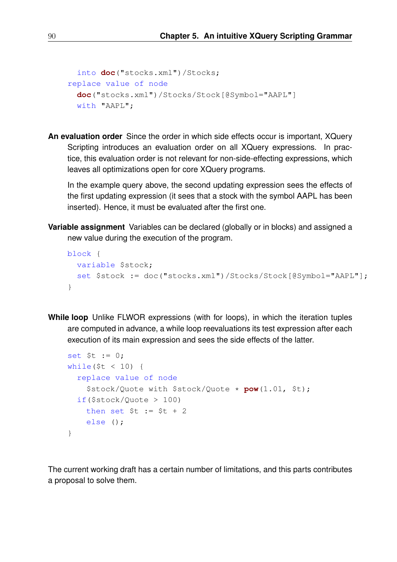```
into doc("stocks.xml")/Stocks;
replace value of node
 doc("stocks.xml")/Stocks/Stock[@Symbol="AAPL"]
 with "AAPL";
```
**An evaluation order** Since the order in which side effects occur is important, XQuery Scripting introduces an evaluation order on all XQuery expressions. In practice, this evaluation order is not relevant for non-side-effecting expressions, which leaves all optimizations open for core XQuery programs.

In the example query above, the second updating expression sees the effects of the first updating expression (it sees that a stock with the symbol AAPL has been inserted). Hence, it must be evaluated after the first one.

**Variable assignment** Variables can be declared (globally or in blocks) and assigned a new value during the execution of the program.

```
block {
 variable $stock;
  set $stock := doc("stocks.xml")/Stocks/Stock[@Symbol="AAPL"];
}
```
**While loop** Unlike FLWOR expressions (with for loops), in which the iteration tuples are computed in advance, a while loop reevaluations its test expression after each execution of its main expression and sees the side effects of the latter.

```
set $t := 0;
while($t < 10) {
 replace value of node
    $stock/Quote with $stock/Quote * pow(1.01, $t);
 if($stock/Quote > 100)
   then set $t := $t + 2$else ();
}
```
The current working draft has a certain number of limitations, and this parts contributes a proposal to solve them.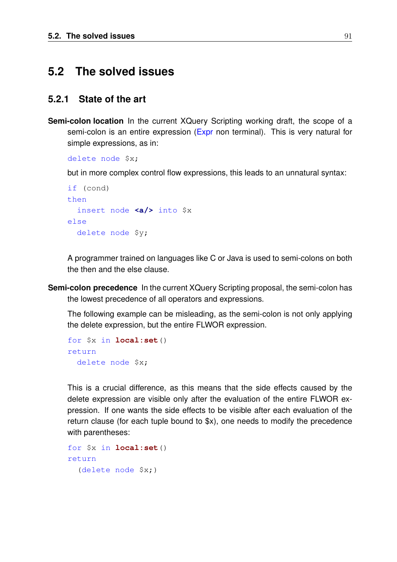## **5.2 The solved issues**

### **5.2.1 State of the art**

**Semi-colon location** In the current XQuery Scripting working draft, the scope of a semi-colon is an entire expression (Expr non terminal). This is very natural for simple expressions, as in:

delete node \$x;

but in more complex control flow expressions, this leads to an unnatural syntax:

```
if (cond)
then
 insert node <a/> into $x
else
 delete node $y;
```
A programmer trained on languages like C or Java is used to semi-colons on both the then and the else clause.

**Semi-colon precedence** In the current XQuery Scripting proposal, the semi-colon has the lowest precedence of all operators and expressions.

The following example can be misleading, as the semi-colon is not only applying the delete expression, but the entire FLWOR expression.

```
for $x in local:set()
return
 delete node $x;
```
This is a crucial difference, as this means that the side effects caused by the delete expression are visible only after the evaluation of the entire FLWOR expression. If one wants the side effects to be visible after each evaluation of the return clause (for each tuple bound to \$x), one needs to modify the precedence with parentheses:

```
for $x in local:set()
return
  (delete node $x;)
```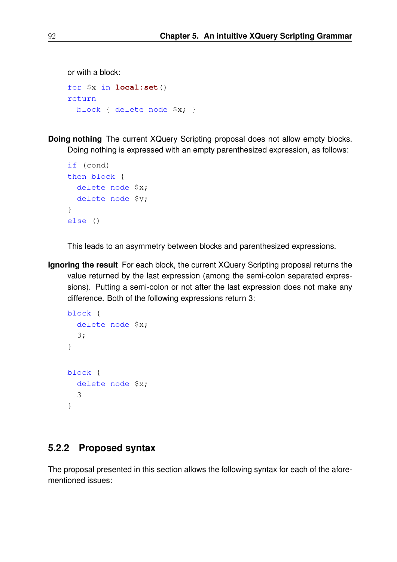```
or with a block:
for $x in local:set()
return
 block { delete node $x; }
```
**Doing nothing** The current XQuery Scripting proposal does not allow empty blocks. Doing nothing is expressed with an empty parenthesized expression, as follows:

```
if (cond)
then block {
 delete node $x;
 delete node $y;
}
else ()
```
This leads to an asymmetry between blocks and parenthesized expressions.

**Ignoring the result** For each block, the current XQuery Scripting proposal returns the value returned by the last expression (among the semi-colon separated expressions). Putting a semi-colon or not after the last expression does not make any difference. Both of the following expressions return 3:

```
block {
  delete node $x;
  3;
}
block {
  delete node $x;
  3
}
```
## **5.2.2 Proposed syntax**

The proposal presented in this section allows the following syntax for each of the aforementioned issues: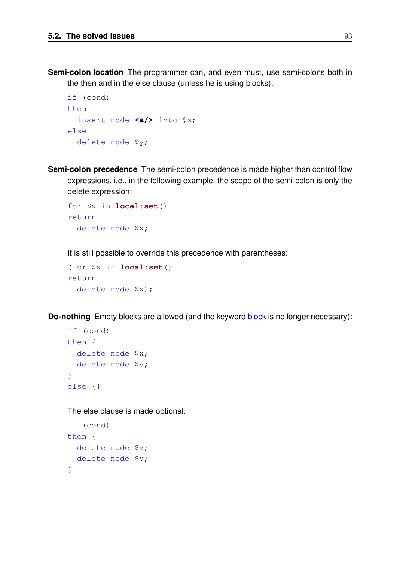**Semi-colon location** The programmer can, and even must, use semi-colons both in the then and in the else clause (unless he is using blocks):

```
if (cond)
then
  insert node <a/><a>>
into $x;
else
 delete node $y;
```
**Semi-colon precedence** The semi-colon precedence is made higher than control flow expressions, i.e., in the following example, the scope of the semi-colon is only the delete expression:

```
for $x in local:set()
return
 delete node $x;
```
It is still possible to override this precedence with parentheses:

```
(for $x in local:set()
return
 delete node $x);
```
**Do-nothing** Empty blocks are allowed (and the keyword block is no longer necessary):

```
if (cond)
then {
 delete node $x;
 delete node $y;
}
else {}
```
The else clause is made optional:

```
if (cond)
then {
 delete node $x;
 delete node $y;
}
```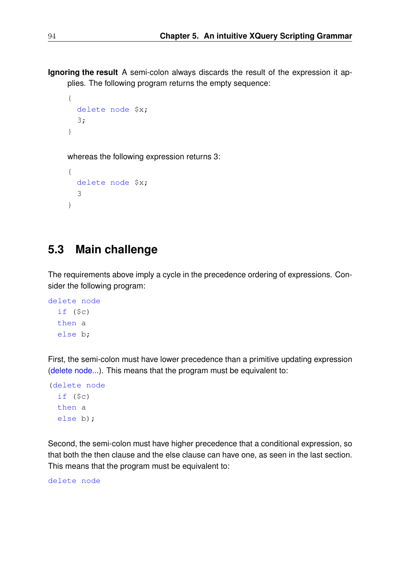**Ignoring the result** A semi-colon always discards the result of the expression it applies. The following program returns the empty sequence:

```
{
  delete node $x;
  3;
}
```
whereas the following expression returns 3:

```
{
 delete node $x;
  3
}
```
# **5.3 Main challenge**

The requirements above imply a cycle in the precedence ordering of expressions. Consider the following program:

```
delete node
  if ($c)
 then a
  else b;
```
First, the semi-colon must have lower precedence than a primitive updating expression (delete node...). This means that the program must be equivalent to:

```
(delete node
 if ($c)
 then a
 else b);
```
Second, the semi-colon must have higher precedence that a conditional expression, so that both the then clause and the else clause can have one, as seen in the last section. This means that the program must be equivalent to:

delete node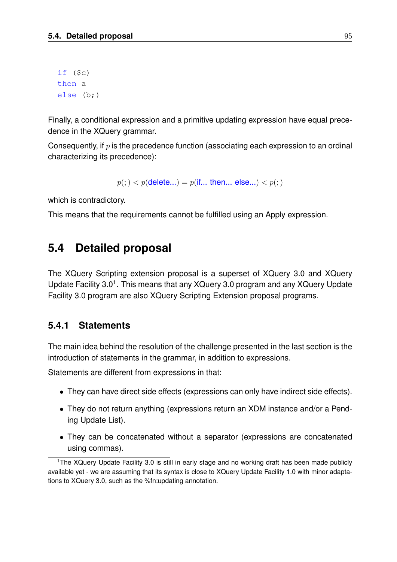```
if (§c)then a
else (b;)
```
Finally, a conditional expression and a primitive updating expression have equal precedence in the XQuery grammar.

Consequently, if  $p$  is the precedence function (associating each expression to an ordinal characterizing its precedence):

 $p($ ;  $) < p$ (delete...) =  $p$ (if... then... else...)  $< p($ ; )

which is contradictory.

This means that the requirements cannot be fulfilled using an Apply expression.

## **5.4 Detailed proposal**

The XQuery Scripting extension proposal is a superset of XQuery 3.0 and XQuery Update Facility 3.0<sup>1</sup>. This means that any XQuery 3.0 program and any XQuery Update Facility 3.0 program are also XQuery Scripting Extension proposal programs.

## **5.4.1 Statements**

The main idea behind the resolution of the challenge presented in the last section is the introduction of statements in the grammar, in addition to expressions.

Statements are different from expressions in that:

- They can have direct side effects (expressions can only have indirect side effects).
- They do not return anything (expressions return an XDM instance and/or a Pending Update List).
- They can be concatenated without a separator (expressions are concatenated using commas).

<sup>&</sup>lt;sup>1</sup>The XQuery Update Facility 3.0 is still in early stage and no working draft has been made publicly available yet - we are assuming that its syntax is close to XQuery Update Facility 1.0 with minor adaptations to XQuery 3.0, such as the %fn:updating annotation.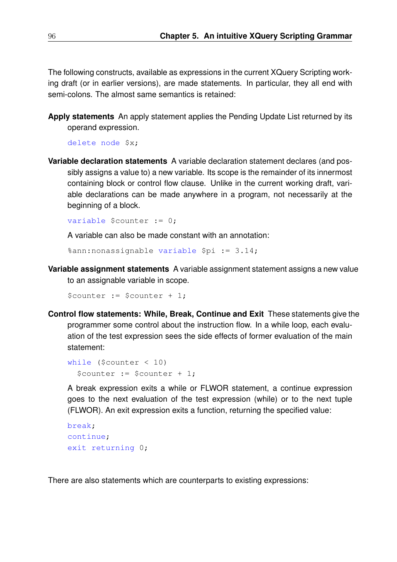The following constructs, available as expressions in the current XQuery Scripting working draft (or in earlier versions), are made statements. In particular, they all end with semi-colons. The almost same semantics is retained:

**Apply statements** An apply statement applies the Pending Update List returned by its operand expression.

delete node \$x;

**Variable declaration statements** A variable declaration statement declares (and possibly assigns a value to) a new variable. Its scope is the remainder of its innermost containing block or control flow clause. Unlike in the current working draft, variable declarations can be made anywhere in a program, not necessarily at the beginning of a block.

```
variable $counter := 0;
```
A variable can also be made constant with an annotation:

%ann:nonassignable variable \$pi := 3.14;

**Variable assignment statements** A variable assignment statement assigns a new value to an assignable variable in scope.

\$counter := \$counter + 1;

**Control flow statements: While, Break, Continue and Exit** These statements give the programmer some control about the instruction flow. In a while loop, each evaluation of the test expression sees the side effects of former evaluation of the main statement:

```
while ($counter < 10)
 $counter := $counter + 1;
```
A break expression exits a while or FLWOR statement, a continue expression goes to the next evaluation of the test expression (while) or to the next tuple (FLWOR). An exit expression exits a function, returning the specified value:

```
break;
continue;
exit returning 0;
```
There are also statements which are counterparts to existing expressions: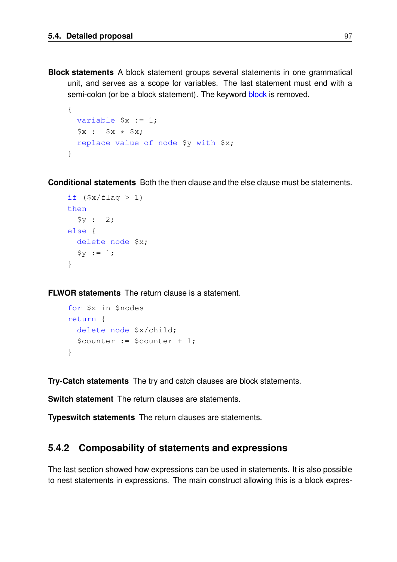**Block statements** A block statement groups several statements in one grammatical unit, and serves as a scope for variables. The last statement must end with a semi-colon (or be a block statement). The keyword block is removed.

```
{
 variable $x := 1;
 $x := $x * $x;replace value of node $y with $x;
}
```
**Conditional statements** Both the then clause and the else clause must be statements.

```
if (\frac{5x}{\text{flag}} > 1)then
  $y := 2;else {
  delete node $x;
  $v := 1;}
```
**FLWOR statements** The return clause is a statement.

```
for $x in $nodes
return {
 delete node $x/child;
  $counter := $counter + 1;
}
```
**Try-Catch statements** The try and catch clauses are block statements.

**Switch statement** The return clauses are statements.

**Typeswitch statements** The return clauses are statements.

#### **5.4.2 Composability of statements and expressions**

The last section showed how expressions can be used in statements. It is also possible to nest statements in expressions. The main construct allowing this is a block expres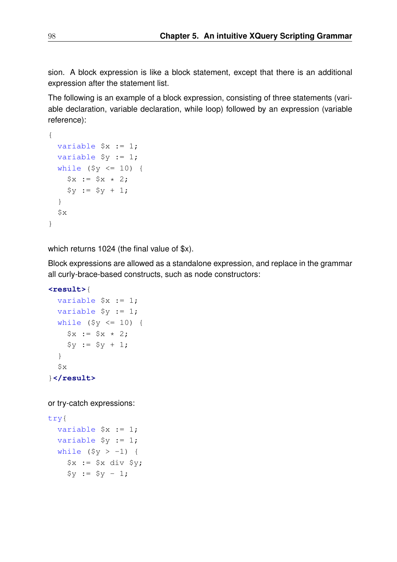sion. A block expression is like a block statement, except that there is an additional expression after the statement list.

The following is an example of a block expression, consisting of three statements (variable declaration, variable declaration, while loop) followed by an expression (variable reference):

```
{
  variable $x := 1;variable $y := 1;
 while (\frac{5}{7} \times 10) {
    Sx := Sx * 2;$y := $y + 1;}
 $x}
```
which returns 1024 (the final value of \$x).

Block expressions are allowed as a standalone expression, and replace in the grammar all curly-brace-based constructs, such as node constructors:

**<result>**{

```
variable $x := 1;
 variable $y := 1;
  while (\frac{5}{7} \leq -10) {
    $x := $x * 2;$y := $y + 1;}
  $x}</result>
```
or try-catch expressions:

```
try{
  variable $x := 1;
  variable $y := 1;
  while (\frac{5}{y} > -1) {
    *x := Sx div Sy;$y := $y - 1;
```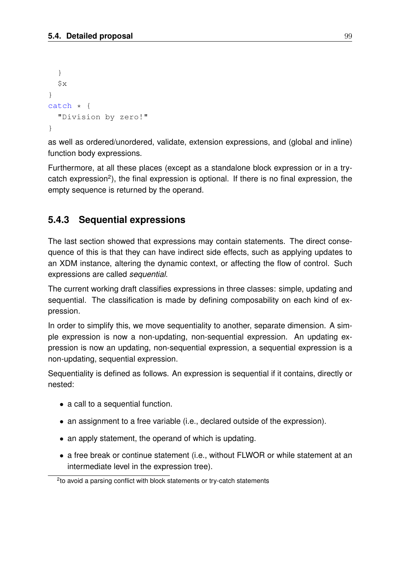```
}
  $x}
catch * {
  "Division by zero!"
}
```
as well as ordered/unordered, validate, extension expressions, and (global and inline) function body expressions.

Furthermore, at all these places (except as a standalone block expression or in a trycatch expression<sup>2</sup>), the final expression is optional. If there is no final expression, the empty sequence is returned by the operand.

## **5.4.3 Sequential expressions**

The last section showed that expressions may contain statements. The direct consequence of this is that they can have indirect side effects, such as applying updates to an XDM instance, altering the dynamic context, or affecting the flow of control. Such expressions are called *sequential*.

The current working draft classifies expressions in three classes: simple, updating and sequential. The classification is made by defining composability on each kind of expression.

In order to simplify this, we move sequentiality to another, separate dimension. A simple expression is now a non-updating, non-sequential expression. An updating expression is now an updating, non-sequential expression, a sequential expression is a non-updating, sequential expression.

Sequentiality is defined as follows. An expression is sequential if it contains, directly or nested:

- a call to a sequential function.
- an assignment to a free variable (i.e., declared outside of the expression).
- an apply statement, the operand of which is updating.
- a free break or continue statement (i.e., without FLWOR or while statement at an intermediate level in the expression tree).

<sup>&</sup>lt;sup>2</sup>to avoid a parsing conflict with block statements or try-catch statements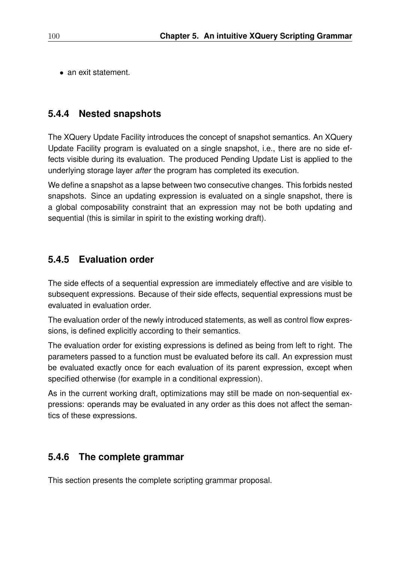• an exit statement.

## **5.4.4 Nested snapshots**

The XQuery Update Facility introduces the concept of snapshot semantics. An XQuery Update Facility program is evaluated on a single snapshot, i.e., there are no side effects visible during its evaluation. The produced Pending Update List is applied to the underlying storage layer *after* the program has completed its execution.

We define a snapshot as a lapse between two consecutive changes. This forbids nested snapshots. Since an updating expression is evaluated on a single snapshot, there is a global composability constraint that an expression may not be both updating and sequential (this is similar in spirit to the existing working draft).

## **5.4.5 Evaluation order**

The side effects of a sequential expression are immediately effective and are visible to subsequent expressions. Because of their side effects, sequential expressions must be evaluated in evaluation order.

The evaluation order of the newly introduced statements, as well as control flow expressions, is defined explicitly according to their semantics.

The evaluation order for existing expressions is defined as being from left to right. The parameters passed to a function must be evaluated before its call. An expression must be evaluated exactly once for each evaluation of its parent expression, except when specified otherwise (for example in a conditional expression).

As in the current working draft, optimizations may still be made on non-sequential expressions: operands may be evaluated in any order as this does not affect the semantics of these expressions.

## **5.4.6 The complete grammar**

This section presents the complete scripting grammar proposal.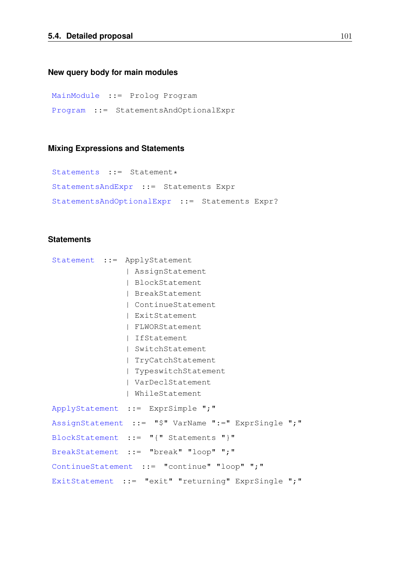#### **New query body for main modules**

MainModule ::= Prolog Program Program ::= StatementsAndOptionalExpr

#### **Mixing Expressions and Statements**

```
Statements ::= Statement*
StatementsAndExpr ::= Statements Expr
StatementsAndOptionalExpr ::= Statements Expr?
```
#### **Statements**

```
Statement ::= ApplyStatement
               | AssignStatement
               | BlockStatement
               | BreakStatement
               | ContinueStatement
               | ExitStatement
               | FLWORStatement
               | IfStatement
               | SwitchStatement
               | TryCatchStatement
               | TypeswitchStatement
               | VarDeclStatement
               | WhileStatement
ApplyStatement ::= ExprSimple ";"
AssignStatement ::= "$" VarName ":=" ExprSingle ";"
BlockStatement ::= "{" Statements "}"
BreakStatement ::= "break" "loop" ";"
ContinueStatement ::= "continue" "loop" ";"
ExitStatement ::= "exit" "returning" ExprSingle ";"
```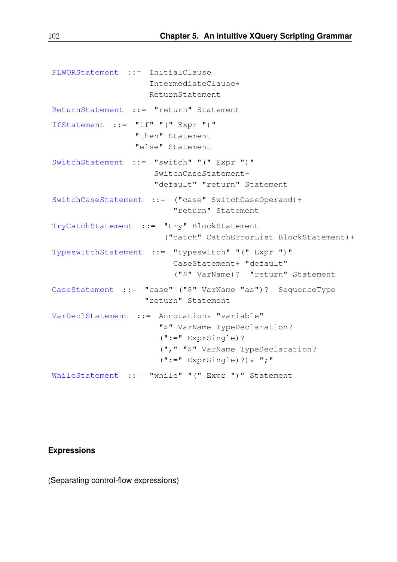```
FLWORStatement ::= InitialClause
                    IntermediateClause*
                    ReturnStatement
ReturnStatement ::= "return" Statement
IfStatement ::= "if" "(" Expr ")"
                 "then" Statement
                 "else" Statement
SwitchStatement ::= "switch" "(" Expr ")"
                     SwitchCaseStatement+
                     "default" "return" Statement
SwitchCaseStatement ::= ("case" SwitchCaseOperand)+
                         "return" Statement
TryCatchStatement ::= "try" BlockStatement
                       ("catch" CatchErrorList BlockStatement)+
TypeswitchStatement ::= "typeswitch" "(" Expr ")"
                         CaseStatement+ "default"
                          ("$" VarName)? "return" Statement
CaseStatement ::= "case" ("$" VarName "as")? SequenceType
                   "return" Statement
VarDeclStatement ::= Annotation* "variable"
                      "$" VarName TypeDeclaration?
                      (":=" ExprSingle)?
                      ("," "$" VarName TypeDeclaration?
                      ("::=" Expressionfile) ? * ";"
WhileStatement ::= "while" "(" Expr ")" Statement
```
#### **Expressions**

(Separating control-flow expressions)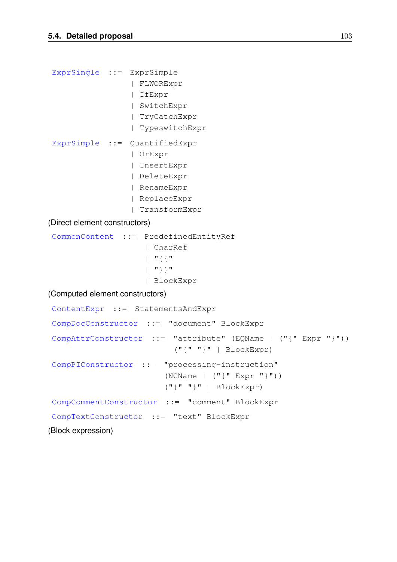```
ExprSingle ::= ExprSimple
                     | FLWORExpr
                     | IfExpr
                     | SwitchExpr
                     | TryCatchExpr
                     | TypeswitchExpr
ExprSimple ::= QuantifiedExpr
                     | OrExpr
                     | InsertExpr
                     | DeleteExpr
                     | RenameExpr
                     | ReplaceExpr
                     | TransformExpr
(Direct element constructors)
 CommonContent ::= PredefinedEntityRef
                        | CharRef
                         | "{{"
                         \begin{bmatrix} 1 & w \\ w & w \end{bmatrix}| BlockExpr
(Computed element constructors)
 ContentExpr ::= StatementsAndExpr
 CompDocConstructor ::= "document" BlockExpr
 CompAttrConstructor ::= "attribute" (EQName | ("{" Expr "}"))
                                (\mathbf{u} \cdot \mathbf{w} \cdot \mathbf{w}) | BlockExpr)
 CompPIConstructor ::= "processing-instruction"
                              (NCName \mid (\text{''} {'' Expr \text{''}})(\text{"} \{\text{"} \text{"} \text{"} \text{)} | BlockExpr)
 CompCommentConstructor ::= "comment" BlockExpr
 CompTextConstructor ::= "text" BlockExpr
(Block expression)
```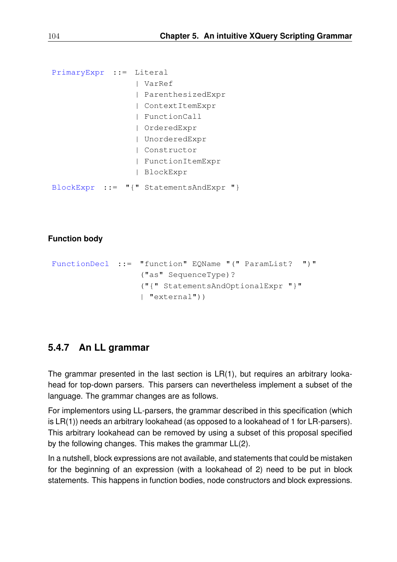```
PrimaryExpr ::= Literal
                 | VarRef
                 | ParenthesizedExpr
                 | ContextItemExpr
                 | FunctionCall
                  | OrderedExpr
                  | UnorderedExpr
                  | Constructor
                  | FunctionItemExpr
                  | BlockExpr
BlockExpr ::= "{" StatementsAndExpr "}
```
#### **Function body**

```
FunctionDecl ::= "function" EQName "(" ParamList? ")"
                  ("as" SequenceType)?
                  ("{" StatementsAndOptionalExpr "}"
                  | "external"))
```
### **5.4.7 An LL grammar**

The grammar presented in the last section is LR(1), but requires an arbitrary lookahead for top-down parsers. This parsers can nevertheless implement a subset of the language. The grammar changes are as follows.

For implementors using LL-parsers, the grammar described in this specification (which is LR(1)) needs an arbitrary lookahead (as opposed to a lookahead of 1 for LR-parsers). This arbitrary lookahead can be removed by using a subset of this proposal specified by the following changes. This makes the grammar LL(2).

In a nutshell, block expressions are not available, and statements that could be mistaken for the beginning of an expression (with a lookahead of 2) need to be put in block statements. This happens in function bodies, node constructors and block expressions.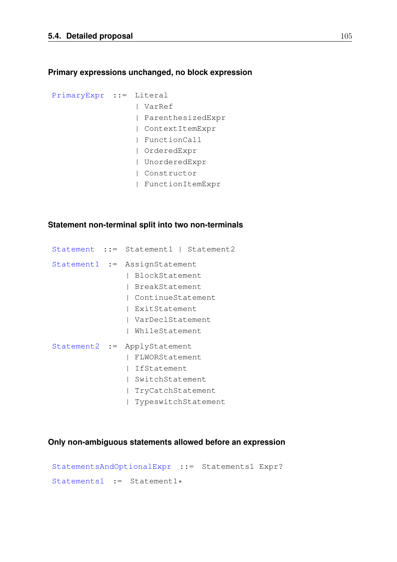#### **Primary expressions unchanged, no block expression**

```
PrimaryExpr ::= Literal
                 | VarRef
                  | ParenthesizedExpr
                  | ContextItemExpr
                  | FunctionCall
                  | OrderedExpr
                  | UnorderedExpr
                  | Constructor
                  | FunctionItemExpr
```
#### **Statement non-terminal split into two non-terminals**

```
Statement ::= Statement1 | Statement2
Statement1 := AssignStatement
               | BlockStatement
               | BreakStatement
               | ContinueStatement
               | ExitStatement
               | VarDeclStatement
               | WhileStatement
Statement2 := ApplyStatement
               | FLWORStatement
               | IfStatement
               | SwitchStatement
               | TryCatchStatement
               | TypeswitchStatement
```
#### **Only non-ambiguous statements allowed before an expression**

```
StatementsAndOptionalExpr ::= Statements1 Expr?
Statements1 := Statement1*
```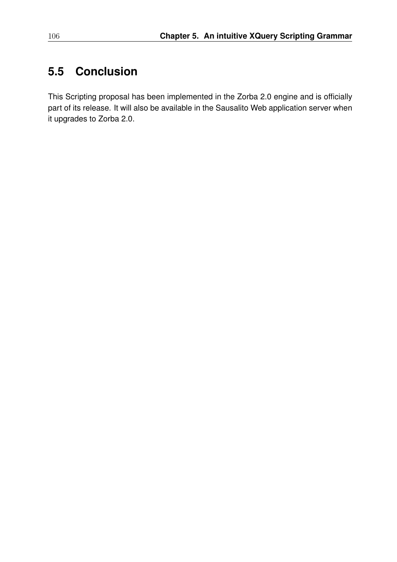# **5.5 Conclusion**

This Scripting proposal has been implemented in the Zorba 2.0 engine and is officially part of its release. It will also be available in the Sausalito Web application server when it upgrades to Zorba 2.0.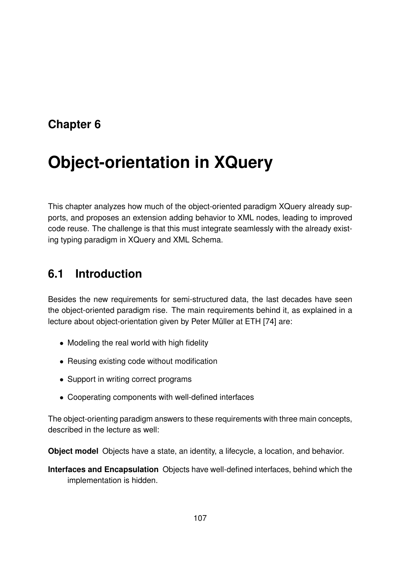# **Chapter 6**

# **Object-orientation in XQuery**

This chapter analyzes how much of the object-oriented paradigm XQuery already supports, and proposes an extension adding behavior to XML nodes, leading to improved code reuse. The challenge is that this must integrate seamlessly with the already existing typing paradigm in XQuery and XML Schema.

# **6.1 Introduction**

Besides the new requirements for semi-structured data, the last decades have seen the object-oriented paradigm rise. The main requirements behind it, as explained in a lecture about object-orientation given by Peter Müller at ETH [74] are:

- Modeling the real world with high fidelity
- Reusing existing code without modification
- Support in writing correct programs
- Cooperating components with well-defined interfaces

The object-orienting paradigm answers to these requirements with three main concepts, described in the lecture as well:

**Object model** Objects have a state, an identity, a lifecycle, a location, and behavior.

**Interfaces and Encapsulation** Objects have well-defined interfaces, behind which the implementation is hidden.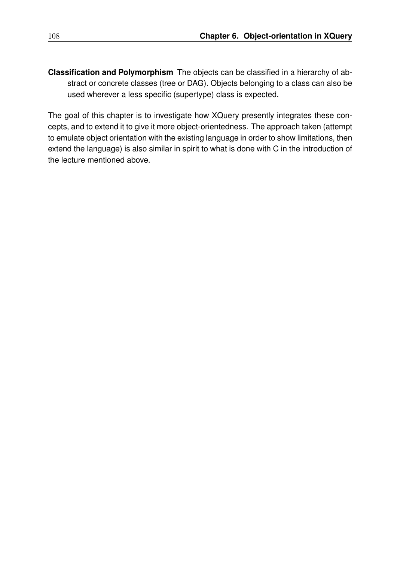**Classification and Polymorphism** The objects can be classified in a hierarchy of abstract or concrete classes (tree or DAG). Objects belonging to a class can also be used wherever a less specific (supertype) class is expected.

The goal of this chapter is to investigate how XQuery presently integrates these concepts, and to extend it to give it more object-orientedness. The approach taken (attempt to emulate object orientation with the existing language in order to show limitations, then extend the language) is also similar in spirit to what is done with C in the introduction of the lecture mentioned above.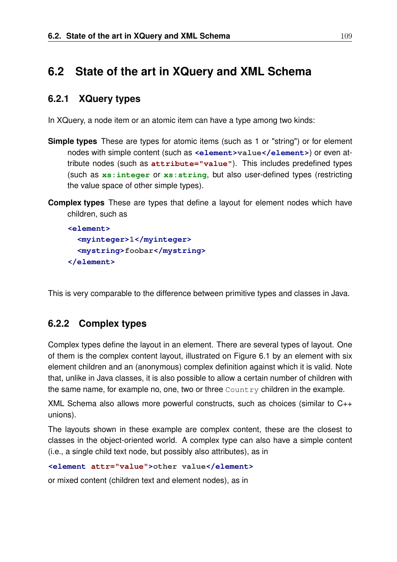## **6.2 State of the art in XQuery and XML Schema**

## **6.2.1 XQuery types**

In XQuery, a node item or an atomic item can have a type among two kinds:

- **Simple types** These are types for atomic items (such as 1 or "string") or for element nodes with simple content (such as <element>value</element>) or even attribute nodes (such as **attribute="value"**). This includes predefined types (such as **xs:integer** or **xs:string**, but also user-defined types (restricting the value space of other simple types).
- **Complex types** These are types that define a layout for element nodes which have children, such as

```
<element>
  <myinteger>1</myinteger>
  <mystring>foobar</mystring>
</element>
```
This is very comparable to the difference between primitive types and classes in Java.

## **6.2.2 Complex types**

Complex types define the layout in an element. There are several types of layout. One of them is the complex content layout, illustrated on Figure 6.1 by an element with six element children and an (anonymous) complex definition against which it is valid. Note that, unlike in Java classes, it is also possible to allow a certain number of children with the same name, for example no, one, two or three  $\text{Country}$  children in the example.

XML Schema also allows more powerful constructs, such as choices (similar to C++ unions).

The layouts shown in these example are complex content, these are the closest to classes in the object-oriented world. A complex type can also have a simple content (i.e., a single child text node, but possibly also attributes), as in

```
<element attr="value">other value</element>
```
or mixed content (children text and element nodes), as in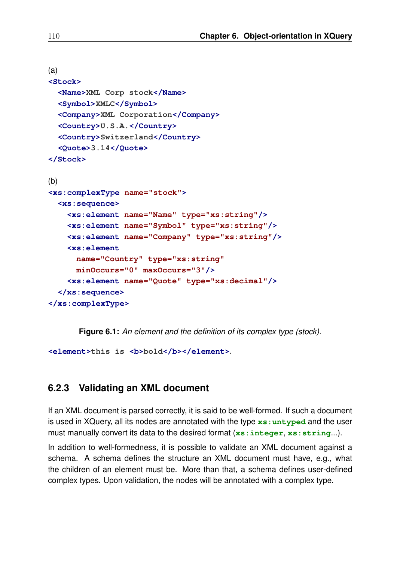```
(a)
<Stock>
  <Name>XML Corp stock</Name>
  <Symbol>XMLC</Symbol>
  <Company>XML Corporation</Company>
  <Country>U.S.A.</Country>
  <Country>Switzerland</Country>
  <Quote>3.14</Quote>
</Stock>
(b)
<xs:complexType name="stock">
  <xs:sequence>
    <xs:element name="Name" type="xs:string"/>
    <xs:element name="Symbol" type="xs:string"/>
    <xs:element name="Company" type="xs:string"/>
    <xs:element
      name="Country" type="xs:string"
      minOccurs="0" maxOccurs="3"/>
    <xs:element name="Quote" type="xs:decimal"/>
  </xs:sequence>
</xs:complexType>
```
**Figure 6.1:** *An element and the definition of its complex type (stock).*

*<u><b>***clement>this is** *s***b>bold***s***</del>/<b>b>**</element>.</u>

## **6.2.3 Validating an XML document**

If an XML document is parsed correctly, it is said to be well-formed. If such a document is used in XQuery, all its nodes are annotated with the type **xs:untyped** and the user must manually convert its data to the desired format (**xs:integer**, **xs:string**...).

In addition to well-formedness, it is possible to validate an XML document against a schema. A schema defines the structure an XML document must have, e.g., what the children of an element must be. More than that, a schema defines user-defined complex types. Upon validation, the nodes will be annotated with a complex type.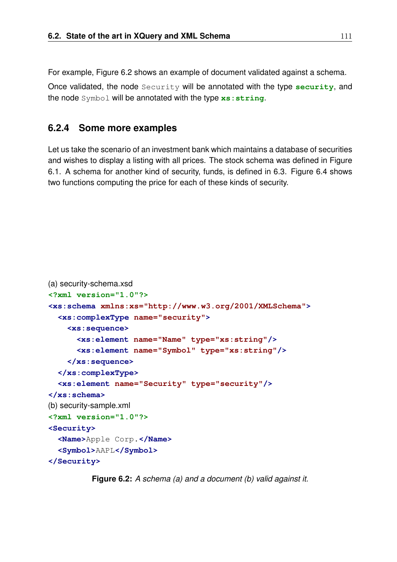For example, Figure 6.2 shows an example of document validated against a schema.

Once validated, the node Security will be annotated with the type **security**, and the node Symbol will be annotated with the type **xs:string**.

## **6.2.4 Some more examples**

Let us take the scenario of an investment bank which maintains a database of securities and wishes to display a listing with all prices. The stock schema was defined in Figure 6.1. A schema for another kind of security, funds, is defined in 6.3. Figure 6.4 shows two functions computing the price for each of these kinds of security.

```
(a) security-schema.xsd
<?xml version="1.0"?>
<xs:schema xmlns:xs="http://www.w3.org/2001/XMLSchema">
  <xs:complexType name="security">
    <xs:sequence>
      <xs:element name="Name" type="xs:string"/>
      <xs:element name="Symbol" type="xs:string"/>
    </xs:sequence>
  </xs:complexType>
  <xs:element name="Security" type="security"/>
</xs:schema>
(b) security-sample.xml
<?xml version="1.0"?>
<Security>
  <Name>Apple Corp.</Name>
  <Symbol>AAPL</Symbol>
</Security>
```
**Figure 6.2:** *A schema (a) and a document (b) valid against it.*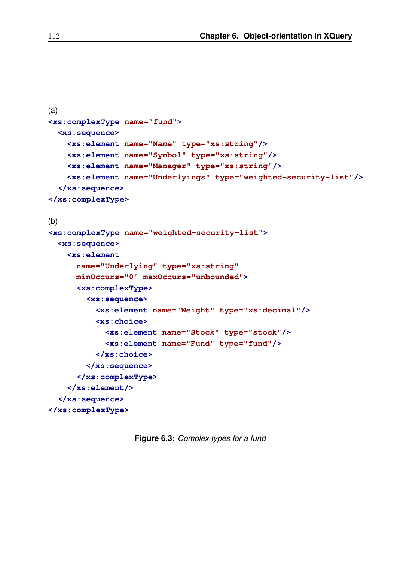```
(a)
<xs:complexType name="fund">
  <xs:sequence>
    <xs:element name="Name" type="xs:string"/>
    <xs:element name="Symbol" type="xs:string"/>
    <xs:element name="Manager" type="xs:string"/>
    <xs:element name="Underlyings" type="weighted-security-list"/>
  </xs:sequence>
</xs:complexType>
(b)
<xs:complexType name="weighted-security-list">
  <xs:sequence>
    <xs:element
      name="Underlying" type="xs:string"
      minOccurs="0" maxOccurs="unbounded">
      <xs:complexType>
        <xs:sequence>
          <xs:element name="Weight" type="xs:decimal"/>
          <xs:choice>
            <xs:element name="Stock" type="stock"/>
            <xs:element name="Fund" type="fund"/>
          </xs:choice>
        </xs:sequence>
      </xs:complexType>
    </xs:element/>
  </xs:sequence>
</xs:complexType>
```
**Figure 6.3:** *Complex types for a fund*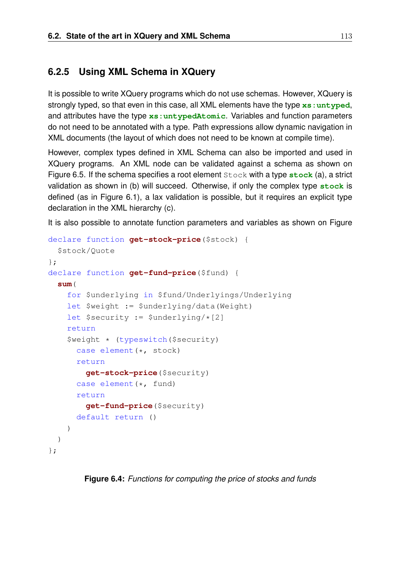## **6.2.5 Using XML Schema in XQuery**

It is possible to write XQuery programs which do not use schemas. However, XQuery is strongly typed, so that even in this case, all XML elements have the type **xs:untyped**, and attributes have the type **xs:untypedAtomic**. Variables and function parameters do not need to be annotated with a type. Path expressions allow dynamic navigation in XML documents (the layout of which does not need to be known at compile time).

However, complex types defined in XML Schema can also be imported and used in XQuery programs. An XML node can be validated against a schema as shown on Figure 6.5. If the schema specifies a root element Stock with a type **stock** (a), a strict validation as shown in (b) will succeed. Otherwise, if only the complex type **stock** is defined (as in Figure 6.1), a lax validation is possible, but it requires an explicit type declaration in the XML hierarchy (c).

It is also possible to annotate function parameters and variables as shown on Figure

```
declare function get-stock-price($stock) {
  $stock/Quote
};
declare function get-fund-price($fund) {
  sum(
    for $underlying in $fund/Underlyings/Underlying
    let $weight := $underlying/data(Weight)
    let $security := $underlying/*[2]
    return
    $weight * (typeswitch($security)
      case element(*, stock)
      return
        get-stock-price($security)
      case element(*, fund)
      return
        get-fund-price($security)
      default return ()
    )
  )
};
```
**Figure 6.4:** *Functions for computing the price of stocks and funds*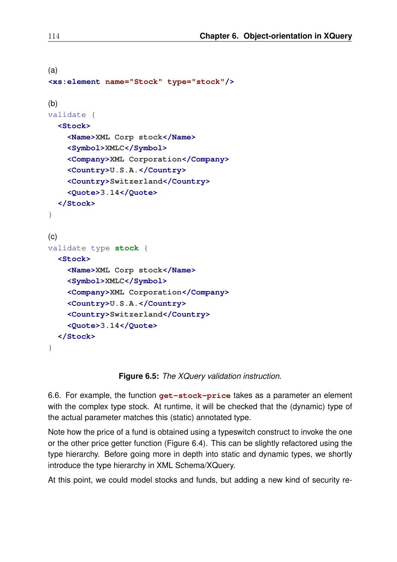```
(a)
<xs:element name="Stock" type="stock"/>
(b)
validate {
  <Stock>
    <Name>XML Corp stock</Name>
    <Symbol>XMLC</Symbol>
    <Company>XML Corporation</Company>
    <Country>U.S.A.</Country>
    <Country>Switzerland</Country>
    <Quote>3.14</Quote>
  </Stock>
}
(c)
validate type stock {
  <Stock>
    <Name>XML Corp stock</Name>
    <Symbol>XMLC</Symbol>
    <Company>XML Corporation</Company>
    <Country>U.S.A.</Country>
    <Country>Switzerland</Country>
    <Quote>3.14</Quote>
  </Stock>
}
```
**Figure 6.5:** *The XQuery validation instruction.*

6.6. For example, the function **get-stock-price** takes as a parameter an element with the complex type stock. At runtime, it will be checked that the (dynamic) type of the actual parameter matches this (static) annotated type.

Note how the price of a fund is obtained using a typeswitch construct to invoke the one or the other price getter function (Figure 6.4). This can be slightly refactored using the type hierarchy. Before going more in depth into static and dynamic types, we shortly introduce the type hierarchy in XML Schema/XQuery.

At this point, we could model stocks and funds, but adding a new kind of security re-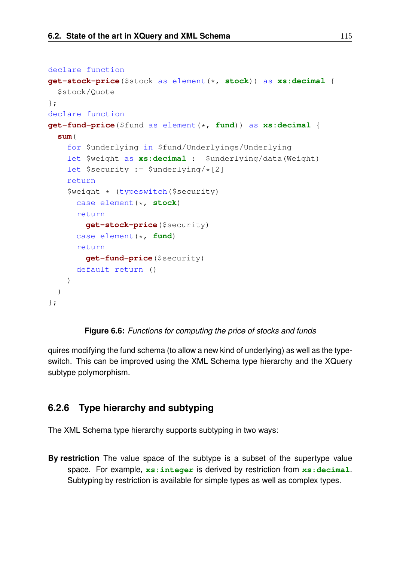```
declare function
get-stock-price($stock as element(*, stock)) as xs:decimal {
  $stock/Quote
};
declare function
get-fund-price($fund as element(*, fund)) as xs:decimal {
  sum(
    for $underlying in $fund/Underlyings/Underlying
    let $weight as xs:decimal := $underlying/data(Weight)
    let $security := $underlying/\times[2]
    return
    $weight * (typeswitch($security)
      case element(*, stock)
      return
        get-stock-price($security)
      case element(*, fund)
      return
        get-fund-price($security)
      default return ()
    )
  )
};
```
#### **Figure 6.6:** *Functions for computing the price of stocks and funds*

quires modifying the fund schema (to allow a new kind of underlying) as well as the typeswitch. This can be improved using the XML Schema type hierarchy and the XQuery subtype polymorphism.

## **6.2.6 Type hierarchy and subtyping**

The XML Schema type hierarchy supports subtyping in two ways:

**By restriction** The value space of the subtype is a subset of the supertype value space. For example, **xs:integer** is derived by restriction from **xs:decimal**. Subtyping by restriction is available for simple types as well as complex types.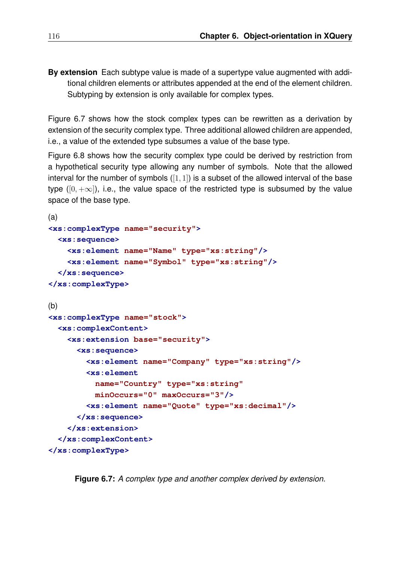**By extension** Each subtype value is made of a supertype value augmented with additional children elements or attributes appended at the end of the element children. Subtyping by extension is only available for complex types.

Figure 6.7 shows how the stock complex types can be rewritten as a derivation by extension of the security complex type. Three additional allowed children are appended, i.e., a value of the extended type subsumes a value of the base type.

Figure 6.8 shows how the security complex type could be derived by restriction from a hypothetical security type allowing any number of symbols. Note that the allowed interval for the number of symbols  $([1, 1])$  is a subset of the allowed interval of the base type ( $[0, +\infty]$ ), i.e., the value space of the restricted type is subsumed by the value space of the base type.

```
(a)
<xs:complexType name="security">
  <xs:sequence>
    <xs:element name="Name" type="xs:string"/>
    <xs:element name="Symbol" type="xs:string"/>
  </xs:sequence>
</xs:complexType>
(b)<xs:complexType name="stock">
  <xs:complexContent>
    <xs:extension base="security">
      <xs:sequence>
        <xs:element name="Company" type="xs:string"/>
        <xs:element
          name="Country" type="xs:string"
          minOccurs="0" maxOccurs="3"/>
        <xs:element name="Quote" type="xs:decimal"/>
      </xs:sequence>
    </xs:extension>
  </xs:complexContent>
</xs:complexType>
```
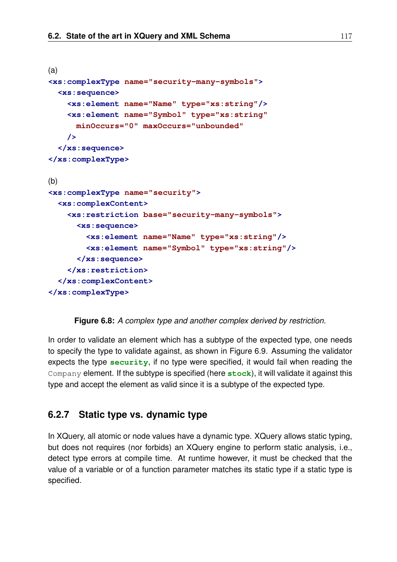```
(a)
<xs:complexType name="security-many-symbols">
  <xs:sequence>
    <xs:element name="Name" type="xs:string"/>
    <xs:element name="Symbol" type="xs:string"
      minOccurs="0" maxOccurs="unbounded"
    />
  </xs:sequence>
</xs:complexType>
(b)
<xs:complexType name="security">
  <xs:complexContent>
    <xs:restriction base="security-many-symbols">
      <xs:sequence>
        <xs:element name="Name" type="xs:string"/>
        <xs:element name="Symbol" type="xs:string"/>
      </xs:sequence>
    </xs:restriction>
  </xs:complexContent>
</xs:complexType>
```

```
Figure 6.8: A complex type and another complex derived by restriction.
```
In order to validate an element which has a subtype of the expected type, one needs to specify the type to validate against, as shown in Figure 6.9. Assuming the validator expects the type **security**, if no type were specified, it would fail when reading the Company element. If the subtype is specified (here **stock**), it will validate it against this type and accept the element as valid since it is a subtype of the expected type.

## **6.2.7 Static type vs. dynamic type**

In XQuery, all atomic or node values have a dynamic type. XQuery allows static typing, but does not requires (nor forbids) an XQuery engine to perform static analysis, i.e., detect type errors at compile time. At runtime however, it must be checked that the value of a variable or of a function parameter matches its static type if a static type is specified.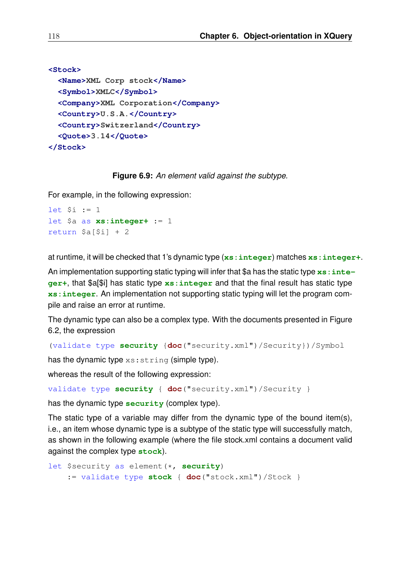```
<Stock>
 <Name>XML Corp stock</Name>
 <Symbol>XMLC</Symbol>
 <Company>XML Corporation</Company>
 <Country>U.S.A.</Country>
 <Country>Switzerland</Country>
 <Quote>3.14</Quote>
</Stock>
```
#### **Figure 6.9:** *An element valid against the subtype.*

For example, in the following expression:

```
let Si := 1let $a as xs:integer+ := 1
return $a[$i] + 2
```
at runtime, it will be checked that 1's dynamic type (**xs:integer**) matches **xs:integer+**.

An implementation supporting static typing will infer that \$a has the static type xs : inte**ger+**, that \$a[\$i] has static type **xs:integer** and that the final result has static type **xs:integer**. An implementation not supporting static typing will let the program compile and raise an error at runtime.

The dynamic type can also be a complex type. With the documents presented in Figure 6.2, the expression

```
(validate type security {doc("security.xml")/Security})/Symbol
```
has the dynamic type  $xs:string$  (simple type).

whereas the result of the following expression:

```
validate type security { doc("security.xml")/Security }
```
has the dynamic type **security** (complex type).

The static type of a variable may differ from the dynamic type of the bound item(s), i.e., an item whose dynamic type is a subtype of the static type will successfully match, as shown in the following example (where the file stock.xml contains a document valid against the complex type **stock**).

```
let $security as element(*, security)
    := validate type stock { doc("stock.xml")/Stock }
```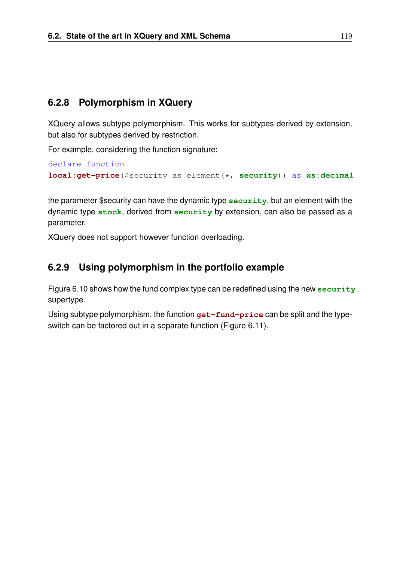## **6.2.8 Polymorphism in XQuery**

XQuery allows subtype polymorphism. This works for subtypes derived by extension, but also for subtypes derived by restriction.

For example, considering the function signature:

```
declare function
local:get-price($security as element(*, security)) as xs:decimal
```
the parameter \$security can have the dynamic type **security**, but an element with the dynamic type **stock**, derived from **security** by extension, can also be passed as a parameter.

XQuery does not support however function overloading.

## **6.2.9 Using polymorphism in the portfolio example**

Figure 6.10 shows how the fund complex type can be redefined using the new **security** supertype.

Using subtype polymorphism, the function **get-fund-price** can be split and the typeswitch can be factored out in a separate function (Figure 6.11).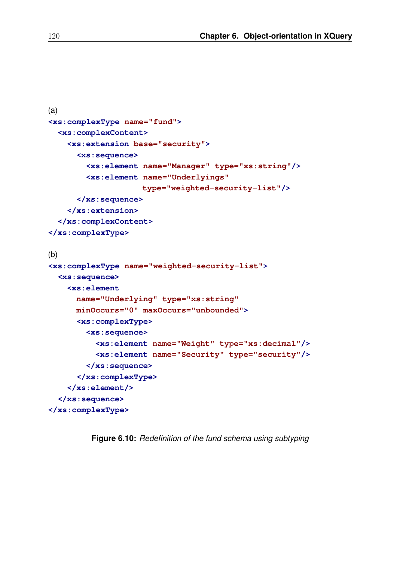```
(a)
<xs:complexType name="fund">
  <xs:complexContent>
    <xs:extension base="security">
      <xs:sequence>
        <xs:element name="Manager" type="xs:string"/>
        <xs:element name="Underlyings"
                    type="weighted-security-list"/>
      </xs:sequence>
    </xs:extension>
  </xs:complexContent>
</xs:complexType>
(b)
<xs:complexType name="weighted-security-list">
  <xs:sequence>
    <xs:element
      name="Underlying" type="xs:string"
      minOccurs="0" maxOccurs="unbounded">
      <xs:complexType>
        <xs:sequence>
          <xs:element name="Weight" type="xs:decimal"/>
          <xs:element name="Security" type="security"/>
        </xs:sequence>
      </xs:complexType>
    </xs:element/>
  </xs:sequence>
</xs:complexType>
```
**Figure 6.10:** *Redefinition of the fund schema using subtyping*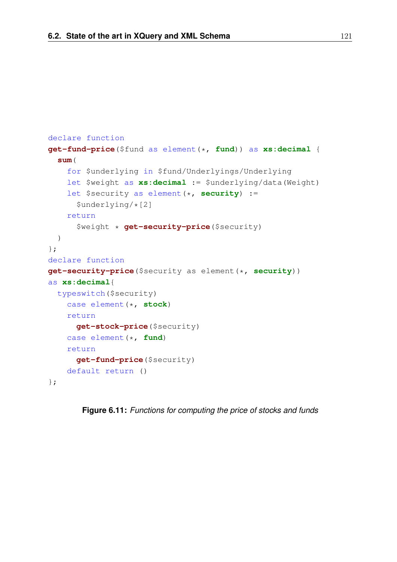```
declare function
get-fund-price($fund as element(*, fund)) as xs:decimal {
  sum(
    for $underlying in $fund/Underlyings/Underlying
    let $weight as xs:decimal := $underlying/data(Weight)
    let $security as element(*, security) :=
      $underlying/*[2]
    return
      $weight * get-security-price($security)
  )
};
declare function
get-security-price($security as element(*, security))
as xs:decimal{
 typeswitch($security)
    case element(*, stock)
   return
      get-stock-price($security)
    case element(*, fund)
    return
      get-fund-price($security)
    default return ()
};
```
**Figure 6.11:** *Functions for computing the price of stocks and funds*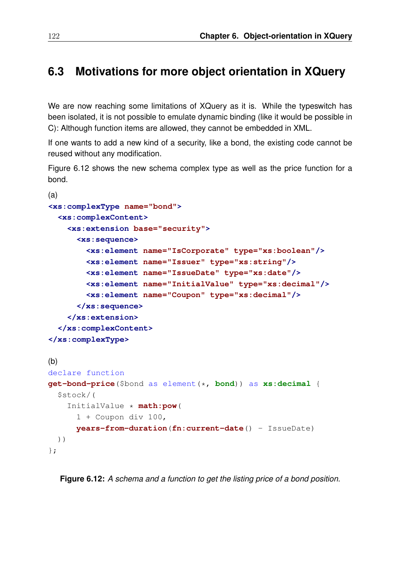## **6.3 Motivations for more object orientation in XQuery**

We are now reaching some limitations of XQuery as it is. While the typeswitch has been isolated, it is not possible to emulate dynamic binding (like it would be possible in C): Although function items are allowed, they cannot be embedded in XML.

If one wants to add a new kind of a security, like a bond, the existing code cannot be reused without any modification.

Figure 6.12 shows the new schema complex type as well as the price function for a bond.

```
(a)
<xs:complexType name="bond">
  <xs:complexContent>
    <xs:extension base="security">
      <xs:sequence>
        <xs:element name="IsCorporate" type="xs:boolean"/>
        <xs:element name="Issuer" type="xs:string"/>
        <xs:element name="IssueDate" type="xs:date"/>
        <xs:element name="InitialValue" type="xs:decimal"/>
        <xs:element name="Coupon" type="xs:decimal"/>
      </xs:sequence>
    </xs:extension>
  </xs:complexContent>
</xs:complexType>
(b)declare function
get-bond-price($bond as element(*, bond)) as xs:decimal {
  $stock/(
    InitialValue * math:pow(
      1 + Coupon div 100,
      years-from-duration(fn:current-date() - IssueDate)
  ))
};
```
**Figure 6.12:** *A schema and a function to get the listing price of a bond position.*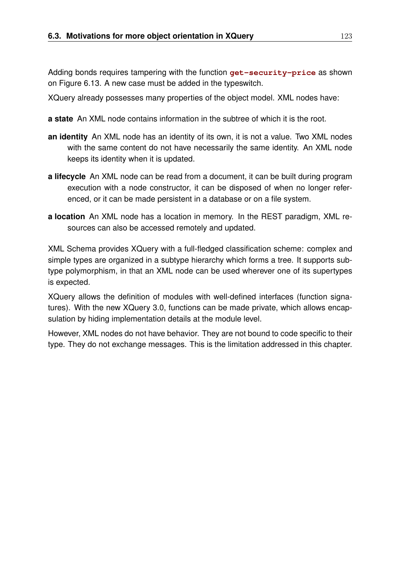Adding bonds requires tampering with the function **get-security-price** as shown on Figure 6.13. A new case must be added in the typeswitch.

XQuery already possesses many properties of the object model. XML nodes have:

- **a state** An XML node contains information in the subtree of which it is the root.
- **an identity** An XML node has an identity of its own, it is not a value. Two XML nodes with the same content do not have necessarily the same identity. An XML node keeps its identity when it is updated.
- **a lifecycle** An XML node can be read from a document, it can be built during program execution with a node constructor, it can be disposed of when no longer referenced, or it can be made persistent in a database or on a file system.
- **a location** An XML node has a location in memory. In the REST paradigm, XML resources can also be accessed remotely and updated.

XML Schema provides XQuery with a full-fledged classification scheme: complex and simple types are organized in a subtype hierarchy which forms a tree. It supports subtype polymorphism, in that an XML node can be used wherever one of its supertypes is expected.

XQuery allows the definition of modules with well-defined interfaces (function signatures). With the new XQuery 3.0, functions can be made private, which allows encapsulation by hiding implementation details at the module level.

However, XML nodes do not have behavior. They are not bound to code specific to their type. They do not exchange messages. This is the limitation addressed in this chapter.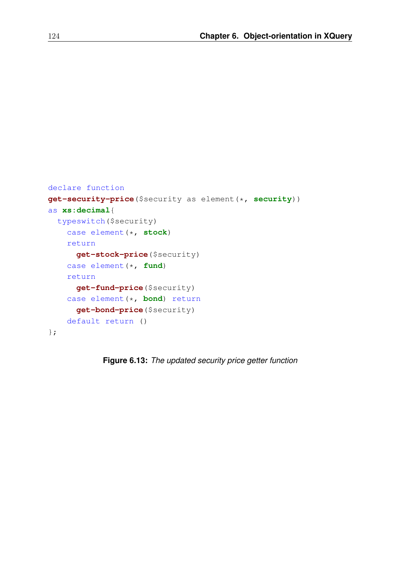```
declare function
get-security-price($security as element(*, security))
as xs:decimal{
 typeswitch($security)
    case element(*, stock)
    return
      get-stock-price($security)
    case element(*, fund)
    return
      get-fund-price($security)
    case element(*, bond) return
      get-bond-price($security)
    default return ()
};
```
**Figure 6.13:** *The updated security price getter function*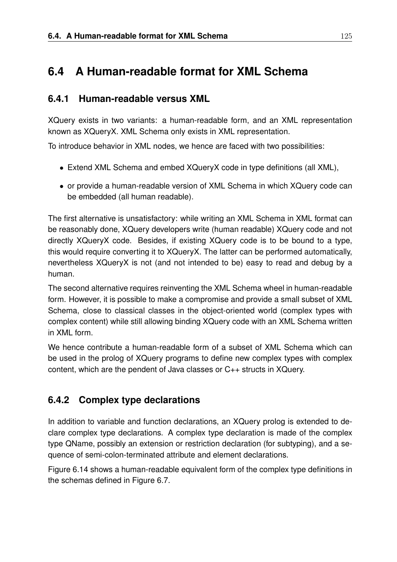## **6.4 A Human-readable format for XML Schema**

### **6.4.1 Human-readable versus XML**

XQuery exists in two variants: a human-readable form, and an XML representation known as XQueryX. XML Schema only exists in XML representation.

To introduce behavior in XML nodes, we hence are faced with two possibilities:

- Extend XML Schema and embed XQueryX code in type definitions (all XML),
- or provide a human-readable version of XML Schema in which XQuery code can be embedded (all human readable).

The first alternative is unsatisfactory: while writing an XML Schema in XML format can be reasonably done, XQuery developers write (human readable) XQuery code and not directly XQueryX code. Besides, if existing XQuery code is to be bound to a type, this would require converting it to XQueryX. The latter can be performed automatically, nevertheless XQueryX is not (and not intended to be) easy to read and debug by a human.

The second alternative requires reinventing the XML Schema wheel in human-readable form. However, it is possible to make a compromise and provide a small subset of XML Schema, close to classical classes in the object-oriented world (complex types with complex content) while still allowing binding XQuery code with an XML Schema written in XML form.

We hence contribute a human-readable form of a subset of XML Schema which can be used in the prolog of XQuery programs to define new complex types with complex content, which are the pendent of Java classes or C++ structs in XQuery.

### **6.4.2 Complex type declarations**

In addition to variable and function declarations, an XQuery prolog is extended to declare complex type declarations. A complex type declaration is made of the complex type QName, possibly an extension or restriction declaration (for subtyping), and a sequence of semi-colon-terminated attribute and element declarations.

Figure 6.14 shows a human-readable equivalent form of the complex type definitions in the schemas defined in Figure 6.7.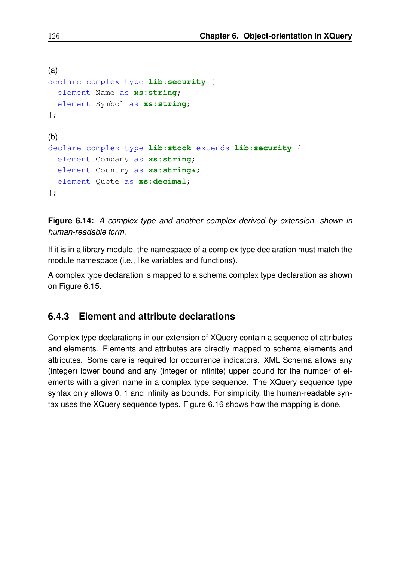```
(a)
declare complex type lib:security {
 element Name as xs:string;
 element Symbol as xs:string;
};
(b)
declare complex type lib:stock extends lib:security {
  element Company as xs:string;
  element Country as xs:string*;
 element Quote as xs:decimal;
};
```
**Figure 6.14:** *A complex type and another complex derived by extension, shown in human-readable form.*

If it is in a library module, the namespace of a complex type declaration must match the module namespace (i.e., like variables and functions).

A complex type declaration is mapped to a schema complex type declaration as shown on Figure 6.15.

### **6.4.3 Element and attribute declarations**

Complex type declarations in our extension of XQuery contain a sequence of attributes and elements. Elements and attributes are directly mapped to schema elements and attributes. Some care is required for occurrence indicators. XML Schema allows any (integer) lower bound and any (integer or infinite) upper bound for the number of elements with a given name in a complex type sequence. The XQuery sequence type syntax only allows 0, 1 and infinity as bounds. For simplicity, the human-readable syntax uses the XQuery sequence types. Figure 6.16 shows how the mapping is done.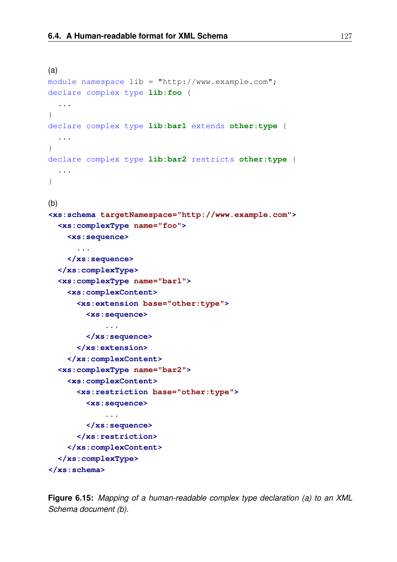```
(a)
module namespace lib = "http://www.example.com";
declare complex type lib:foo {
  ...
}
declare complex type lib:bar1 extends other:type {
  ...
}
declare complex type lib:bar2 restricts other:type {
 ...
}
(b)<xs:schema targetNamespace="http://www.example.com">
  <xs:complexType name="foo">
    <xs:sequence>
      ...
    </xs:sequence>
  </xs:complexType>
  <xs:complexType name="bar1">
    <xs:complexContent>
      <xs:extension base="other:type">
        <xs:sequence>
            ...
        </xs:sequence>
      </xs:extension>
    </xs:complexContent>
  <xs:complexType name="bar2">
    <xs:complexContent>
      <xs:restriction base="other:type">
        <xs:sequence>
            ...
        </xs:sequence>
      </xs:restriction>
    </xs:complexContent>
  </xs:complexType>
</xs:schema>
```
**Figure 6.15:** *Mapping of a human-readable complex type declaration (a) to an XML Schema document (b).*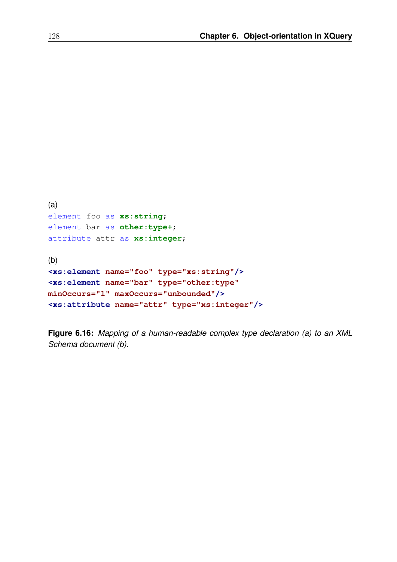```
(a)
element foo as xs:string;
element bar as other:type+;
attribute attr as xs:integer;
(b)
<xs:element name="foo" type="xs:string"/>
<xs:element name="bar" type="other:type"
minOccurs="1" maxOccurs="unbounded"/>
<xs:attribute name="attr" type="xs:integer"/>
```
**Figure 6.16:** *Mapping of a human-readable complex type declaration (a) to an XML Schema document (b).*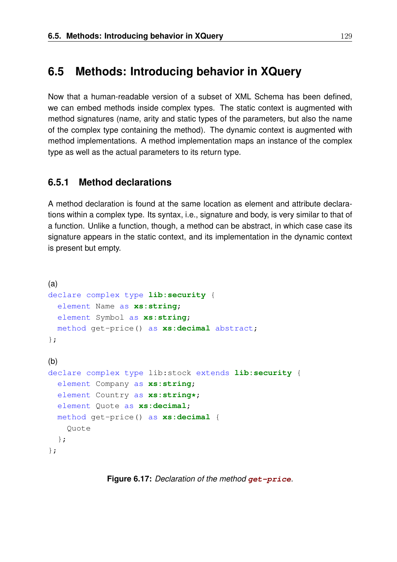### **6.5 Methods: Introducing behavior in XQuery**

Now that a human-readable version of a subset of XML Schema has been defined, we can embed methods inside complex types. The static context is augmented with method signatures (name, arity and static types of the parameters, but also the name of the complex type containing the method). The dynamic context is augmented with method implementations. A method implementation maps an instance of the complex type as well as the actual parameters to its return type.

#### **6.5.1 Method declarations**

A method declaration is found at the same location as element and attribute declarations within a complex type. Its syntax, i.e., signature and body, is very similar to that of a function. Unlike a function, though, a method can be abstract, in which case case its signature appears in the static context, and its implementation in the dynamic context is present but empty.

```
(a)
declare complex type lib:security {
 element Name as xs:string;
 element Symbol as xs:string;
 method get-price() as xs:decimal abstract;
};
(b)declare complex type lib:stock extends lib:security {
  element Company as xs:string;
  element Country as xs:string*;
  element Quote as xs:decimal;
  method get-price() as xs:decimal {
    Quote
  };
};
```
**Figure 6.17:** *Declaration of the method* **get-price***.*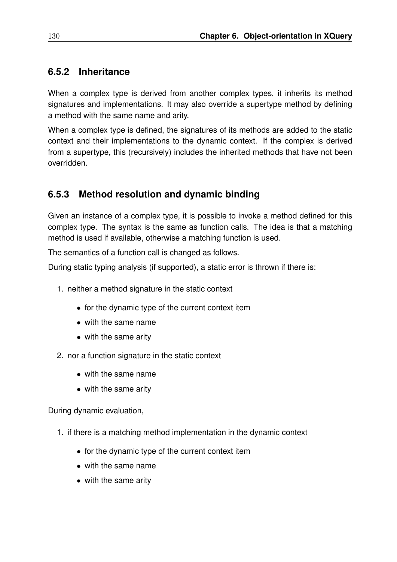### **6.5.2 Inheritance**

When a complex type is derived from another complex types, it inherits its method signatures and implementations. It may also override a supertype method by defining a method with the same name and arity.

When a complex type is defined, the signatures of its methods are added to the static context and their implementations to the dynamic context. If the complex is derived from a supertype, this (recursively) includes the inherited methods that have not been overridden.

### **6.5.3 Method resolution and dynamic binding**

Given an instance of a complex type, it is possible to invoke a method defined for this complex type. The syntax is the same as function calls. The idea is that a matching method is used if available, otherwise a matching function is used.

The semantics of a function call is changed as follows.

During static typing analysis (if supported), a static error is thrown if there is:

- 1. neither a method signature in the static context
	- for the dynamic type of the current context item
	- with the same name
	- with the same arity
- 2. nor a function signature in the static context
	- with the same name
	- with the same arity

During dynamic evaluation,

- 1. if there is a matching method implementation in the dynamic context
	- for the dynamic type of the current context item
	- with the same name
	- with the same arity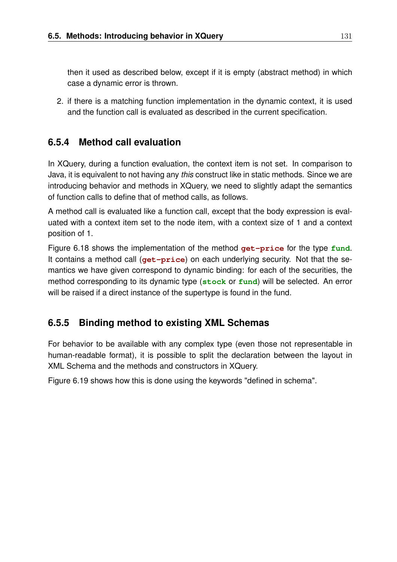then it used as described below, except if it is empty (abstract method) in which case a dynamic error is thrown.

2. if there is a matching function implementation in the dynamic context, it is used and the function call is evaluated as described in the current specification.

### **6.5.4 Method call evaluation**

In XQuery, during a function evaluation, the context item is not set. In comparison to Java, it is equivalent to not having any *this* construct like in static methods. Since we are introducing behavior and methods in XQuery, we need to slightly adapt the semantics of function calls to define that of method calls, as follows.

A method call is evaluated like a function call, except that the body expression is evaluated with a context item set to the node item, with a context size of 1 and a context position of 1.

Figure 6.18 shows the implementation of the method **get-price** for the type **fund**. It contains a method call (**get-price**) on each underlying security. Not that the semantics we have given correspond to dynamic binding: for each of the securities, the method corresponding to its dynamic type (**stock** or **fund**) will be selected. An error will be raised if a direct instance of the supertype is found in the fund.

### **6.5.5 Binding method to existing XML Schemas**

For behavior to be available with any complex type (even those not representable in human-readable format), it is possible to split the declaration between the layout in XML Schema and the methods and constructors in XQuery.

Figure 6.19 shows how this is done using the keywords "defined in schema".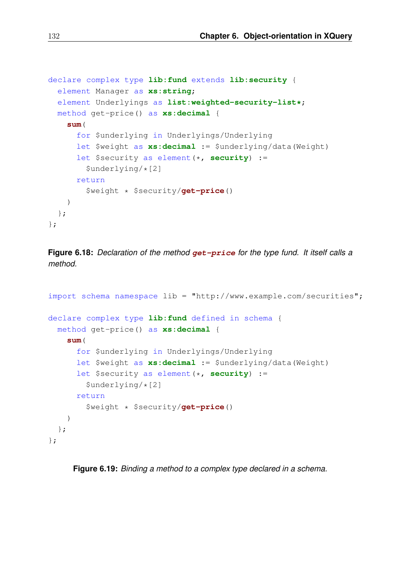```
declare complex type lib:fund extends lib:security {
  element Manager as xs:string;
  element Underlyings as list:weighted-security-list*;
  method get-price() as xs:decimal {
   sum(
      for $underlying in Underlyings/Underlying
      let $weight as xs:decimal := $underlying/data(Weight)
      let $security as element(*, security) :=
        $underlying/*[2]
      return
        $weight * $security/get-price()
    )
  };
};
```
**Figure 6.18:** *Declaration of the method* **get-price** *for the type fund. It itself calls a method.*

```
import schema namespace lib = "http://www.example.com/securities";
declare complex type lib:fund defined in schema {
 method get-price() as xs:decimal {
    sum(
      for $underlying in Underlyings/Underlying
      let $weight as xs:decimal := $underlying/data(Weight)
      let $security as element(*, security) :=
        $underlying/*[2]
      return
        $weight * $security/get-price()
    )
  };
};
```
**Figure 6.19:** *Binding a method to a complex type declared in a schema.*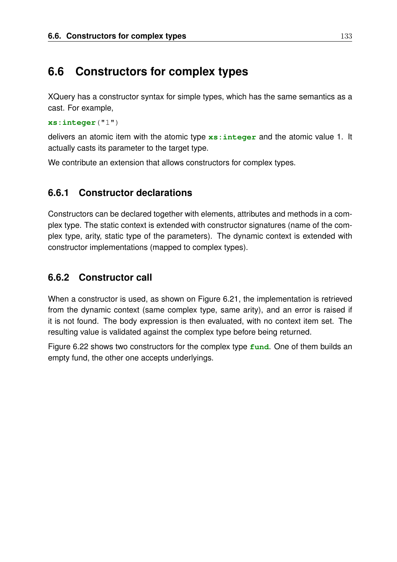### **6.6 Constructors for complex types**

XQuery has a constructor syntax for simple types, which has the same semantics as a cast. For example,

**xs:integer**("1")

delivers an atomic item with the atomic type **xs:integer** and the atomic value 1. It actually casts its parameter to the target type.

We contribute an extension that allows constructors for complex types.

### **6.6.1 Constructor declarations**

Constructors can be declared together with elements, attributes and methods in a complex type. The static context is extended with constructor signatures (name of the complex type, arity, static type of the parameters). The dynamic context is extended with constructor implementations (mapped to complex types).

### **6.6.2 Constructor call**

When a constructor is used, as shown on Figure 6.21, the implementation is retrieved from the dynamic context (same complex type, same arity), and an error is raised if it is not found. The body expression is then evaluated, with no context item set. The resulting value is validated against the complex type before being returned.

Figure 6.22 shows two constructors for the complex type **fund**. One of them builds an empty fund, the other one accepts underlyings.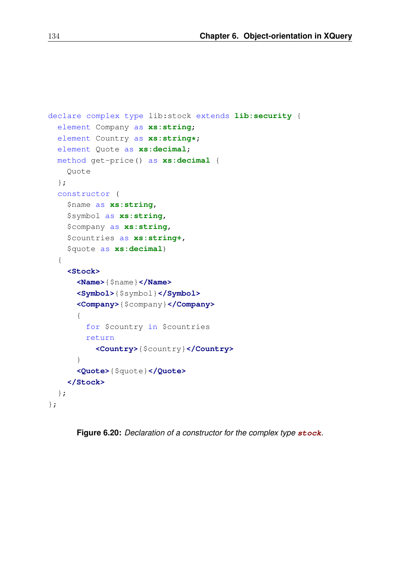```
declare complex type lib:stock extends lib:security {
  element Company as xs:string;
 element Country as xs:string*;
  element Quote as xs:decimal;
 method get-price() as xs:decimal {
    Quote
  };
  constructor (
    $name as xs:string,
    $symbol as xs:string,
    $company as xs:string,
    $countries as xs:string+,
    $quote as xs:decimal)
  {
    <Stock>
      <Name>{$name}</Name>
      <Symbol>{$symbol}</Symbol>
      <Company>{$company}</Company>
      {
        for $country in $countries
        return
          <Country>{$country}</Country>
      }
      <Quote>{$quote}</Quote>
    </Stock>
  };
};
```
**Figure 6.20:** *Declaration of a constructor for the complex type* **stock***.*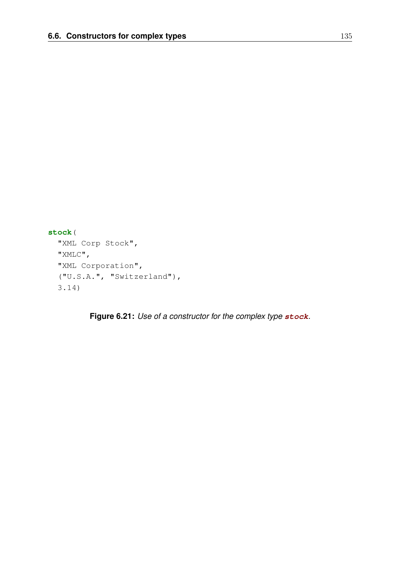```
stock(
 "XML Corp Stock",
 "XMLC",
 "XML Corporation",
 ("U.S.A.", "Switzerland"),
  3.14)
```
**Figure 6.21:** *Use of a constructor for the complex type* **stock***.*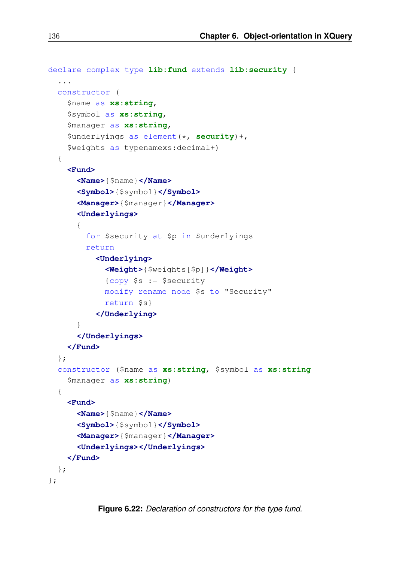```
declare complex type lib:fund extends lib:security {
  ...
  constructor (
    $name as xs:string,
    $symbol as xs:string,
    $manager as xs:string,
    $underlyings as element(*, security)+,
    $weights as typenamexs:decimal+)
  {
    <Fund>
      <Name>{$name}</Name>
      <Symbol>{$symbol}</Symbol>
      <Manager>{$manager}</Manager>
      <Underlyings>
      {
        for $security at $p in $underlyings
        return
          <Underlying>
            <Weight>{$weights[$p]}</Weight>
            {copy $s := $security
            modify rename node $s to "Security"
            return $s}
          </Underlying>
      }
      </Underlyings>
    </Fund>
  };
  constructor ($name as xs:string, $symbol as xs:string
    $manager as xs:string)
  {
    <Fund>
      <Name>{$name}</Name>
      <Symbol>{$symbol}</Symbol>
      <Manager>{$manager}</Manager>
      <Underlyings></Underlyings>
    </Fund>
  };
};
```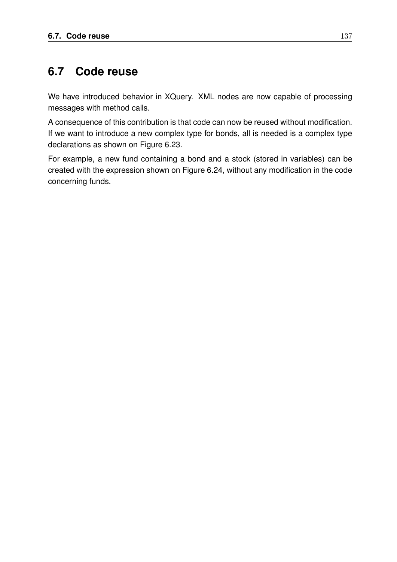## **6.7 Code reuse**

We have introduced behavior in XQuery. XML nodes are now capable of processing messages with method calls.

A consequence of this contribution is that code can now be reused without modification. If we want to introduce a new complex type for bonds, all is needed is a complex type declarations as shown on Figure 6.23.

For example, a new fund containing a bond and a stock (stored in variables) can be created with the expression shown on Figure 6.24, without any modification in the code concerning funds.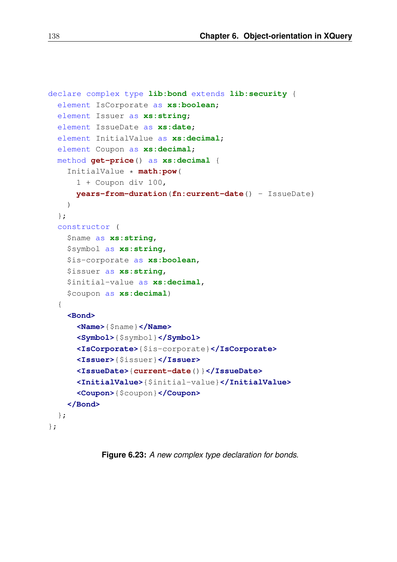```
declare complex type lib:bond extends lib:security {
  element IsCorporate as xs:boolean;
  element Issuer as xs:string;
  element IssueDate as xs:date;
  element InitialValue as xs:decimal;
  element Coupon as xs:decimal;
  method get-price() as xs:decimal {
    InitialValue * math:pow(
      1 + Coupon div 100,
      years-from-duration(fn:current-date() - IssueDate)
    )
  };
  constructor (
    $name as xs:string,
    $symbol as xs:string,
    $is-corporate as xs:boolean,
    $issuer as xs:string,
    $initial-value as xs:decimal,
    $coupon as xs:decimal)
  {
    <Bond>
      <Name>{$name}</Name>
      <Symbol>{$symbol}</Symbol>
      <IsCorporate>{$is-corporate}</IsCorporate>
      <Issuer>{$issuer}</Issuer>
      <IssueDate>{current-date()}</IssueDate>
      <InitialValue>{$initial-value}</InitialValue>
      <Coupon>{$coupon}</Coupon>
    </Bond>
  };
};
```
**Figure 6.23:** *A new complex type declaration for bonds.*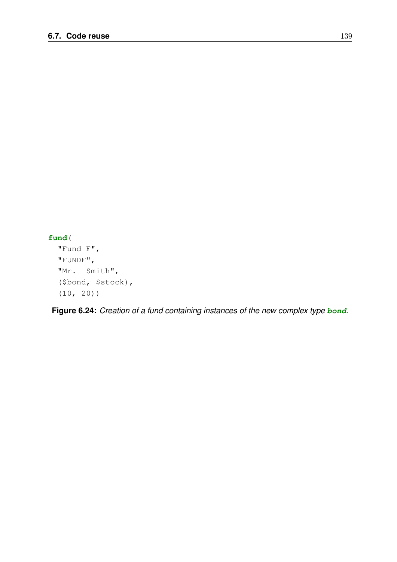#### **fund**(

```
"Fund F",
"FUNDF",
"Mr. Smith",
($bond, $stock),
(10, 20))
```
**Figure 6.24:** *Creation of a fund containing instances of the new complex type* **bond***.*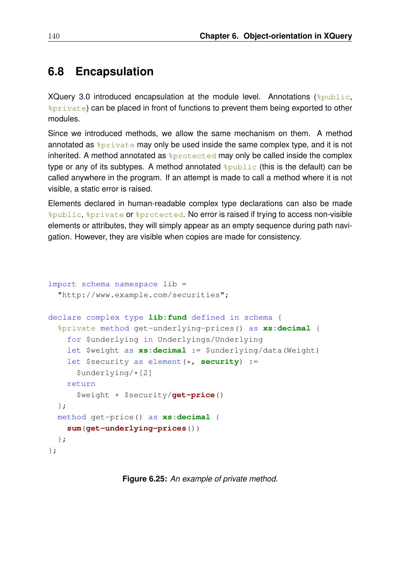# **6.8 Encapsulation**

XQuery 3.0 introduced encapsulation at the module level. Annotations  $(\epsilon_{\text{public}}$ , %private) can be placed in front of functions to prevent them being exported to other modules.

Since we introduced methods, we allow the same mechanism on them. A method annotated as  $\frac{2}{3}$  private may only be used inside the same complex type, and it is not inherited. A method annotated as  $\epsilon_{\text{protected}}$  may only be called inside the complex type or any of its subtypes. A method annotated  $\frac{2 \text{ public}}{\text{ public}}$  (this is the default) can be called anywhere in the program. If an attempt is made to call a method where it is not visible, a static error is raised.

Elements declared in human-readable complex type declarations can also be made %public, %private or %protected. No error is raised if trying to access non-visible elements or attributes, they will simply appear as an empty sequence during path navigation. However, they are visible when copies are made for consistency.

```
import schema namespace lib =
  "http://www.example.com/securities";
declare complex type lib:fund defined in schema {
  %private method get-underlying-prices() as xs:decimal {
    for $underlying in Underlyings/Underlying
    let $weight as xs:decimal := $underlying/data(Weight)
    let $security as element(*, security) :=
      $underlying/*[2]
    return
      $weight * $security/get-price()
  };
  method get-price() as xs:decimal {
    sum(get-underlying-prices())
  };
};
```
**Figure 6.25:** *An example of private method.*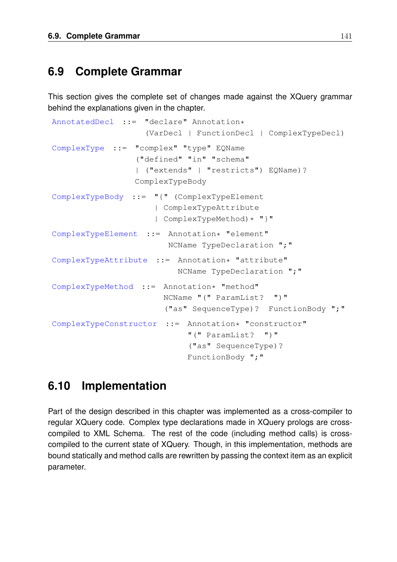## **6.9 Complete Grammar**

This section gives the complete set of changes made against the XQuery grammar behind the explanations given in the chapter.

```
AnnotatedDecl ::= "declare" Annotation*
                   (VarDecl | FunctionDecl | ComplexTypeDecl)
ComplexType ::= "complex" "type" EQName
                 ("defined" "in" "schema"
                 | ("extends" | "restricts") EQName)?
                 ComplexTypeBody
ComplexTypeBody ::= "{" (ComplexTypeElement
                     | ComplexTypeAttribute
                     | ComplexTypeMethod)* "}"
ComplexTypeElement ::= Annotation* "element"
                        NCName TypeDeclaration ";"
ComplexTypeAttribute ::= Annotation* "attribute"
                          NCName TypeDeclaration ";"
ComplexTypeMethod ::= Annotation* "method"
                       NCName "(" ParamList? ")"
                       ("as" SequenceType)? FunctionBody ";"
ComplexTypeConstructor ::= Annotation* "constructor"
                            "(" ParamList? ")"
                            ("as" SequenceType)?
                            FunctionBody ";"
```
# **6.10 Implementation**

Part of the design described in this chapter was implemented as a cross-compiler to regular XQuery code. Complex type declarations made in XQuery prologs are crosscompiled to XML Schema. The rest of the code (including method calls) is crosscompiled to the current state of XQuery. Though, in this implementation, methods are bound statically and method calls are rewritten by passing the context item as an explicit parameter.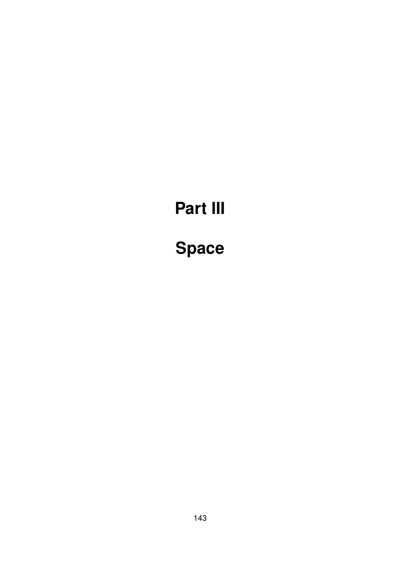# **Part III**

# **Space**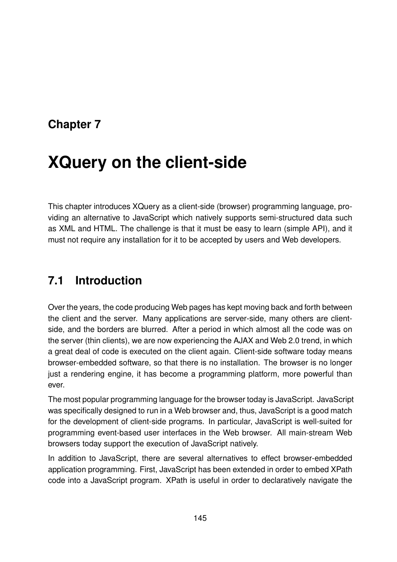# **Chapter 7**

# **XQuery on the client-side**

This chapter introduces XQuery as a client-side (browser) programming language, providing an alternative to JavaScript which natively supports semi-structured data such as XML and HTML. The challenge is that it must be easy to learn (simple API), and it must not require any installation for it to be accepted by users and Web developers.

# **7.1 Introduction**

Over the years, the code producing Web pages has kept moving back and forth between the client and the server. Many applications are server-side, many others are clientside, and the borders are blurred. After a period in which almost all the code was on the server (thin clients), we are now experiencing the AJAX and Web 2.0 trend, in which a great deal of code is executed on the client again. Client-side software today means browser-embedded software, so that there is no installation. The browser is no longer just a rendering engine, it has become a programming platform, more powerful than ever.

The most popular programming language for the browser today is JavaScript. JavaScript was specifically designed to run in a Web browser and, thus, JavaScript is a good match for the development of client-side programs. In particular, JavaScript is well-suited for programming event-based user interfaces in the Web browser. All main-stream Web browsers today support the execution of JavaScript natively.

In addition to JavaScript, there are several alternatives to effect browser-embedded application programming. First, JavaScript has been extended in order to embed XPath code into a JavaScript program. XPath is useful in order to declaratively navigate the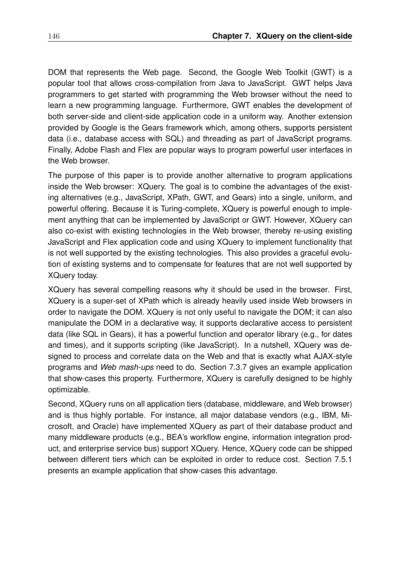DOM that represents the Web page. Second, the Google Web Toolkit (GWT) is a popular tool that allows cross-compilation from Java to JavaScript. GWT helps Java programmers to get started with programming the Web browser without the need to learn a new programming language. Furthermore, GWT enables the development of both server-side and client-side application code in a uniform way. Another extension provided by Google is the Gears framework which, among others, supports persistent data (i.e., database access with SQL) and threading as part of JavaScript programs. Finally, Adobe Flash and Flex are popular ways to program powerful user interfaces in the Web browser.

The purpose of this paper is to provide another alternative to program applications inside the Web browser: XQuery. The goal is to combine the advantages of the existing alternatives (e.g., JavaScript, XPath, GWT, and Gears) into a single, uniform, and powerful offering. Because it is Turing-complete, XQuery is powerful enough to implement anything that can be implemented by JavaScript or GWT. However, XQuery can also co-exist with existing technologies in the Web browser, thereby re-using existing JavaScript and Flex application code and using XQuery to implement functionality that is not well supported by the existing technologies. This also provides a graceful evolution of existing systems and to compensate for features that are not well supported by XQuery today.

XQuery has several compelling reasons why it should be used in the browser. First, XQuery is a super-set of XPath which is already heavily used inside Web browsers in order to navigate the DOM. XQuery is not only useful to navigate the DOM; it can also manipulate the DOM in a declarative way, it supports declarative access to persistent data (like SQL in Gears), it has a powerful function and operator library (e.g., for dates and times), and it supports scripting (like JavaScript). In a nutshell, XQuery was designed to process and correlate data on the Web and that is exactly what AJAX-style programs and *Web mash-ups* need to do. Section 7.3.7 gives an example application that show-cases this property. Furthermore, XQuery is carefully designed to be highly optimizable.

Second, XQuery runs on all application tiers (database, middleware, and Web browser) and is thus highly portable. For instance, all major database vendors (e.g., IBM, Microsoft, and Oracle) have implemented XQuery as part of their database product and many middleware products (e.g., BEA's workflow engine, information integration product, and enterprise service bus) support XQuery. Hence, XQuery code can be shipped between different tiers which can be exploited in order to reduce cost. Section 7.5.1 presents an example application that show-cases this advantage.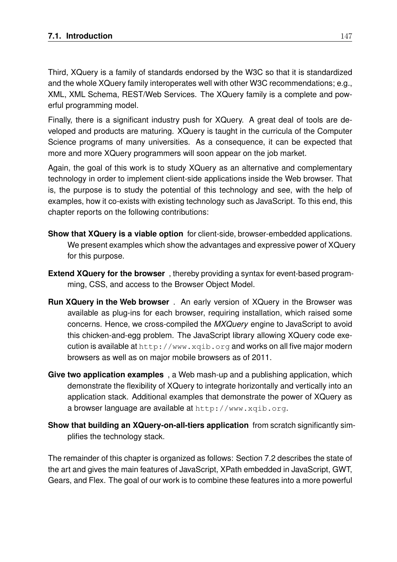Third, XQuery is a family of standards endorsed by the W3C so that it is standardized and the whole XQuery family interoperates well with other W3C recommendations; e.g., XML, XML Schema, REST/Web Services. The XQuery family is a complete and powerful programming model.

Finally, there is a significant industry push for XQuery. A great deal of tools are developed and products are maturing. XQuery is taught in the curricula of the Computer Science programs of many universities. As a consequence, it can be expected that more and more XQuery programmers will soon appear on the job market.

Again, the goal of this work is to study XQuery as an alternative and complementary technology in order to implement client-side applications inside the Web browser. That is, the purpose is to study the potential of this technology and see, with the help of examples, how it co-exists with existing technology such as JavaScript. To this end, this chapter reports on the following contributions:

- **Show that XQuery is a viable option** for client-side, browser-embedded applications. We present examples which show the advantages and expressive power of XQuery for this purpose.
- **Extend XQuery for the browser** , thereby providing a syntax for event-based programming, CSS, and access to the Browser Object Model.
- **Run XQuery in the Web browser** . An early version of XQuery in the Browser was available as plug-ins for each browser, requiring installation, which raised some concerns. Hence, we cross-compiled the *MXQuery* engine to JavaScript to avoid this chicken-and-egg problem. The JavaScript library allowing XQuery code execution is available at http://www.xqib.org and works on all five major modern browsers as well as on major mobile browsers as of 2011.
- **Give two application examples** , a Web mash-up and a publishing application, which demonstrate the flexibility of XQuery to integrate horizontally and vertically into an application stack. Additional examples that demonstrate the power of XQuery as a browser language are available at http://www.xqib.org.
- **Show that building an XQuery-on-all-tiers application** from scratch significantly simplifies the technology stack.

The remainder of this chapter is organized as follows: Section 7.2 describes the state of the art and gives the main features of JavaScript, XPath embedded in JavaScript, GWT, Gears, and Flex. The goal of our work is to combine these features into a more powerful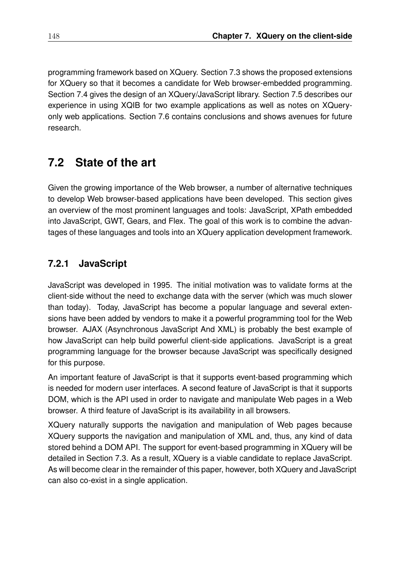programming framework based on XQuery. Section 7.3 shows the proposed extensions for XQuery so that it becomes a candidate for Web browser-embedded programming. Section 7.4 gives the design of an XQuery/JavaScript library. Section 7.5 describes our experience in using XQIB for two example applications as well as notes on XQueryonly web applications. Section 7.6 contains conclusions and shows avenues for future research.

# **7.2 State of the art**

Given the growing importance of the Web browser, a number of alternative techniques to develop Web browser-based applications have been developed. This section gives an overview of the most prominent languages and tools: JavaScript, XPath embedded into JavaScript, GWT, Gears, and Flex. The goal of this work is to combine the advantages of these languages and tools into an XQuery application development framework.

### **7.2.1 JavaScript**

JavaScript was developed in 1995. The initial motivation was to validate forms at the client-side without the need to exchange data with the server (which was much slower than today). Today, JavaScript has become a popular language and several extensions have been added by vendors to make it a powerful programming tool for the Web browser. AJAX (Asynchronous JavaScript And XML) is probably the best example of how JavaScript can help build powerful client-side applications. JavaScript is a great programming language for the browser because JavaScript was specifically designed for this purpose.

An important feature of JavaScript is that it supports event-based programming which is needed for modern user interfaces. A second feature of JavaScript is that it supports DOM, which is the API used in order to navigate and manipulate Web pages in a Web browser. A third feature of JavaScript is its availability in all browsers.

XQuery naturally supports the navigation and manipulation of Web pages because XQuery supports the navigation and manipulation of XML and, thus, any kind of data stored behind a DOM API. The support for event-based programming in XQuery will be detailed in Section 7.3. As a result, XQuery is a viable candidate to replace JavaScript. As will become clear in the remainder of this paper, however, both XQuery and JavaScript can also co-exist in a single application.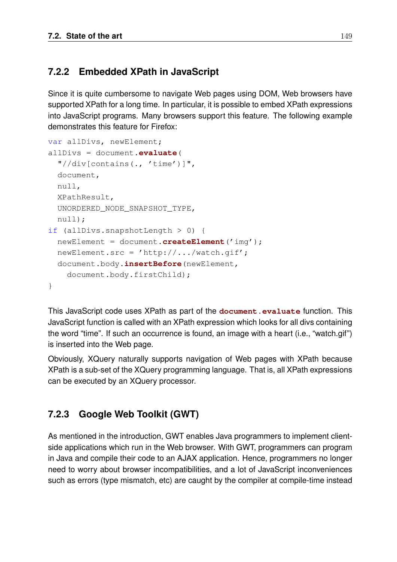### **7.2.2 Embedded XPath in JavaScript**

Since it is quite cumbersome to navigate Web pages using DOM, Web browsers have supported XPath for a long time. In particular, it is possible to embed XPath expressions into JavaScript programs. Many browsers support this feature. The following example demonstrates this feature for Firefox:

```
var allDivs, newElement;
allDivs = document.evaluate(
  "//div[contains(., 'time')]",
  document,
  null,
  XPathResult,
  UNORDERED_NODE_SNAPSHOT_TYPE,
  null);
if (allDivs.snapshotLength > 0) {
  newElement = document.createElement('img');
  newElement.src = 'http://.../watch.gif';
  document.body.insertBefore(newElement,
    document.body.firstChild);
}
```
This JavaScript code uses XPath as part of the **document.evaluate** function. This JavaScript function is called with an XPath expression which looks for all divs containing the word "time". If such an occurrence is found, an image with a heart (i.e., "watch.gif") is inserted into the Web page.

Obviously, XQuery naturally supports navigation of Web pages with XPath because XPath is a sub-set of the XQuery programming language. That is, all XPath expressions can be executed by an XQuery processor.

### **7.2.3 Google Web Toolkit (GWT)**

As mentioned in the introduction, GWT enables Java programmers to implement clientside applications which run in the Web browser. With GWT, programmers can program in Java and compile their code to an AJAX application. Hence, programmers no longer need to worry about browser incompatibilities, and a lot of JavaScript inconveniences such as errors (type mismatch, etc) are caught by the compiler at compile-time instead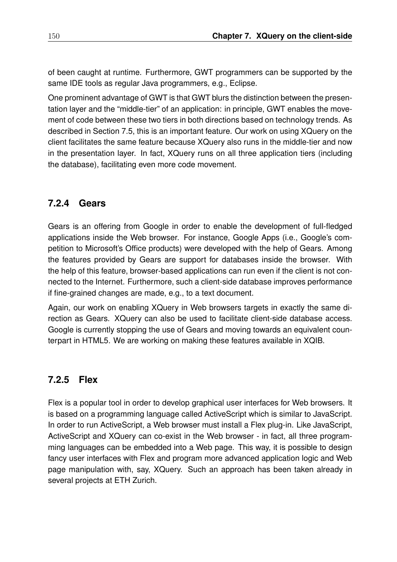of been caught at runtime. Furthermore, GWT programmers can be supported by the same IDE tools as regular Java programmers, e.g., Eclipse.

One prominent advantage of GWT is that GWT blurs the distinction between the presentation layer and the "middle-tier" of an application: in principle, GWT enables the movement of code between these two tiers in both directions based on technology trends. As described in Section 7.5, this is an important feature. Our work on using XQuery on the client facilitates the same feature because XQuery also runs in the middle-tier and now in the presentation layer. In fact, XQuery runs on all three application tiers (including the database), facilitating even more code movement.

### **7.2.4 Gears**

Gears is an offering from Google in order to enable the development of full-fledged applications inside the Web browser. For instance, Google Apps (i.e., Google's competition to Microsoft's Office products) were developed with the help of Gears. Among the features provided by Gears are support for databases inside the browser. With the help of this feature, browser-based applications can run even if the client is not connected to the Internet. Furthermore, such a client-side database improves performance if fine-grained changes are made, e.g., to a text document.

Again, our work on enabling XQuery in Web browsers targets in exactly the same direction as Gears. XQuery can also be used to facilitate client-side database access. Google is currently stopping the use of Gears and moving towards an equivalent counterpart in HTML5. We are working on making these features available in XQIB.

### **7.2.5 Flex**

Flex is a popular tool in order to develop graphical user interfaces for Web browsers. It is based on a programming language called ActiveScript which is similar to JavaScript. In order to run ActiveScript, a Web browser must install a Flex plug-in. Like JavaScript, ActiveScript and XQuery can co-exist in the Web browser - in fact, all three programming languages can be embedded into a Web page. This way, it is possible to design fancy user interfaces with Flex and program more advanced application logic and Web page manipulation with, say, XQuery. Such an approach has been taken already in several projects at ETH Zurich.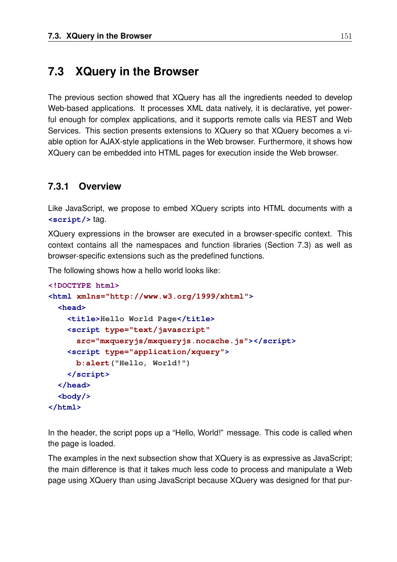## **7.3 XQuery in the Browser**

The previous section showed that XQuery has all the ingredients needed to develop Web-based applications. It processes XML data natively, it is declarative, yet powerful enough for complex applications, and it supports remote calls via REST and Web Services. This section presents extensions to XQuery so that XQuery becomes a viable option for AJAX-style applications in the Web browser. Furthermore, it shows how XQuery can be embedded into HTML pages for execution inside the Web browser.

### **7.3.1 Overview**

Like JavaScript, we propose to embed XQuery scripts into HTML documents with a **<script/>** tag.

XQuery expressions in the browser are executed in a browser-specific context. This context contains all the namespaces and function libraries (Section 7.3) as well as browser-specific extensions such as the predefined functions.

The following shows how a hello world looks like:

```
<!DOCTYPE html>
<html xmlns="http://www.w3.org/1999/xhtml">
 <head>
    <title>Hello World Page</title>
    <script type="text/javascript"
      src="mxqueryjs/mxqueryjs.nocache.js"></script>
    <script type="application/xquery">
     b:alert("Hello, World!")
    </script>
 </head>
 <body/>
</html>
```
In the header, the script pops up a "Hello, World!" message. This code is called when the page is loaded.

The examples in the next subsection show that XQuery is as expressive as JavaScript; the main difference is that it takes much less code to process and manipulate a Web page using XQuery than using JavaScript because XQuery was designed for that pur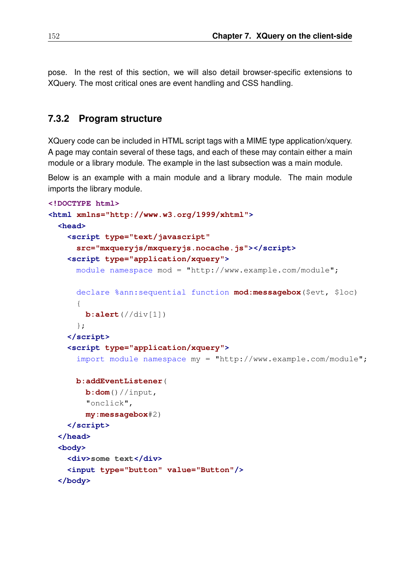pose. In the rest of this section, we will also detail browser-specific extensions to XQuery. The most critical ones are event handling and CSS handling.

#### **7.3.2 Program structure**

XQuery code can be included in HTML script tags with a MIME type application/xquery. A page may contain several of these tags, and each of these may contain either a main module or a library module. The example in the last subsection was a main module.

Below is an example with a main module and a library module. The main module imports the library module.

```
<!DOCTYPE html>
<html xmlns="http://www.w3.org/1999/xhtml">
 <head>
   <script type="text/javascript"
      src="mxqueryjs/mxqueryjs.nocache.js"></script>
   <script type="application/xquery">
     module namespace mod = "http://www.example.com/module";
     declare %ann:sequential function mod:messagebox($evt, $loc)
      {
       b:alert(//div[1])
      };
   </script>
    <script type="application/xquery">
      import module namespace my = "http://www.example.com/module";
     b:addEventListener(
       b:dom()//input,
        "onclick",
       my:messagebox#2)
   </script>
 </head>
 <body>
   <div>some text</div>
   <input type="button" value="Button"/>
 </body>
```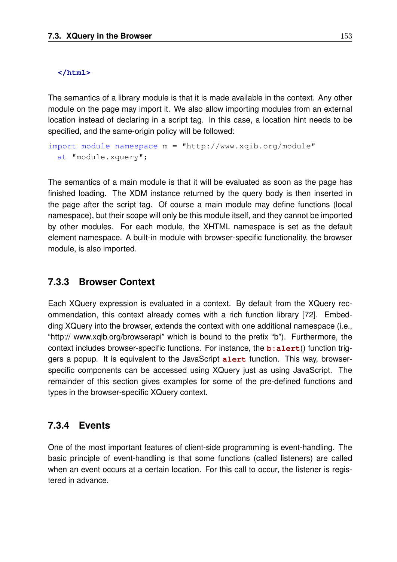#### **</html>**

The semantics of a library module is that it is made available in the context. Any other module on the page may import it. We also allow importing modules from an external location instead of declaring in a script tag. In this case, a location hint needs to be specified, and the same-origin policy will be followed:

```
import module namespace m = "http://www.xqib.org/module"
 at "module.xquery";
```
The semantics of a main module is that it will be evaluated as soon as the page has finished loading. The XDM instance returned by the query body is then inserted in the page after the script tag. Of course a main module may define functions (local namespace), but their scope will only be this module itself, and they cannot be imported by other modules. For each module, the XHTML namespace is set as the default element namespace. A built-in module with browser-specific functionality, the browser module, is also imported.

### **7.3.3 Browser Context**

Each XQuery expression is evaluated in a context. By default from the XQuery recommendation, this context already comes with a rich function library [72]. Embedding XQuery into the browser, extends the context with one additional namespace (i.e., "http:// www.xqib.org/browserapi" which is bound to the prefix "b"). Furthermore, the context includes browser-specific functions. For instance, the **b:alert**() function triggers a popup. It is equivalent to the JavaScript **alert** function. This way, browserspecific components can be accessed using XQuery just as using JavaScript. The remainder of this section gives examples for some of the pre-defined functions and types in the browser-specific XQuery context.

### **7.3.4 Events**

One of the most important features of client-side programming is event-handling. The basic principle of event-handling is that some functions (called listeners) are called when an event occurs at a certain location. For this call to occur, the listener is registered in advance.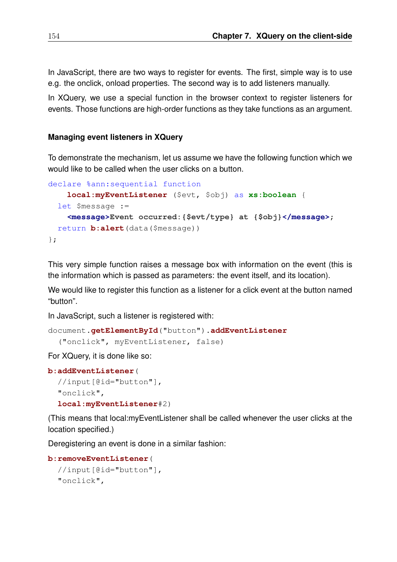In JavaScript, there are two ways to register for events. The first, simple way is to use e.g. the onclick, onload properties. The second way is to add listeners manually.

In XQuery, we use a special function in the browser context to register listeners for events. Those functions are high-order functions as they take functions as an argument.

#### **Managing event listeners in XQuery**

To demonstrate the mechanism, let us assume we have the following function which we would like to be called when the user clicks on a button.

```
declare %ann:sequential function
    local:myEventListener ($evt, $obj) as xs:boolean {
  let $message :=
    <message>Event occurred:{$evt/type} at {$obj}</message>;
  return b:alert(data($message))
};
```
This very simple function raises a message box with information on the event (this is the information which is passed as parameters: the event itself, and its location).

We would like to register this function as a listener for a click event at the button named "button".

In JavaScript, such a listener is registered with:

```
document.getElementById("button").addEventListener
  ("onclick", myEventListener, false)
```
For XQuery, it is done like so:

```
b:addEventListener(
  //input[@id="button"],
  "onclick",
  local:myEventListener#2)
```
(This means that local:myEventListener shall be called whenever the user clicks at the location specified.)

Deregistering an event is done in a similar fashion:

```
b:removeEventListener(
  //input[@id="button"],
  "onclick",
```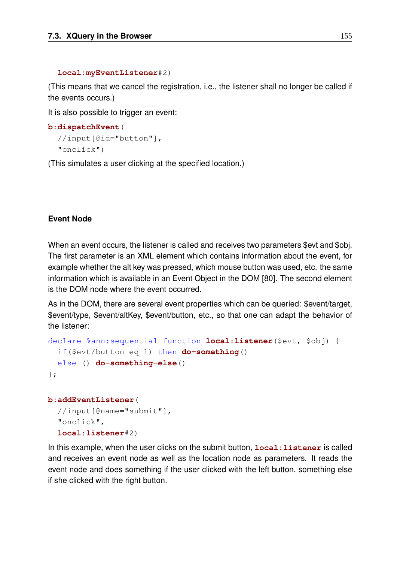#### **local:myEventListener**#2)

(This means that we cancel the registration, i.e., the listener shall no longer be called if the events occurs.)

It is also possible to trigger an event:

```
b:dispatchEvent(
  //input[@id="button"],
  "onclick")
```
(This simulates a user clicking at the specified location.)

#### **Event Node**

When an event occurs, the listener is called and receives two parameters \$evt and \$obj. The first parameter is an XML element which contains information about the event, for example whether the alt key was pressed, which mouse button was used, etc. the same information which is available in an Event Object in the DOM [80]. The second element is the DOM node where the event occurred.

As in the DOM, there are several event properties which can be queried: \$event/target, \$event/type, \$event/altKey, \$event/button, etc., so that one can adapt the behavior of the listener:

```
declare %ann:sequential function local:listener($evt, $obj) {
  if($evt/button eq 1) then do-something()
  else () do-something-else()
};
```

```
b:addEventListener(
  //input[@name="submit"],
  "onclick",
  local:listener#2)
```
In this example, when the user clicks on the submit button,  $local$ : listener is called and receives an event node as well as the location node as parameters. It reads the event node and does something if the user clicked with the left button, something else if she clicked with the right button.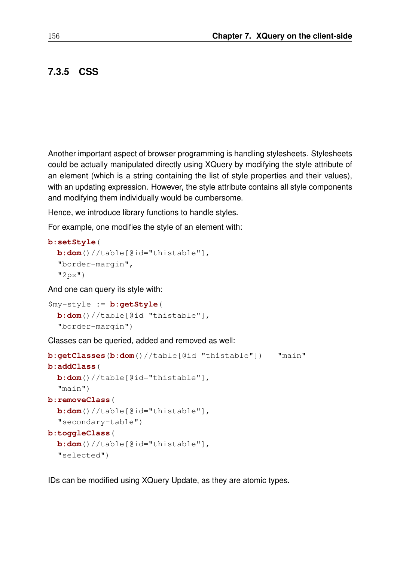### **7.3.5 CSS**

Another important aspect of browser programming is handling stylesheets. Stylesheets could be actually manipulated directly using XQuery by modifying the style attribute of an element (which is a string containing the list of style properties and their values), with an updating expression. However, the style attribute contains all style components and modifying them individually would be cumbersome.

Hence, we introduce library functions to handle styles.

For example, one modifies the style of an element with:

#### **b:setStyle**(

```
b:dom()//table[@id="thistable"],
"border-margin",
"2px")
```
And one can query its style with:

```
$my-style := b:getStyle(
 b:dom()//table[@id="thistable"],
  "border-margin")
```
Classes can be queried, added and removed as well:

```
b:getClasses(b:dom()//table[@id="thistable"]) = "main"
b:addClass(
  b:dom()//table[@id="thistable"],
  "main")
b:removeClass(
  b:dom()//table[@id="thistable"],
  "secondary-table")
b:toggleClass(
  b:dom()//table[@id="thistable"],
  "selected")
```
IDs can be modified using XQuery Update, as they are atomic types.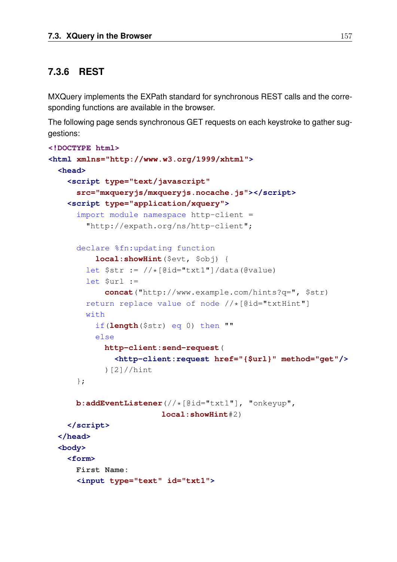### **7.3.6 REST**

MXQuery implements the EXPath standard for synchronous REST calls and the corresponding functions are available in the browser.

The following page sends synchronous GET requests on each keystroke to gather suggestions:

```
<!DOCTYPE html>
<html xmlns="http://www.w3.org/1999/xhtml">
  <head>
    <script type="text/javascript"
      src="mxqueryjs/mxqueryjs.nocache.js"></script>
    <script type="application/xquery">
      import module namespace http-client =
        "http://expath.org/ns/http-client";
      declare %fn:updating function
          local:showHint($evt, $obj) {
        let \text{str} := // * [\text{Gid} = "txt" ] / data (\text{Gvalue})let $url :=
            concat("http://www.example.com/hints?q=", $str)
        return replace value of node //*[@id="txtHint"]
        with
          if(length($str) eq 0) then ""
          else
            http-client:send-request(
              <http-client:request href="{$url}" method="get"/>
            )[2]//hint
      };
      b:addEventListener(//*[@id="txt1"], "onkeyup",
                         local:showHint#2)
    </script>
  </head>
  <body>
    <form>
      First Name:
      <input type="text" id="txt1">
```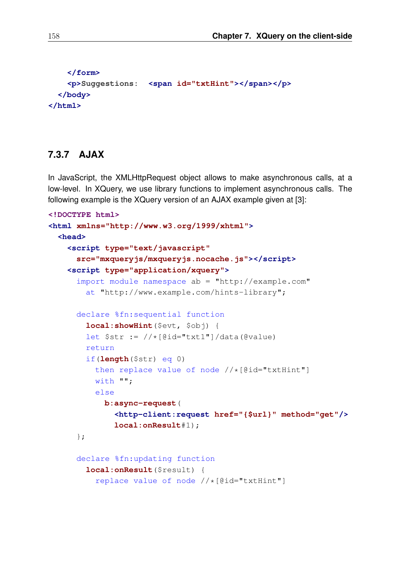```
</form>
   <p>Suggestions: <span id="txtHint"></span></p>
 </body>
</html>
```
#### **7.3.7 AJAX**

In JavaScript, the XMLHttpRequest object allows to make asynchronous calls, at a low-level. In XQuery, we use library functions to implement asynchronous calls. The following example is the XQuery version of an AJAX example given at [3]:

```
<!DOCTYPE html>
<html xmlns="http://www.w3.org/1999/xhtml">
  <head>
    <script type="text/javascript"
      src="mxqueryjs/mxqueryjs.nocache.js"></script>
    <script type="application/xquery">
      import module namespace ab = "http://example.com"
        at "http://www.example.com/hints-library";
      declare %fn:sequential function
        local:showHint($evt, $obj) {
        let \text{Str} := // * [\text{Gid} = "txt1"] / \text{data}(\text{Gvalue})return
        if(length($str) eq 0)
          then replace value of node //*[@id="txtHint"]with "";
          else
            b:async-request(
              <http-client:request href="{$url}" method="get"/>
              local:onResult#1);
      };
      declare %fn:updating function
        local:onResult($result) {
          replace value of node //*[@id="txtHint"]
```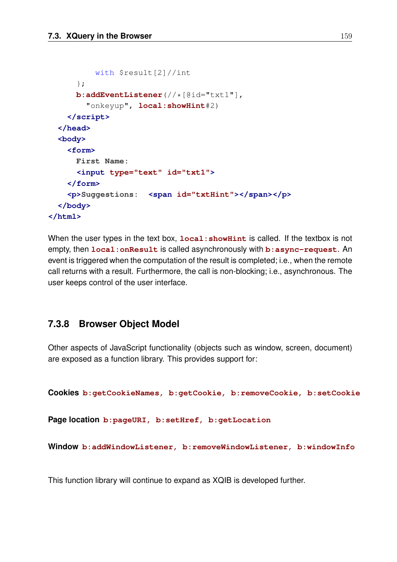```
with $result[2]//int
      };
      b:addEventListener(//*[@id="txt1"],
        "onkeyup", local:showHint#2)
    </script>
  </head>
  <body>
    <form>
      First Name:
      <input type="text" id="txt1">
    </form>
    <p>Suggestions: <span id="txtHint"></span></p>
  </body>
</html>
```
When the user types in the text box,  $local:showHint$  is called. If the textbox is not empty, then **local:onResult** is called asynchronously with **b:async-request**. An event is triggered when the computation of the result is completed; i.e., when the remote call returns with a result. Furthermore, the call is non-blocking; i.e., asynchronous. The user keeps control of the user interface.

### **7.3.8 Browser Object Model**

Other aspects of JavaScript functionality (objects such as window, screen, document) are exposed as a function library. This provides support for:

```
Cookies b:getCookieNames, b:getCookie, b:removeCookie, b:setCookie
```
**Page location b:pageURI, b:setHref, b:getLocation**

**Window b:addWindowListener, b:removeWindowListener, b:windowInfo**

This function library will continue to expand as XQIB is developed further.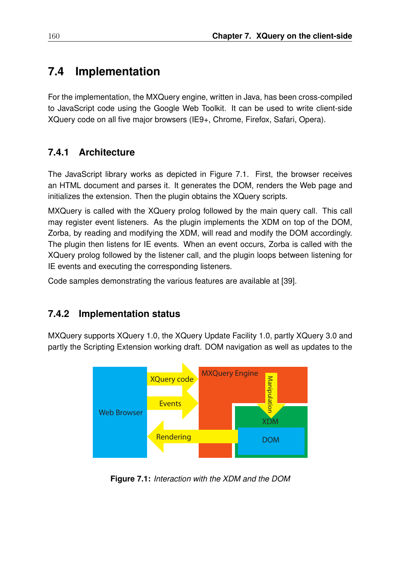# **7.4 Implementation**

For the implementation, the MXQuery engine, written in Java, has been cross-compiled to JavaScript code using the Google Web Toolkit. It can be used to write client-side XQuery code on all five major browsers (IE9+, Chrome, Firefox, Safari, Opera).

## **7.4.1 Architecture**

The JavaScript library works as depicted in Figure 7.1. First, the browser receives an HTML document and parses it. It generates the DOM, renders the Web page and initializes the extension. Then the plugin obtains the XQuery scripts.

MXQuery is called with the XQuery prolog followed by the main query call. This call may register event listeners. As the plugin implements the XDM on top of the DOM, Zorba, by reading and modifying the XDM, will read and modify the DOM accordingly. The plugin then listens for IE events. When an event occurs, Zorba is called with the XQuery prolog followed by the listener call, and the plugin loops between listening for IE events and executing the corresponding listeners.

Code samples demonstrating the various features are available at [39].

### **7.4.2 Implementation status**

MXQuery supports XQuery 1.0, the XQuery Update Facility 1.0, partly XQuery 3.0 and partly the Scripting Extension working draft. DOM navigation as well as updates to the



**Figure 7.1:** *Interaction with the XDM and the DOM*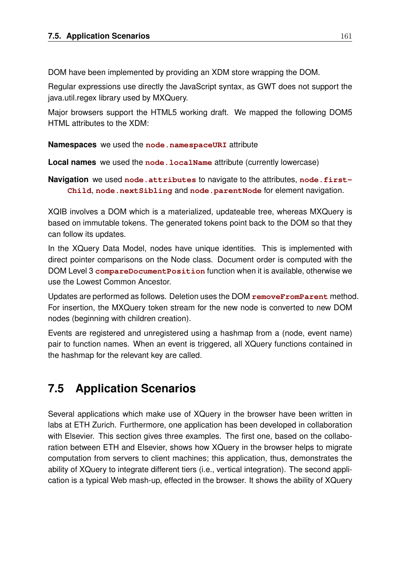DOM have been implemented by providing an XDM store wrapping the DOM.

Regular expressions use directly the JavaScript syntax, as GWT does not support the java.util.regex library used by MXQuery.

Major browsers support the HTML5 working draft. We mapped the following DOM5 HTML attributes to the XDM:

**Namespaces** we used the **node.namespaceURI** attribute

**Local names** we used the **node**. **LocalName** attribute (currently lowercase)

**Navigation** we used node. attributes to navigate to the attributes, node. first-**Child**, **node.nextSibling** and **node.parentNode** for element navigation.

XQIB involves a DOM which is a materialized, updateable tree, whereas MXQuery is based on immutable tokens. The generated tokens point back to the DOM so that they can follow its updates.

In the XQuery Data Model, nodes have unique identities. This is implemented with direct pointer comparisons on the Node class. Document order is computed with the DOM Level 3 **compareDocumentPosition** function when it is available, otherwise we use the Lowest Common Ancestor.

Updates are performed as follows. Deletion uses the DOM **removeFromParent** method. For insertion, the MXQuery token stream for the new node is converted to new DOM nodes (beginning with children creation).

Events are registered and unregistered using a hashmap from a (node, event name) pair to function names. When an event is triggered, all XQuery functions contained in the hashmap for the relevant key are called.

# **7.5 Application Scenarios**

Several applications which make use of XQuery in the browser have been written in labs at ETH Zurich. Furthermore, one application has been developed in collaboration with Elsevier. This section gives three examples. The first one, based on the collaboration between ETH and Elsevier, shows how XQuery in the browser helps to migrate computation from servers to client machines; this application, thus, demonstrates the ability of XQuery to integrate different tiers (i.e., vertical integration). The second application is a typical Web mash-up, effected in the browser. It shows the ability of XQuery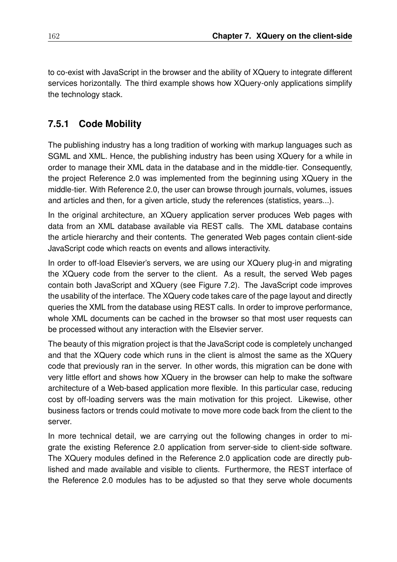to co-exist with JavaScript in the browser and the ability of XQuery to integrate different services horizontally. The third example shows how XQuery-only applications simplify the technology stack.

## **7.5.1 Code Mobility**

The publishing industry has a long tradition of working with markup languages such as SGML and XML. Hence, the publishing industry has been using XQuery for a while in order to manage their XML data in the database and in the middle-tier. Consequently, the project Reference 2.0 was implemented from the beginning using XQuery in the middle-tier. With Reference 2.0, the user can browse through journals, volumes, issues and articles and then, for a given article, study the references (statistics, years...).

In the original architecture, an XQuery application server produces Web pages with data from an XML database available via REST calls. The XML database contains the article hierarchy and their contents. The generated Web pages contain client-side JavaScript code which reacts on events and allows interactivity.

In order to off-load Elsevier's servers, we are using our XQuery plug-in and migrating the XQuery code from the server to the client. As a result, the served Web pages contain both JavaScript and XQuery (see Figure 7.2). The JavaScript code improves the usability of the interface. The XQuery code takes care of the page layout and directly queries the XML from the database using REST calls. In order to improve performance, whole XML documents can be cached in the browser so that most user requests can be processed without any interaction with the Elsevier server.

The beauty of this migration project is that the JavaScript code is completely unchanged and that the XQuery code which runs in the client is almost the same as the XQuery code that previously ran in the server. In other words, this migration can be done with very little effort and shows how XQuery in the browser can help to make the software architecture of a Web-based application more flexible. In this particular case, reducing cost by off-loading servers was the main motivation for this project. Likewise, other business factors or trends could motivate to move more code back from the client to the server.

In more technical detail, we are carrying out the following changes in order to migrate the existing Reference 2.0 application from server-side to client-side software. The XQuery modules defined in the Reference 2.0 application code are directly published and made available and visible to clients. Furthermore, the REST interface of the Reference 2.0 modules has to be adjusted so that they serve whole documents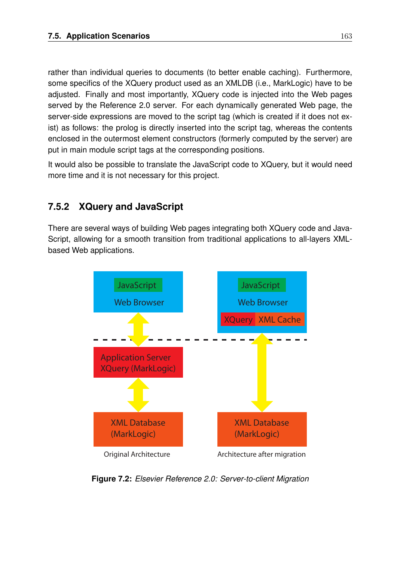rather than individual queries to documents (to better enable caching). Furthermore, some specifics of the XQuery product used as an XMLDB (i.e., MarkLogic) have to be adjusted. Finally and most importantly, XQuery code is injected into the Web pages served by the Reference 2.0 server. For each dynamically generated Web page, the server-side expressions are moved to the script tag (which is created if it does not exist) as follows: the prolog is directly inserted into the script tag, whereas the contents enclosed in the outermost element constructors (formerly computed by the server) are put in main module script tags at the corresponding positions.

It would also be possible to translate the JavaScript code to XQuery, but it would need more time and it is not necessary for this project.

## **7.5.2 XQuery and JavaScript**

There are several ways of building Web pages integrating both XQuery code and Java-Script, allowing for a smooth transition from traditional applications to all-layers XMLbased Web applications.



**Figure 7.2:** *Elsevier Reference 2.0: Server-to-client Migration*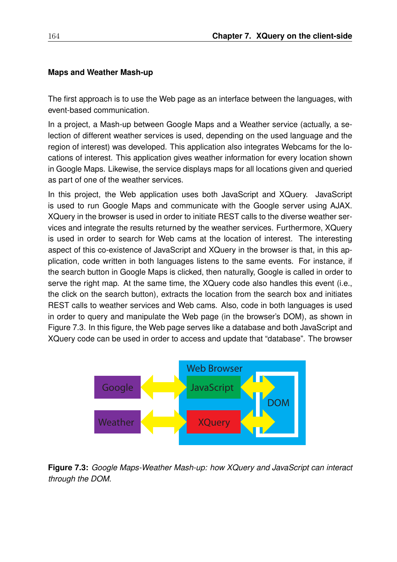#### **Maps and Weather Mash-up**

The first approach is to use the Web page as an interface between the languages, with event-based communication.

In a project, a Mash-up between Google Maps and a Weather service (actually, a selection of different weather services is used, depending on the used language and the region of interest) was developed. This application also integrates Webcams for the locations of interest. This application gives weather information for every location shown in Google Maps. Likewise, the service displays maps for all locations given and queried as part of one of the weather services.

In this project, the Web application uses both JavaScript and XQuery. JavaScript is used to run Google Maps and communicate with the Google server using AJAX. XQuery in the browser is used in order to initiate REST calls to the diverse weather services and integrate the results returned by the weather services. Furthermore, XQuery is used in order to search for Web cams at the location of interest. The interesting aspect of this co-existence of JavaScript and XQuery in the browser is that, in this application, code written in both languages listens to the same events. For instance, if the search button in Google Maps is clicked, then naturally, Google is called in order to serve the right map. At the same time, the XQuery code also handles this event (i.e., the click on the search button), extracts the location from the search box and initiates REST calls to weather services and Web cams. Also, code in both languages is used in order to query and manipulate the Web page (in the browser's DOM), as shown in Figure 7.3. In this figure, the Web page serves like a database and both JavaScript and XQuery code can be used in order to access and update that "database". The browser



**Figure 7.3:** *Google Maps-Weather Mash-up: how XQuery and JavaScript can interact through the DOM.*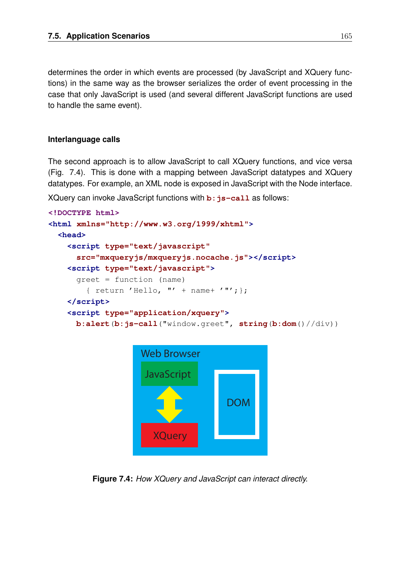determines the order in which events are processed (by JavaScript and XQuery functions) in the same way as the browser serializes the order of event processing in the case that only JavaScript is used (and several different JavaScript functions are used to handle the same event).

#### **Interlanguage calls**

The second approach is to allow JavaScript to call XQuery functions, and vice versa (Fig. 7.4). This is done with a mapping between JavaScript datatypes and XQuery datatypes. For example, an XML node is exposed in JavaScript with the Node interface.

XQuery can invoke JavaScript functions with **b**:  $i$ s-call as follows:

```
<!DOCTYPE html>
<html xmlns="http://www.w3.org/1999/xhtml">
 <head>
   <script type="text/javascript"
      src="mxqueryjs/mxqueryjs.nocache.js"></script>
   <script type="text/javascript">
      greet = function (name)
        { return 'Hello, "' + name+ '"'; };
   </script>
   <script type="application/xquery">
     b:alert(b:js-call("window.greet", string(b:dom()//div))
```


**Figure 7.4:** *How XQuery and JavaScript can interact directly.*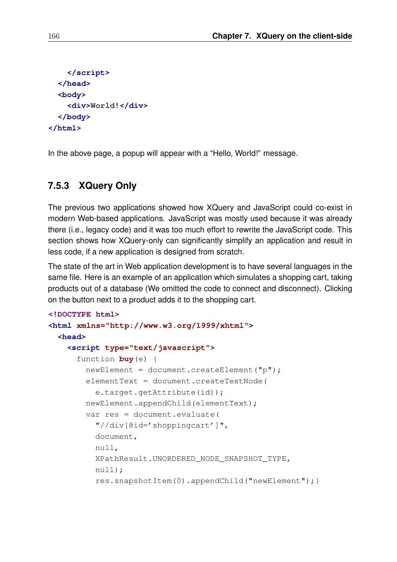```
</script>
  </head>
  <body>
    <div>World!</div>
  </body>
</html>
```
In the above page, a popup will appear with a "Hello, World!" message.

### **7.5.3 XQuery Only**

The previous two applications showed how XQuery and JavaScript could co-exist in modern Web-based applications. JavaScript was mostly used because it was already there (i.e., legacy code) and it was too much effort to rewrite the JavaScript code. This section shows how XQuery-only can significantly simplify an application and result in less code, if a new application is designed from scratch.

The state of the art in Web application development is to have several languages in the same file. Here is an example of an application which simulates a shopping cart, taking products out of a database (We omitted the code to connect and disconnect). Clicking on the button next to a product adds it to the shopping cart.

```
<!DOCTYPE html>
<html xmlns="http://www.w3.org/1999/xhtml">
 <head>
    <script type="text/javascript">
      function buy(e) {
        newElement = document.createElement("p");
        elementText = document.createTextNode(
          e.target.getAttribute(id));
       newElement.appendChild(elementText);
        var res = document.evaluate(
          "//div[@id='shoppingcart']",
          document,
         null,
         XPathResult.UNORDERED_NODE_SNAPSHOT_TYPE,
         null);
          res.snapshotItem(0).appendChild("newElement");}
```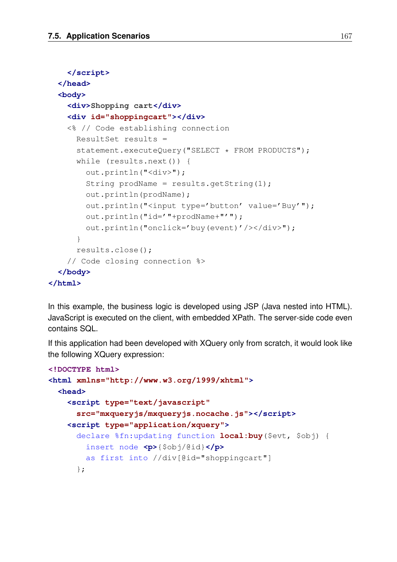```
</script>
 </head>
 <body>
    <div>Shopping cart</div>
    <div id="shoppingcart"></div>
    <% // Code establishing connection
     ResultSet results =
     statement.executeQuery("SELECT * FROM PRODUCTS");
     while (results.next()) {
        out.println("<div>");
        String prodName = results.getString(1);
        out.println(prodName);
        out.println("<input type='button' value='Buy'");
        out.println("id='"+prodName+"'");
        out.println("onclick='buy(event)'/></div>");
      }
     results.close();
    // Code closing connection %>
 </body>
</html>
```
In this example, the business logic is developed using JSP (Java nested into HTML). JavaScript is executed on the client, with embedded XPath. The server-side code even contains SQL.

If this application had been developed with XQuery only from scratch, it would look like the following XQuery expression:

```
<!DOCTYPE html>
<html xmlns="http://www.w3.org/1999/xhtml">
 <head>
   <script type="text/javascript"
      src="mxqueryjs/mxqueryjs.nocache.js"></script>
   <script type="application/xquery">
      declare %fn:updating function local:buy($evt, $obj) {
        insert node <p>{$obj/@id}</p>
       as first into //div[@id="shoppingcart"]
      };
```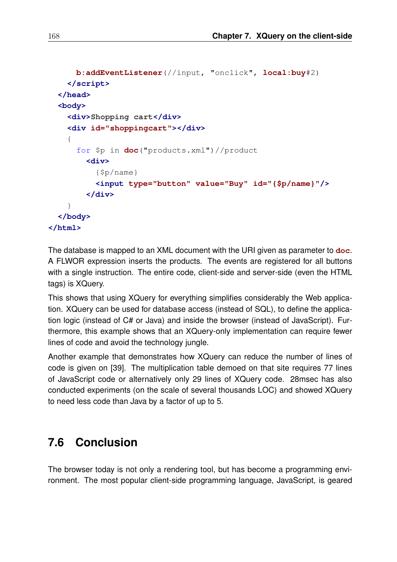```
b:addEventListener(//input, "onclick", local:buy#2)
    </script>
 </head>
 <body>
    <div>Shopping cart</div>
    <div id="shoppingcart"></div>
    {
      for $p in doc("products.xml")//product
        <div>
          {$p/name}
          <input type="button" value="Buy" id="{$p/name}"/>
        </div>
    }
 </body>
</html>
```
The database is mapped to an XML document with the URI given as parameter to **doc**. A FLWOR expression inserts the products. The events are registered for all buttons with a single instruction. The entire code, client-side and server-side (even the HTML tags) is XQuery.

This shows that using XQuery for everything simplifies considerably the Web application. XQuery can be used for database access (instead of SQL), to define the application logic (instead of C# or Java) and inside the browser (instead of JavaScript). Furthermore, this example shows that an XQuery-only implementation can require fewer lines of code and avoid the technology jungle.

Another example that demonstrates how XQuery can reduce the number of lines of code is given on [39]. The multiplication table demoed on that site requires 77 lines of JavaScript code or alternatively only 29 lines of XQuery code. 28msec has also conducted experiments (on the scale of several thousands LOC) and showed XQuery to need less code than Java by a factor of up to 5.

# **7.6 Conclusion**

The browser today is not only a rendering tool, but has become a programming environment. The most popular client-side programming language, JavaScript, is geared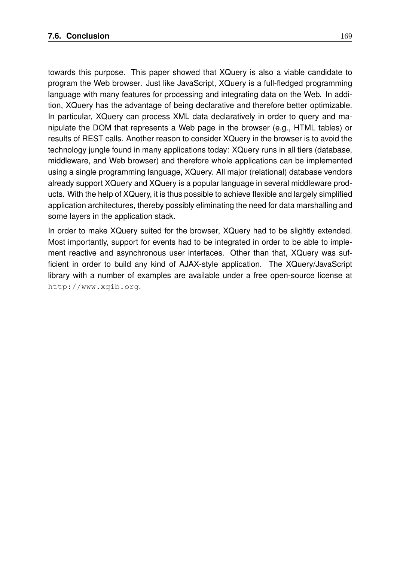towards this purpose. This paper showed that XQuery is also a viable candidate to program the Web browser. Just like JavaScript, XQuery is a full-fledged programming language with many features for processing and integrating data on the Web. In addition, XQuery has the advantage of being declarative and therefore better optimizable. In particular, XQuery can process XML data declaratively in order to query and manipulate the DOM that represents a Web page in the browser (e.g., HTML tables) or results of REST calls. Another reason to consider XQuery in the browser is to avoid the technology jungle found in many applications today: XQuery runs in all tiers (database, middleware, and Web browser) and therefore whole applications can be implemented using a single programming language, XQuery. All major (relational) database vendors already support XQuery and XQuery is a popular language in several middleware products. With the help of XQuery, it is thus possible to achieve flexible and largely simplified application architectures, thereby possibly eliminating the need for data marshalling and some layers in the application stack.

In order to make XQuery suited for the browser, XQuery had to be slightly extended. Most importantly, support for events had to be integrated in order to be able to implement reactive and asynchronous user interfaces. Other than that, XQuery was sufficient in order to build any kind of AJAX-style application. The XQuery/JavaScript library with a number of examples are available under a free open-source license at http://www.xqib.org.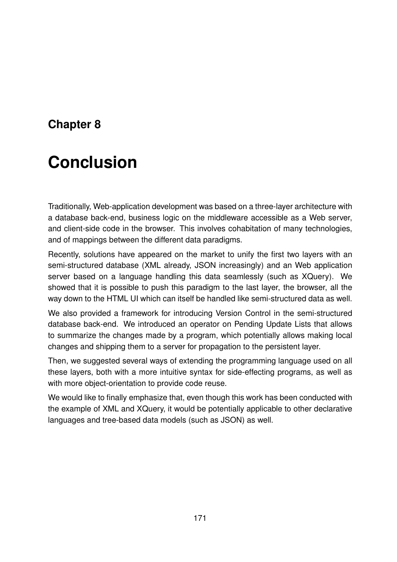# **Chapter 8**

# **Conclusion**

Traditionally, Web-application development was based on a three-layer architecture with a database back-end, business logic on the middleware accessible as a Web server, and client-side code in the browser. This involves cohabitation of many technologies, and of mappings between the different data paradigms.

Recently, solutions have appeared on the market to unify the first two layers with an semi-structured database (XML already, JSON increasingly) and an Web application server based on a language handling this data seamlessly (such as XQuery). We showed that it is possible to push this paradigm to the last layer, the browser, all the way down to the HTML UI which can itself be handled like semi-structured data as well.

We also provided a framework for introducing Version Control in the semi-structured database back-end. We introduced an operator on Pending Update Lists that allows to summarize the changes made by a program, which potentially allows making local changes and shipping them to a server for propagation to the persistent layer.

Then, we suggested several ways of extending the programming language used on all these layers, both with a more intuitive syntax for side-effecting programs, as well as with more object-orientation to provide code reuse.

We would like to finally emphasize that, even though this work has been conducted with the example of XML and XQuery, it would be potentially applicable to other declarative languages and tree-based data models (such as JSON) as well.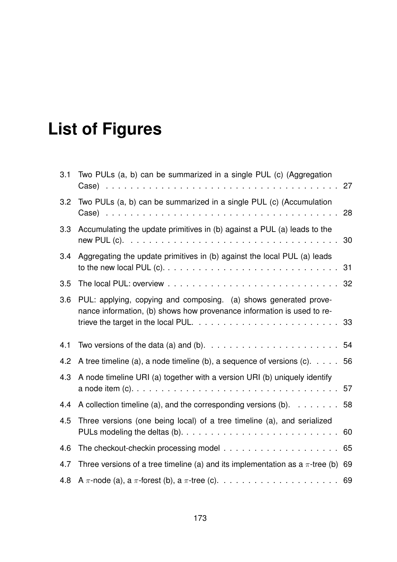# **List of Figures**

| 3.1 | Two PULs (a, b) can be summarized in a single PUL (c) (Aggregation                                                                         | 27 |
|-----|--------------------------------------------------------------------------------------------------------------------------------------------|----|
| 3.2 | Two PULs (a, b) can be summarized in a single PUL (c) (Accumulation                                                                        | 28 |
| 3.3 | Accumulating the update primitives in (b) against a PUL (a) leads to the                                                                   | 30 |
| 3.4 | Aggregating the update primitives in (b) against the local PUL (a) leads                                                                   | 31 |
| 3.5 |                                                                                                                                            |    |
| 3.6 | PUL: applying, copying and composing. (a) shows generated prove-<br>nance information, (b) shows how provenance information is used to re- |    |
| 4.1 | Two versions of the data (a) and (b). $\ldots \ldots \ldots \ldots \ldots \ldots \ldots$                                                   | 54 |
| 4.2 | A tree timeline (a), a node timeline (b), a sequence of versions (c). $\ldots$ . 56                                                        |    |
| 4.3 | A node timeline URI (a) together with a version URI (b) uniquely identify                                                                  | 57 |
| 4.4 | A collection timeline (a), and the corresponding versions (b). $\ldots$ 58                                                                 |    |
| 4.5 | Three versions (one being local) of a tree timeline (a), and serialized                                                                    | 60 |
| 4.6 |                                                                                                                                            | 65 |
| 4.7 | Three versions of a tree timeline (a) and its implementation as a $\pi$ -tree (b) 69                                                       |    |
| 4.8 |                                                                                                                                            |    |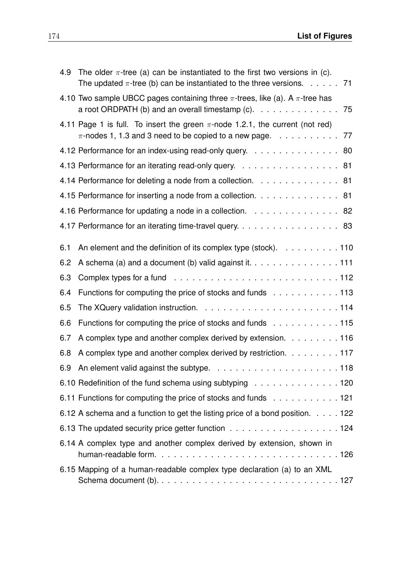| 4.9 | The older $\pi$ -tree (a) can be instantiated to the first two versions in (c).<br>The updated $\pi$ -tree (b) can be instantiated to the three versions. 71                  |
|-----|-------------------------------------------------------------------------------------------------------------------------------------------------------------------------------|
|     | 4.10 Two sample UBCC pages containing three $\pi$ -trees, like (a). A $\pi$ -tree has<br>a root ORDPATH (b) and an overall timestamp $(c)$ . 75                               |
|     | 4.11 Page 1 is full. To insert the green $\pi$ -node 1.2.1, the current (not red)<br>$\pi$ -nodes 1, 1.3 and 3 need to be copied to a new page. $\ldots \ldots \ldots \ldots$ |
|     | 4.12 Performance for an index-using read-only query. 80                                                                                                                       |
|     | 4.13 Performance for an iterating read-only query. 81                                                                                                                         |
|     | 4.14 Performance for deleting a node from a collection. 81                                                                                                                    |
|     | 4.15 Performance for inserting a node from a collection. 81                                                                                                                   |
|     | 4.16 Performance for updating a node in a collection. 82                                                                                                                      |
|     | 4.17 Performance for an iterating time-travel query. 83                                                                                                                       |
| 6.1 | An element and the definition of its complex type (stock). 110                                                                                                                |
| 6.2 | A schema (a) and a document (b) valid against it. 111                                                                                                                         |
| 6.3 |                                                                                                                                                                               |
| 6.4 | Functions for computing the price of stocks and funds 113                                                                                                                     |
| 6.5 |                                                                                                                                                                               |
| 6.6 | Functions for computing the price of stocks and funds 115                                                                                                                     |
| 6.7 | A complex type and another complex derived by extension. 116                                                                                                                  |
| 6.8 | A complex type and another complex derived by restriction. 117                                                                                                                |
|     |                                                                                                                                                                               |
|     | 6.10 Redefinition of the fund schema using subtyping 120                                                                                                                      |
|     | 6.11 Functions for computing the price of stocks and funds 121                                                                                                                |
|     | 6.12 A schema and a function to get the listing price of a bond position. 122                                                                                                 |
|     | 6.13 The updated security price getter function 124                                                                                                                           |
|     | 6.14 A complex type and another complex derived by extension, shown in                                                                                                        |
|     | 6.15 Mapping of a human-readable complex type declaration (a) to an XML                                                                                                       |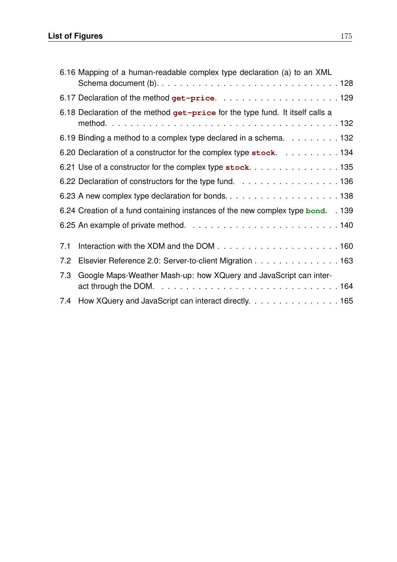## **List of Figures** 175

|     | 6.16 Mapping of a human-readable complex type declaration (a) to an XML          |  |
|-----|----------------------------------------------------------------------------------|--|
|     |                                                                                  |  |
|     | 6.18 Declaration of the method get-price for the type fund. It itself calls a    |  |
|     | 6.19 Binding a method to a complex type declared in a schema. 132                |  |
|     | 6.20 Declaration of a constructor for the complex type stock. 134                |  |
|     |                                                                                  |  |
|     | 6.22 Declaration of constructors for the type fund. 136                          |  |
|     |                                                                                  |  |
|     | 6.24 Creation of a fund containing instances of the new complex type bond. . 139 |  |
|     |                                                                                  |  |
| 7.1 |                                                                                  |  |
| 7.2 | Elsevier Reference 2.0: Server-to-client Migration 163                           |  |
| 7.3 | Google Maps-Weather Mash-up: how XQuery and JavaScript can inter-                |  |
|     |                                                                                  |  |
|     | 7.4 How XQuery and JavaScript can interact directly. 165                         |  |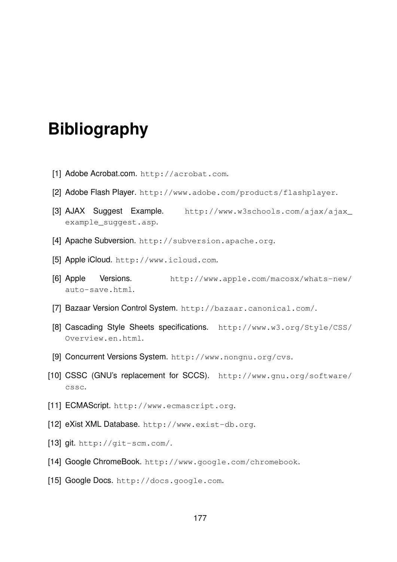# **Bibliography**

- [1] Adobe Acrobat.com. http://acrobat.com.
- [2] Adobe Flash Player. http://www.adobe.com/products/flashplayer.
- [3] AJAX Suggest Example. http://www.w3schools.com/ajax/ajax\_ example\_suggest.asp.
- [4] Apache Subversion. http://subversion.apache.org.
- [5] Apple iCloud. http://www.icloud.com.
- [6] Apple Versions. http://www.apple.com/macosx/whats-new/ auto-save.html.
- [7] Bazaar Version Control System. http://bazaar.canonical.com/.
- [8] Cascading Style Sheets specifications. http://www.w3.org/Style/CSS/ Overview.en.html.
- [9] Concurrent Versions System. http://www.nongnu.org/cvs.
- [10] CSSC (GNU's replacement for SCCS). http://www.gnu.org/software/ cssc.
- [11] ECMAScript. http://www.ecmascript.org.
- [12] eXist XML Database. http://www.exist-db.org.
- [13] git. http://git-scm.com/.
- [14] Google ChromeBook. http://www.google.com/chromebook.
- [15] Google Docs. http://docs.google.com.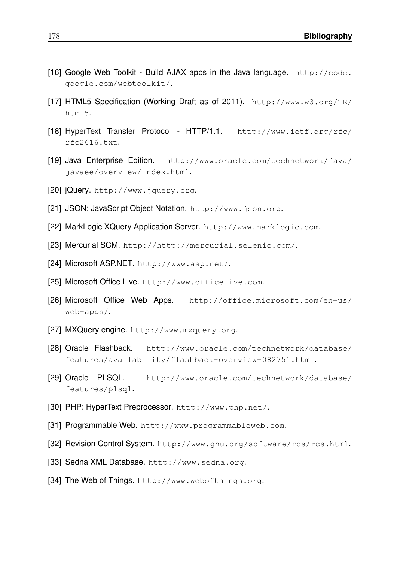- [16] Google Web Toolkit Build AJAX apps in the Java language. http://code. google.com/webtoolkit/.
- [17] HTML5 Specification (Working Draft as of 2011). http://www.w3.org/TR/ html5.
- [18] HyperText Transfer Protocol HTTP/1.1. http://www.ietf.org/rfc/ rfc2616.txt.
- [19] Java Enterprise Edition. http://www.oracle.com/technetwork/java/ javaee/overview/index.html.
- [20] jQuery. http://www.jquery.org.
- [21] JSON: JavaScript Object Notation. http://www.json.org.
- [22] MarkLogic XQuery Application Server. http://www.marklogic.com.
- [23] Mercurial SCM. http://http://mercurial.selenic.com/.
- [24] Microsoft ASP.NET. http://www.asp.net/.
- [25] Microsoft Office Live. http://www.officelive.com.
- [26] Microsoft Office Web Apps. http://office.microsoft.com/en-us/ web-apps/.
- [27] MXQuery engine. http://www.mxquery.org.
- [28] Oracle Flashback. http://www.oracle.com/technetwork/database/ features/availability/flashback-overview-082751.html.
- [29] Oracle PLSQL. http://www.oracle.com/technetwork/database/ features/plsql.
- [30] PHP: HyperText Preprocessor. http://www.php.net/.
- [31] Programmable Web. http://www.programmableweb.com.
- [32] Revision Control System. http://www.gnu.org/software/rcs/rcs.html.
- [33] Sedna XML Database. http://www.sedna.org.
- [34] The Web of Things. http://www.webofthings.org.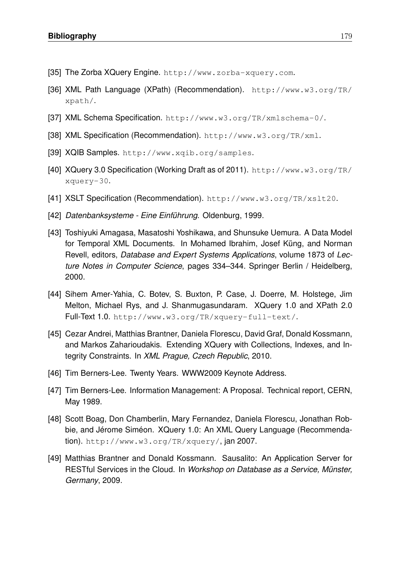- [35] The Zorba XQuery Engine. http://www.zorba-xquery.com.
- [36] XML Path Language (XPath) (Recommendation). http://www.w3.org/TR/ xpath/.
- [37] XML Schema Specification. http://www.w3.org/TR/xmlschema-0/.
- [38] XML Specification (Recommendation). http://www.w3.org/TR/xml.
- [39] XQIB Samples. http://www.xqib.org/samples.
- [40] XQuery 3.0 Specification (Working Draft as of 2011). http://www.w3.org/TR/ xquery-30.
- [41] XSLT Specification (Recommendation). http://www.w3.org/TR/xslt20.
- [42] *Datenbanksysteme Eine Einführung*. Oldenburg, 1999.
- [43] Toshiyuki Amagasa, Masatoshi Yoshikawa, and Shunsuke Uemura. A Data Model for Temporal XML Documents. In Mohamed Ibrahim, Josef Küng, and Norman Revell, editors, *Database and Expert Systems Applications*, volume 1873 of *Lecture Notes in Computer Science*, pages 334–344. Springer Berlin / Heidelberg, 2000.
- [44] Sihem Amer-Yahia, C. Botev, S. Buxton, P. Case, J. Doerre, M. Holstege, Jim Melton, Michael Rys, and J. Shanmugasundaram. XQuery 1.0 and XPath 2.0 Full-Text 1.0. http://www.w3.org/TR/xquery-full-text/.
- [45] Cezar Andrei, Matthias Brantner, Daniela Florescu, David Graf, Donald Kossmann, and Markos Zaharioudakis. Extending XQuery with Collections, Indexes, and Integrity Constraints. In *XML Prague, Czech Republic*, 2010.
- [46] Tim Berners-Lee. Twenty Years. WWW2009 Keynote Address.
- [47] Tim Berners-Lee. Information Management: A Proposal. Technical report, CERN, May 1989.
- [48] Scott Boag, Don Chamberlin, Mary Fernandez, Daniela Florescu, Jonathan Robbie, and Jérome Siméon. XQuery 1.0: An XML Query Language (Recommendation). http://www.w3.org/TR/xquery/, jan 2007.
- [49] Matthias Brantner and Donald Kossmann. Sausalito: An Application Server for RESTful Services in the Cloud. In *Workshop on Database as a Service, Münster, Germany*, 2009.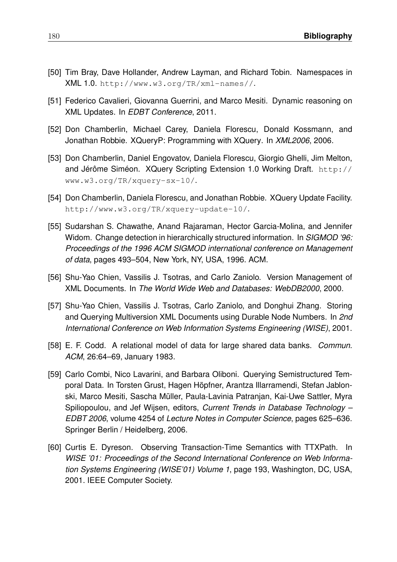- [50] Tim Bray, Dave Hollander, Andrew Layman, and Richard Tobin. Namespaces in XML 1.0. http://www.w3.org/TR/xml-names//.
- [51] Federico Cavalieri, Giovanna Guerrini, and Marco Mesiti. Dynamic reasoning on XML Updates. In *EDBT Conference*, 2011.
- [52] Don Chamberlin, Michael Carey, Daniela Florescu, Donald Kossmann, and Jonathan Robbie. XQueryP: Programming with XQuery. In *XML2006*, 2006.
- [53] Don Chamberlin, Daniel Engovatov, Daniela Florescu, Giorgio Ghelli, Jim Melton, and Jérôme Siméon. XQuery Scripting Extension 1.0 Working Draft. http:// www.w3.org/TR/xquery-sx-10/.
- [54] Don Chamberlin, Daniela Florescu, and Jonathan Robbie. XQuery Update Facility. http://www.w3.org/TR/xquery-update-10/.
- [55] Sudarshan S. Chawathe, Anand Rajaraman, Hector Garcia-Molina, and Jennifer Widom. Change detection in hierarchically structured information. In *SIGMOD '96: Proceedings of the 1996 ACM SIGMOD international conference on Management of data*, pages 493–504, New York, NY, USA, 1996. ACM.
- [56] Shu-Yao Chien, Vassilis J. Tsotras, and Carlo Zaniolo. Version Management of XML Documents. In *The World Wide Web and Databases: WebDB2000*, 2000.
- [57] Shu-Yao Chien, Vassilis J. Tsotras, Carlo Zaniolo, and Donghui Zhang. Storing and Querying Multiversion XML Documents using Durable Node Numbers. In *2nd International Conference on Web Information Systems Engineering (WISE)*, 2001.
- [58] E. F. Codd. A relational model of data for large shared data banks. *Commun. ACM*, 26:64–69, January 1983.
- [59] Carlo Combi, Nico Lavarini, and Barbara Oliboni. Querying Semistructured Temporal Data. In Torsten Grust, Hagen Höpfner, Arantza Illarramendi, Stefan Jablonski, Marco Mesiti, Sascha Müller, Paula-Lavinia Patranjan, Kai-Uwe Sattler, Myra Spiliopoulou, and Jef Wijsen, editors, *Current Trends in Database Technology – EDBT 2006*, volume 4254 of *Lecture Notes in Computer Science*, pages 625–636. Springer Berlin / Heidelberg, 2006.
- [60] Curtis E. Dyreson. Observing Transaction-Time Semantics with TTXPath. In *WISE '01: Proceedings of the Second International Conference on Web Information Systems Engineering (WISE'01) Volume 1*, page 193, Washington, DC, USA, 2001. IEEE Computer Society.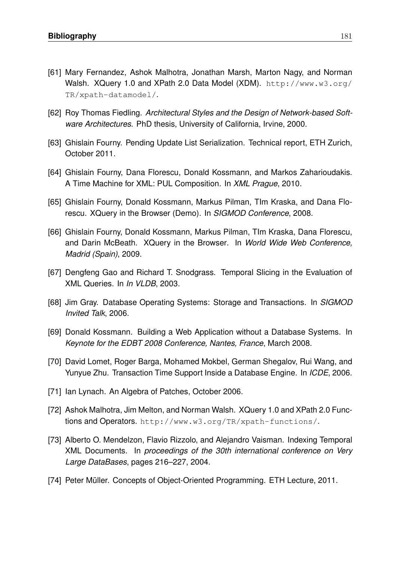- [61] Mary Fernandez, Ashok Malhotra, Jonathan Marsh, Marton Nagy, and Norman Walsh. XQuery 1.0 and XPath 2.0 Data Model (XDM). http://www.w3.org/ TR/xpath-datamodel/.
- [62] Roy Thomas Fiedling. Architectural Styles and the Design of Network-based Soft*ware Architectures*. PhD thesis, University of California, Irvine, 2000.
- [63] Ghislain Fourny. Pending Update List Serialization. Technical report, ETH Zurich, October 2011.
- [64] Ghislain Fourny, Dana Florescu, Donald Kossmann, and Markos Zaharioudakis. A Time Machine for XML: PUL Composition. In *XML Prague*, 2010.
- [65] Ghislain Fourny, Donald Kossmann, Markus Pilman, TIm Kraska, and Dana Florescu. XQuery in the Browser (Demo). In *SIGMOD Conference*, 2008.
- [66] Ghislain Fourny, Donald Kossmann, Markus Pilman, TIm Kraska, Dana Florescu, and Darin McBeath. XQuery in the Browser. In *World Wide Web Conference, Madrid (Spain)*, 2009.
- [67] Dengfeng Gao and Richard T. Snodgrass. Temporal Slicing in the Evaluation of XML Queries. In *In VLDB*, 2003.
- [68] Jim Gray. Database Operating Systems: Storage and Transactions. In *SIGMOD Invited Talk*, 2006.
- [69] Donald Kossmann. Building a Web Application without a Database Systems. In *Keynote for the EDBT 2008 Conference, Nantes, France*, March 2008.
- [70] David Lomet, Roger Barga, Mohamed Mokbel, German Shegalov, Rui Wang, and Yunyue Zhu. Transaction Time Support Inside a Database Engine. In *ICDE*, 2006.
- [71] Ian Lynach. An Algebra of Patches, October 2006.
- [72] Ashok Malhotra, Jim Melton, and Norman Walsh. XQuery 1.0 and XPath 2.0 Functions and Operators. http://www.w3.org/TR/xpath-functions/.
- [73] Alberto O. Mendelzon, Flavio Rizzolo, and Alejandro Vaisman. Indexing Temporal XML Documents. In *proceedings of the 30th international conference on Very Large DataBases*, pages 216–227, 2004.
- [74] Peter Müller. Concepts of Object-Oriented Programming. ETH Lecture, 2011.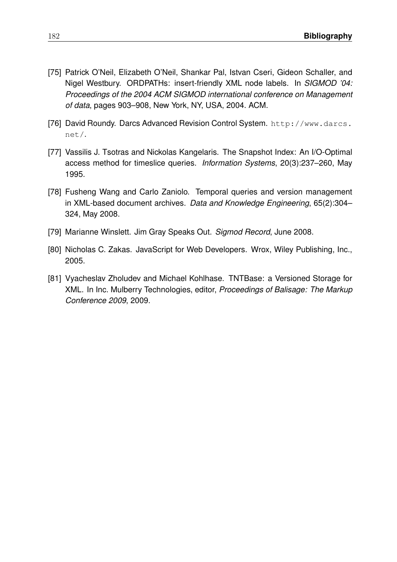- [75] Patrick O'Neil, Elizabeth O'Neil, Shankar Pal, Istvan Cseri, Gideon Schaller, and Nigel Westbury. ORDPATHs: insert-friendly XML node labels. In *SIGMOD '04: Proceedings of the 2004 ACM SIGMOD international conference on Management of data*, pages 903–908, New York, NY, USA, 2004. ACM.
- [76] David Roundy. Darcs Advanced Revision Control System. http://www.darcs. net/.
- [77] Vassilis J. Tsotras and Nickolas Kangelaris. The Snapshot Index: An I/O-Optimal access method for timeslice queries. *Information Systems*, 20(3):237–260, May 1995.
- [78] Fusheng Wang and Carlo Zaniolo. Temporal queries and version management in XML-based document archives. *Data and Knowledge Engineering*, 65(2):304– 324, May 2008.
- [79] Marianne Winslett. Jim Gray Speaks Out. *Sigmod Record*, June 2008.
- [80] Nicholas C. Zakas. JavaScript for Web Developers. Wrox, Wiley Publishing, Inc., 2005.
- [81] Vyacheslav Zholudev and Michael Kohlhase. TNTBase: a Versioned Storage for XML. In Inc. Mulberry Technologies, editor, *Proceedings of Balisage: The Markup Conference 2009*, 2009.